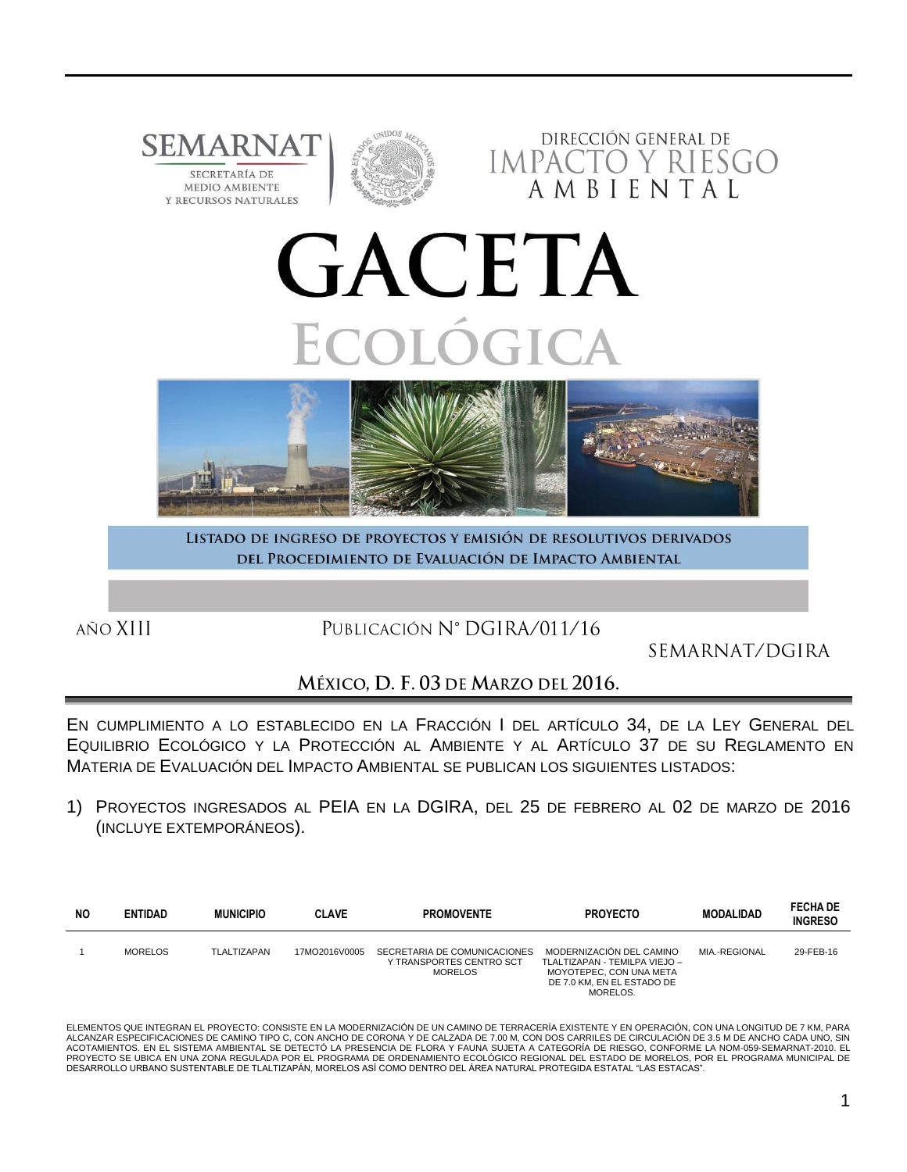

LISTADO DE INGRESO DE PROYECTOS Y EMISIÓN DE RESOLUTIVOS DERIVADOS DEL PROCEDIMIENTO DE EVALUACIÓN DE IMPACTO AMBIENTAL

AÑO XIII

PUBLICACIÓN Nº DGIRA/011/16

SEMARNAT/DGIRA

## MÉXICO, D. F. 03 DE MARZO DEL 2016.

EN CUMPLIMIENTO A LO ESTABLECIDO EN LA FRACCIÓN I DEL ARTÍCULO 34, DE LA LEY GENERAL DEL EQUILIBRIO ECOLÓGICO Y LA PROTECCIÓN AL AMBIENTE Y AL ARTÍCULO 37 DE SU REGLAMENTO EN MATERIA DE EVALUACIÓN DEL IMPACTO AMBIENTAL SE PUBLICAN LOS SIGUIENTES LISTADOS:

1) PROYECTOS INGRESADOS AL PEIA EN LA DGIRA, DEL 25 DE FEBRERO AL 02 DE MARZO DE 2016 (INCLUYE EXTEMPORÁNEOS).

| <b>NO</b> | <b>ENTIDAD</b> | <b>MUNICIPIO</b> | <b>CLAVE</b>  | <b>PROMOVENTE</b>                                                   | <b>PROYECTO</b>                                                                                                                | <b>MODALIDAD</b> | <b>FECHA DE</b><br><b>INGRESO</b> |
|-----------|----------------|------------------|---------------|---------------------------------------------------------------------|--------------------------------------------------------------------------------------------------------------------------------|------------------|-----------------------------------|
|           | <b>MORELOS</b> | TLALTIZAPAN      | 17MO2016V0005 | SECRETARIA DE COMUNICACIONES<br>Y TRANSPORTES CENTRO SCT<br>MORELOS | MODERNIZACIÓN DEL CAMINO<br>TLALTIZAPAN - TEMILPA VIEJO -<br>MOYOTEPEC, CON UNA META<br>DE 7.0 KM. EN EL ESTADO DE<br>MORELOS. | MIA.-REGIONAL    | 29-FEB-16                         |

ELEMENTOS QUE INTEGRAN EL PROYECTO: CONSISTE EN LA MODERNIZACIÓN DE UN CAMINO DE TERRACERÍA EXISTENTE Y EN OPERACIÓN, CON UNA LONGITUD DE 7 KM, PARA ALCANZAR ESPECIFICACIONES DE CAMINO TIPO C, CON ANCHO DE CORONA Y DE CALZADA DE 7.00 M, CON DOS CARRILES DE CIRCULACION DE 3.5 M DE ANCHO CADA UNO, SIN<br>ACOTAMIENTOS. EN EL SISTEMA AMBIENTAL SE DETECTÓ LA PRESENCIA DE FLORA PROYECTO SE UBICA EN UNA ZONA REGULADA POR EL PROGRAMA DE ORDENAMIENTO ECOLÓGICO REGIONAL DEL ESTADO DE MORELOS, POR EL PROGRAMA MUNICIPAL DE DESARROLLO URBANO SUSTENTABLE DE TLALTIZAPÁN, MORELOS ASÍ COMO DENTRO DEL ÁREA NATURAL PROTEGIDA ESTATAL "LAS ESTACAS".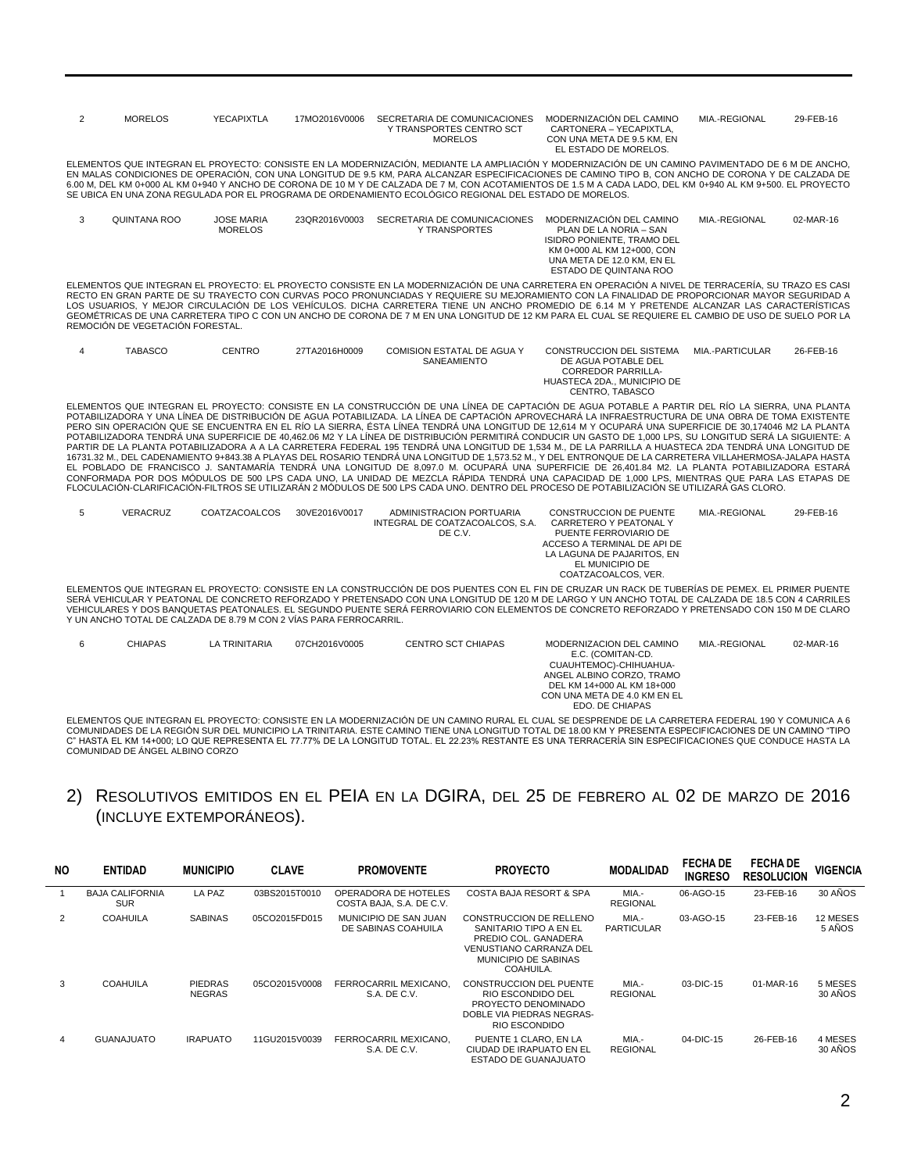| 2              | <b>MORELOS</b>                                                     | <b>YECAPIXTLA</b>                   | 17MO2016V0006 | SECRETARIA DE COMUNICACIONES<br>Y TRANSPORTES CENTRO SCT<br><b>MORELOS</b>                                                                                                                                                                                                                                                                                                                                                                                                                                                                                                                                                                                                                                                                                                                                                                                                                                                                                                                                                                                                                                                                                                                                                                                                                                                                                                                               | MODERNIZACIÓN DEL CAMINO<br>CARTONERA - YECAPIXTLA,<br>CON UNA META DE 9.5 KM, EN<br>EL ESTADO DE MORELOS.                                                                              | MIA.-REGIONAL   | 29-FEB-16 |
|----------------|--------------------------------------------------------------------|-------------------------------------|---------------|----------------------------------------------------------------------------------------------------------------------------------------------------------------------------------------------------------------------------------------------------------------------------------------------------------------------------------------------------------------------------------------------------------------------------------------------------------------------------------------------------------------------------------------------------------------------------------------------------------------------------------------------------------------------------------------------------------------------------------------------------------------------------------------------------------------------------------------------------------------------------------------------------------------------------------------------------------------------------------------------------------------------------------------------------------------------------------------------------------------------------------------------------------------------------------------------------------------------------------------------------------------------------------------------------------------------------------------------------------------------------------------------------------|-----------------------------------------------------------------------------------------------------------------------------------------------------------------------------------------|-----------------|-----------|
|                |                                                                    |                                     |               | ELEMENTOS QUE INTEGRAN EL PROYECTO: CONSISTE EN LA MODERNIZACION, MEDIANTE LA AMPLIACION Y MODERNIZACION DE UN CAMINO PAVIMENTADO DE 6 M DE ANCHO.<br>EN MALAS CONDICIONES DE OPERACIÓN. CON UNA LONGITUD DE 9.5 KM. PARA ALCANZAR ESPECIFICACIONES DE CAMINO TIPO B. CON ANCHO DE CORONA Y DE CALZADA DE<br>6.00 M, DEL KM 0+000 AL KM 0+940 Y ANCHO DE CORONA DE 10 M Y DE CALZADA DE 7 M, CON ACOTAMIENTOS DE 1.5 M A CADA LADO, DEL KM 0+940 AL KM 9+500. EL PROYECTO<br>SE UBICA EN UNA ZONA REGULADA POR EL PROGRAMA DE ORDENAMIENTO ECOLÓGICO REGIONAL DEL ESTADO DE MORELOS.                                                                                                                                                                                                                                                                                                                                                                                                                                                                                                                                                                                                                                                                                                                                                                                                                     |                                                                                                                                                                                         |                 |           |
| 3              | QUINTANA ROO                                                       | <b>JOSE MARIA</b><br><b>MORELOS</b> | 23QR2016V0003 | SECRETARIA DE COMUNICACIONES<br><b>Y TRANSPORTES</b>                                                                                                                                                                                                                                                                                                                                                                                                                                                                                                                                                                                                                                                                                                                                                                                                                                                                                                                                                                                                                                                                                                                                                                                                                                                                                                                                                     | MODERNIZACIÓN DEL CAMINO<br>PLAN DE LA NORIA - SAN<br><b>ISIDRO PONIENTE, TRAMO DEL</b><br>KM 0+000 AL KM 12+000, CON<br>UNA META DE 12.0 KM. EN EL<br>ESTADO DE QUINTANA ROO           | MIA.-REGIONAL   | 02-MAR-16 |
|                | REMOCIÓN DE VEGETACIÓN FORESTAL.                                   |                                     |               | ELEMENTOS QUE INTEGRAN EL PROYECTO: EL PROYECTO CONSISTE EN LA MODERNIZACIÓN DE UNA CARRETERA EN OPERACIÓN A NIVEL DE TERRACERÍA. SU TRAZO ES CASI<br>RECTO EN GRAN PARTE DE SU TRAYECTO CON CURVAS POCO PRONUNCIADAS Y REQUIERE SU MEJORAMIENTO CON LA FINALIDAD DE PROPORCIONAR MAYOR SEGURIDAD A<br>LOS USUARIOS. Y MEJOR CIRCULACIÓN DE LOS VEHÍCULOS. DICHA CARRETERA TIENE UN ANCHO PROMEDIO DE 6.14 M Y PRETENDE ALCANZAR LAS CARACTERÍSTICAS<br>GEOMÉTRICAS DE UNA CARRETERA TIPO C CON UN ANCHO DE CORONA DE 7 M EN UNA LONGITUD DE 12 KM PARA EL CUAL SE REQUIERE EL CAMBIO DE USO DE SUELO POR LA                                                                                                                                                                                                                                                                                                                                                                                                                                                                                                                                                                                                                                                                                                                                                                                             |                                                                                                                                                                                         |                 |           |
| $\overline{4}$ | <b>TABASCO</b>                                                     | <b>CENTRO</b>                       | 27TA2016H0009 | COMISION ESTATAL DE AGUA Y<br>SANEAMIENTO                                                                                                                                                                                                                                                                                                                                                                                                                                                                                                                                                                                                                                                                                                                                                                                                                                                                                                                                                                                                                                                                                                                                                                                                                                                                                                                                                                | CONSTRUCCION DEL SISTEMA<br>DE AGUA POTABLE DEL<br><b>CORREDOR PARRILLA-</b><br>HUASTECA 2DA., MUNICIPIO DE<br>CENTRO, TABASCO                                                          | MIA.-PARTICULAR | 26-FEB-16 |
|                |                                                                    |                                     |               | ELEMENTOS QUE INTEGRAN EL PROYECTO: CONSISTE EN LA CONSTRUCCIÓN DE UNA LÍNEA DE CAPTACIÓN DE AGUA POTABLE A PARTIR DEL RÍO LA SIERRA. UNA PLANTA<br>POTABILIZADORA Y UNA LÍNEA DE DISTRIBUCIÓN DE AGUA POTABILIZADA. LA LÍNEA DE CAPTACIÓN APROVECHARÁ LA INFRAESTRUCTURA DE UNA OBRA DE TOMA EXISTENTE<br>PERO SIN OPERACIÓN QUE SE ENCUENTRA EN EL RÍO LA SIERRA. ÉSTA LÍNEA TENDRÁ UNA LONGITUD DE 12.614 M Y OCUPARÁ UNA SUPERFICIE DE 30.174046 M2 LA PLANTA<br>POTABILIZADORA TENDRÁ UNA SUPERFICIE DE 40.462.06 M2 Y LA LÍNEA DE DISTRIBUCIÓN PERMITIRÁ CONDUCIR UN GASTO DE 1.000 LPS. SU LONGITUD SERÁ LA SIGUIENTE: A<br>PARTIR DE LA PLANTA POTABILIZADORA A A LA CARRETERA FEDERAL 195 TENDRÁ UNA LONGITUD DE 1,534 M., DE LA PARRILLA A HUASTECA 2DA TENDRÁ UNA LONGITUD DE<br>16731.32 M., DEL CADENAMIENTO 9+843.38 A PLAYAS DEL ROSARIO TENDRÁ UNA LONGITUD DE 1,573.52 M., Y DEL ENTRONQUE DE LA CARRETERA VILLAHERMOSA-JALAPA HASTA<br>EL POBLADO DE FRANCISCO J. SANTAMARÍA TENDRÁ UNA LONGITUD DE 8,097.0 M. OCUPARÁ UNA SUPERFICIE DE 26,401.84 M2. LA PLANTA POTABILIZADORA ESTARÁ<br>CONFORMADA POR DOS MÓDULOS DE 500 LPS CADA UNO. LA UNIDAD DE MEZCLA RÁPIDA TENDRÁ UNA CAPACIDAD DE 1.000 LPS. MIENTRAS QUE PARA LAS ETAPAS DE<br>FLOCULACIÓN-CLARIFICACIÓN-FILTROS SE UTILIZARÁN 2 MÓDULOS DE 500 LPS CADA UNO. DENTRO DEL PROCESO DE POTABILIZACIÓN SE UTILIZARÁ GAS CLORO. |                                                                                                                                                                                         |                 |           |
| 5              | VERACRUZ                                                           | <b>COATZACOALCOS</b>                | 30VE2016V0017 | <b>ADMINISTRACION PORTUARIA</b><br>INTEGRAL DE COATZACOALCOS, S.A.<br>DE C.V.                                                                                                                                                                                                                                                                                                                                                                                                                                                                                                                                                                                                                                                                                                                                                                                                                                                                                                                                                                                                                                                                                                                                                                                                                                                                                                                            | <b>CONSTRUCCION DE PUENTE</b><br>CARRETERO Y PEATONAL Y<br>PUENTE FERROVIARIO DE<br>ACCESO A TERMINAL DE API DE<br>LA LAGUNA DE PAJARITOS, EN<br>EL MUNICIPIO DE<br>COATZACOALCOS, VER. | MIA.-REGIONAL   | 29-FEB-16 |
|                | Y UN ANCHO TOTAL DE CALZADA DE 8.79 M CON 2 VÍAS PARA FERROCARRIL. |                                     |               | ELEMENTOS QUE INTEGRAN EL PROYECTO: CONSISTE EN LA CONSTRUCCIÓN DE DOS PUENTES CON EL FIN DE CRUZAR UN RACK DE TUBERÍAS DE PEMEX. EL PRIMER PUENTE<br>SERÁ VEHICULAR Y PEATONAL DE CONCRETO REFORZADO Y PRETENSADO CON UNA LONGITUD DE 120 M DE LARGO Y UN ANCHO TOTAL DE CALZADA DE 18.5 CON 4 CARRILES<br>VEHICULARES Y DOS BANQUETAS PEATONALES. EL SEGUNDO PUENTE SERÁ FERROVIARIO CON ELEMENTOS DE CONCRETO REFORZADO Y PRETENSADO CON 150 M DE CLARO                                                                                                                                                                                                                                                                                                                                                                                                                                                                                                                                                                                                                                                                                                                                                                                                                                                                                                                                               |                                                                                                                                                                                         |                 |           |
| 6              | <b>CHIAPAS</b>                                                     | <b>LA TRINITARIA</b>                | 07CH2016V0005 | <b>CENTRO SCT CHIAPAS</b>                                                                                                                                                                                                                                                                                                                                                                                                                                                                                                                                                                                                                                                                                                                                                                                                                                                                                                                                                                                                                                                                                                                                                                                                                                                                                                                                                                                | MODERNIZACION DEL CAMINO<br>E.C. (COMITAN-CD.<br>CUAUHTEMOC)-CHIHUAHUA-<br>ANGEL ALBINO CORZO, TRAMO<br>DEL KM 14+000 AL KM 18+000<br>CON UNA META DE 4.0 KM EN EL                      | MIA.-REGIONAL   | 02-MAR-16 |

ELEMENTOS QUE INTEGRAN EL PROYECTO: CONSISTE EN LA MODERNIZACIÓN DE UN CAMINO RURAL EL CUAL SE DESPRENDE DE LA CARRETERA FEDERAL 190 Y COMUNICA A 6<br>COMUNIDADES DE LA REGIÓN SUR DEL MUNICIPIO LA TRINITARIA. ESTE CAMINO TIEN COMUNIDAD DE ÁNGEL ALBINO CORZO

EDO. DE CHIAPAS

### 2) RESOLUTIVOS EMITIDOS EN EL PEIA EN LA DGIRA, DEL 25 DE FEBRERO AL 02 DE MARZO DE 2016 (INCLUYE EXTEMPORÁNEOS).

| <b>NO</b>      | <b>ENTIDAD</b>                       | <b>MUNICIPIO</b>                | <b>CLAVE</b>  | <b>PROMOVENTE</b>                                | <b>PROYECTO</b>                                                                                                                                  | <b>MODALIDAD</b>           | <b>FECHA DE</b><br><b>INGRESO</b> | <b>FECHA DE</b><br><b>RESOLUCION</b> | <b>VIGENCIA</b>    |
|----------------|--------------------------------------|---------------------------------|---------------|--------------------------------------------------|--------------------------------------------------------------------------------------------------------------------------------------------------|----------------------------|-----------------------------------|--------------------------------------|--------------------|
|                | <b>BAJA CALIFORNIA</b><br><b>SUR</b> | LA PAZ                          | 03BS2015T0010 | OPERADORA DE HOTELES<br>COSTA BAJA, S.A. DE C.V. | <b>COSTA BAJA RESORT &amp; SPA</b>                                                                                                               | MIA.-<br><b>REGIONAL</b>   | 06-AGO-15                         | 23-FEB-16                            | 30 ANOS            |
| $\overline{2}$ | <b>COAHUILA</b>                      | <b>SABINAS</b>                  | 05CO2015FD015 | MUNICIPIO DE SAN JUAN<br>DE SABINAS COAHUILA     | CONSTRUCCION DE RELLENO<br>SANITARIO TIPO A EN EL<br>PREDIO COL. GANADERA<br><b>VENUSTIANO CARRANZA DEL</b><br>MUNICIPIO DE SABINAS<br>COAHUILA. | MIA.-<br><b>PARTICULAR</b> | 03-AGO-15                         | 23-FEB-16                            | 12 MESES<br>5 AÑOS |
| 3              | <b>COAHUILA</b>                      | <b>PIEDRAS</b><br><b>NEGRAS</b> | 05CO2015V0008 | FERROCARRIL MEXICANO.<br>S.A. DE C.V.            | <b>CONSTRUCCION DEL PUENTE</b><br>RIO ESCONDIDO DEL<br>PROYECTO DENOMINADO<br>DOBLE VIA PIEDRAS NEGRAS-<br>RIO ESCONDIDO                         | MIA.-<br><b>REGIONAL</b>   | 03-DIC-15                         | 01-MAR-16                            | 5 MESES<br>30 AÑOS |
| 4              | <b>GUANAJUATO</b>                    | <b>IRAPUATO</b>                 | 11GU2015V0039 | FERROCARRIL MEXICANO.<br>S.A. DE C.V.            | PUENTE 1 CLARO. EN LA<br>CIUDAD DE IRAPUATO EN EL<br><b>ESTADO DE GUANAJUATO</b>                                                                 | MIA.-<br><b>REGIONAL</b>   | 04-DIC-15                         | 26-FEB-16                            | 4 MESES<br>30 AÑOS |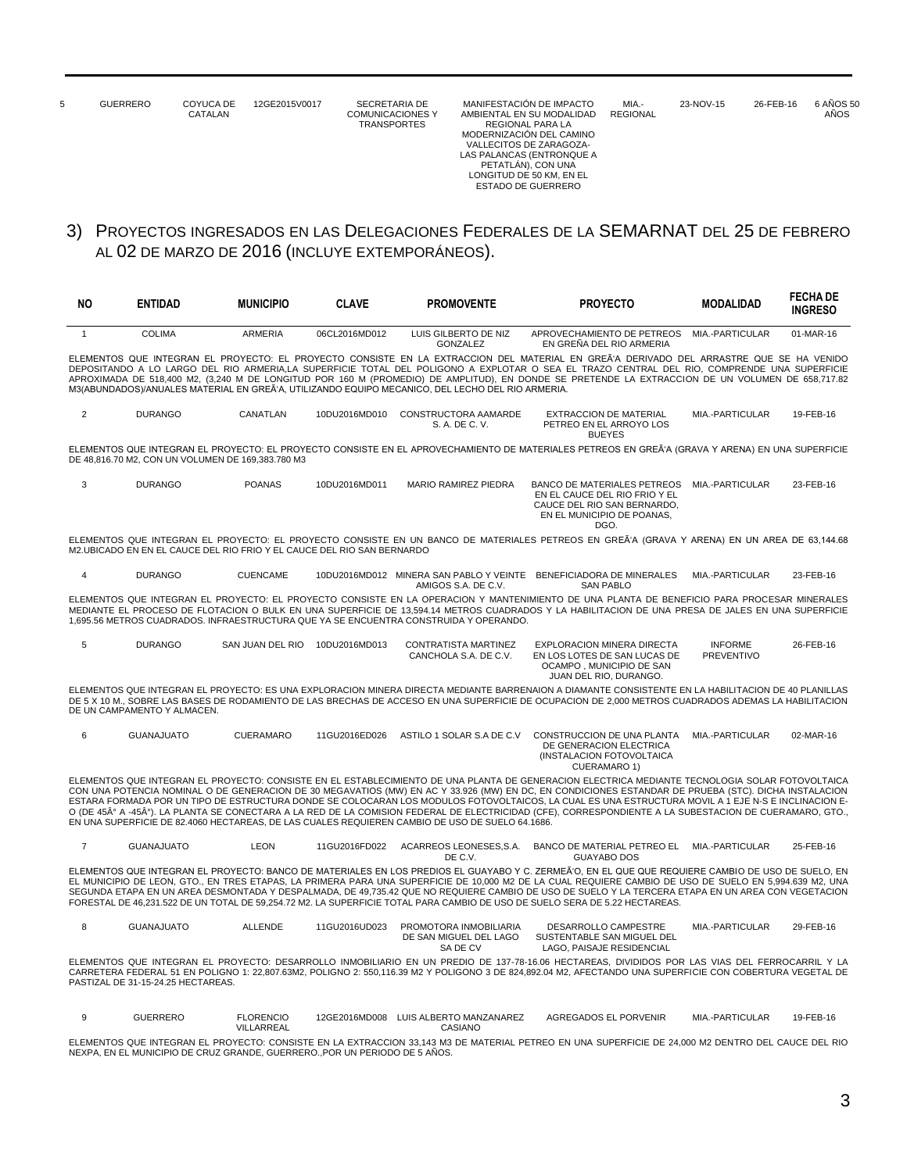| 5 | <b>GUERRERO</b> | COYUCA DE<br>CATALAN | 12GE2015V0017 | SECRETARIA DE<br><b>COMUNICACIONES Y</b><br><b>TRANSPORTES</b> | MANIFESTACIÓN DE IMPACTO<br>AMBIENTAL EN SU MODALIDAD<br>REGIONAL PARA LA<br>MODERNIZACIÓN DEL CAMINO<br>VALLECITOS DE ZARAGOZA-<br>LAS PALANCAS (ENTRONQUE A<br>PETATLAN), CON UNA<br>LONGITUD DE 50 KM. EN EL<br>ESTADO DE GUERRERO | MIA.-<br><b>REGIONAL</b> | 23-NOV-15 | 26-FEB-16 | 6 AÑOS 50<br>AÑOS |
|---|-----------------|----------------------|---------------|----------------------------------------------------------------|---------------------------------------------------------------------------------------------------------------------------------------------------------------------------------------------------------------------------------------|--------------------------|-----------|-----------|-------------------|
|   |                 |                      |               |                                                                |                                                                                                                                                                                                                                       |                          |           |           |                   |

### 3) PROYECTOS INGRESADOS EN LAS DELEGACIONES FEDERALES DE LA SEMARNAT DEL 25 DE FEBRERO AL 02 DE MARZO DE 2016 (INCLUYE EXTEMPORÁNEOS).

| NO.            | ENTIDAD                            | <b>MUNICIPIO</b>                                                        | <b>CLAVE</b>  | <b>PROMOVENTE</b>                                                                                | <b>PROYECTO</b>                                                                                                                                                                                                                                                                                                                                                                                                                                                                                                                                                                                                         | <b>MODALIDAD</b>                    | <b>FECHA DE</b><br><b>INGRESO</b> |
|----------------|------------------------------------|-------------------------------------------------------------------------|---------------|--------------------------------------------------------------------------------------------------|-------------------------------------------------------------------------------------------------------------------------------------------------------------------------------------------------------------------------------------------------------------------------------------------------------------------------------------------------------------------------------------------------------------------------------------------------------------------------------------------------------------------------------------------------------------------------------------------------------------------------|-------------------------------------|-----------------------------------|
| $\overline{1}$ | <b>COLIMA</b>                      | <b>ARMERIA</b>                                                          | 06CL2016MD012 | LUIS GILBERTO DE NIZ<br>GONZALEZ                                                                 | APROVECHAMIENTO DE PETREOS<br>EN GREÑA DEL RIO ARMERIA                                                                                                                                                                                                                                                                                                                                                                                                                                                                                                                                                                  | MIA.-PARTICULAR                     | 01-MAR-16                         |
|                |                                    |                                                                         |               | M3(ABUNDADOS)/ANUALES MATERIAL EN GREÃ'A, UTILIZANDO EQUIPO MECANICO, DEL LECHO DEL RIO ARMERIA. | ELEMENTOS QUE INTEGRAN EL PROYECTO: EL PROYECTO CONSISTE EN LA EXTRACCION DEL MATERIAL EN GREÃ'A DERIVADO DEL ARRASTRE QUE SE HA VENIDO<br>DEPOSITANDO A LO LARGO DEL RIO ARMERIA.LA SUPERFICIE TOTAL DEL POLIGONO A EXPLOTAR O SEA EL TRAZO CENTRAL DEL RIO. COMPRENDE UNA SUPERFICIE<br>APROXIMADA DE 518,400 M2, (3,240 M DE LONGITUD POR 160 M (PROMEDIO) DE AMPLITUD), EN DONDE SE PRETENDE LA EXTRACCION DE UN VOLUMEN DE 658,717.82                                                                                                                                                                              |                                     |                                   |
| $\overline{2}$ | <b>DURANGO</b>                     | CANATLAN                                                                | 10DU2016MD010 | CONSTRUCTORA AAMARDE<br>S. A. DE C. V.                                                           | <b>EXTRACCION DE MATERIAL</b><br>PETREO EN EL ARROYO LOS<br><b>BUEYES</b>                                                                                                                                                                                                                                                                                                                                                                                                                                                                                                                                               | MIA.-PARTICULAR                     | 19-FEB-16                         |
|                |                                    | DE 48,816.70 M2, CON UN VOLUMEN DE 169,383.780 M3                       |               |                                                                                                  | ELEMENTOS QUE INTEGRAN EL PROYECTO: EL PROYECTO CONSISTE EN EL APROVECHAMIENTO DE MATERIALES PETREOS EN GREÃ'A (GRAVA Y ARENA) EN UNA SUPERFICIE                                                                                                                                                                                                                                                                                                                                                                                                                                                                        |                                     |                                   |
| 3              | <b>DURANGO</b>                     | <b>POANAS</b>                                                           | 10DU2016MD011 | <b>MARIO RAMIREZ PIEDRA</b>                                                                      | BANCO DE MATERIALES PETREOS MIA.-PARTICULAR<br>EN EL CAUCE DEL RIO FRIO Y EL<br>CAUCE DEL RIO SAN BERNARDO.<br>EN EL MUNICIPIO DE POANAS.<br>DGO.                                                                                                                                                                                                                                                                                                                                                                                                                                                                       |                                     | 23-FEB-16                         |
|                |                                    | M2. UBICADO EN EN EL CAUCE DEL RIO FRIO Y EL CAUCE DEL RIO SAN BERNARDO |               |                                                                                                  | ELEMENTOS QUE INTEGRAN EL PROYECTO: EL PROYECTO CONSISTE EN UN BANCO DE MATERIALES PETREOS EN GREÃ'A (GRAVA Y ARENA) EN UN AREA DE 63.144.68                                                                                                                                                                                                                                                                                                                                                                                                                                                                            |                                     |                                   |
| $\overline{4}$ | <b>DURANGO</b>                     | <b>CUENCAME</b>                                                         |               | AMIGOS S.A. DE C.V.                                                                              | 10DU2016MD012 MINERA SAN PABLO Y VEINTE BENEFICIADORA DE MINERALES<br><b>SAN PABLO</b>                                                                                                                                                                                                                                                                                                                                                                                                                                                                                                                                  | MIA.-PARTICULAR                     | 23-FEB-16                         |
|                |                                    |                                                                         |               | 1,695.56 METROS CUADRADOS. INFRAESTRUCTURA QUE YA SE ENCUENTRA CONSTRUIDA Y OPERANDO.            | ELEMENTOS QUE INTEGRAN EL PROYECTO: EL PROYECTO CONSISTE EN LA OPERACION Y MANTENIMIENTO DE UNA PLANTA DE BENEFICIO PARA PROCESAR MINERALES<br>MEDIANTE EL PROCESO DE FLOTACION O BULK EN UNA SUPERFICIE DE 13,594.14 METROS CUADRADOS Y LA HABILITACION DE UNA PRESA DE JALES EN UNA SUPERFICIE                                                                                                                                                                                                                                                                                                                        |                                     |                                   |
| 5              | <b>DURANGO</b>                     | SAN JUAN DEL RIO 10DU2016MD013                                          |               | CONTRATISTA MARTINEZ<br>CANCHOLA S.A. DE C.V.                                                    | EXPLORACION MINERA DIRECTA<br>EN LOS LOTES DE SAN LUCAS DE<br>OCAMPO, MUNICIPIO DE SAN<br>JUAN DEL RIO. DURANGO.                                                                                                                                                                                                                                                                                                                                                                                                                                                                                                        | <b>INFORME</b><br><b>PREVENTIVO</b> | 26-FEB-16                         |
|                | DE UN CAMPAMENTO Y ALMACEN.        |                                                                         |               |                                                                                                  | ELEMENTOS QUE INTEGRAN EL PROYECTO: ES UNA EXPLORACION MINERA DIRECTA MEDIANTE BARRENAION A DIAMANTE CONSISTENTE EN LA HABILITACION DE 40 PLANILLAS<br>DE 5 X 10 M., SOBRE LAS BASES DE RODAMIENTO DE LAS BRECHAS DE ACCESO EN UNA SUPERFICIE DE OCUPACION DE 2.000 METROS CUADRADOS ADEMAS LA HABILITACION                                                                                                                                                                                                                                                                                                             |                                     |                                   |
| 6              | <b>GUANAJUATO</b>                  | <b>CUERAMARO</b>                                                        | 11GU2016ED026 | ASTILO 1 SOLAR S.A DE C.V                                                                        | CONSTRUCCION DE UNA PLANTA<br>DE GENERACION ELECTRICA<br>(INSTALACION FOTOVOLTAICA<br><b>CUERAMARO 1)</b>                                                                                                                                                                                                                                                                                                                                                                                                                                                                                                               | MIA.-PARTICULAR                     | 02-MAR-16                         |
|                |                                    |                                                                         |               | EN UNA SUPERFICIE DE 82.4060 HECTAREAS, DE LAS CUALES REQUIEREN CAMBIO DE USO DE SUELO 64.1686.  | ELEMENTOS QUE INTEGRAN EL PROYECTO: CONSISTE EN EL ESTABLECIMIENTO DE UNA PLANTA DE GENERACION ELECTRICA MEDIANTE TECNOLOGIA SOLAR FOTOVOLTAICA<br>CON UNA POTENCIA NOMINAL O DE GENERACION DE 30 MEGAVATIOS (MW) EN AC Y 33.926 (MW) EN DC. EN CONDICIONES ESTANDAR DE PRUEBA (STC), DICHA INSTALACION<br>ESTARA FORMADA POR UN TIPO DE ESTRUCTURA DONDE SE COLOCARAN LOS MODULOS FOTOVOLTAICOS, LA CUAL ES UNA ESTRUCTURA MOVIL A 1 EJE N-S E INCLINACION E-<br>O (DE 45° A -45°). LA PLANTA SE CONECTARA A LA RED DE LA COMISION FEDERAL DE ELECTRICIDAD (CFE), CORRESPONDIENTE A LA SUBESTACION DE CUERAMARO, GTO., |                                     |                                   |
| $\overline{7}$ | <b>GUANAJUATO</b>                  | <b>LEON</b>                                                             | 11GU2016FD022 | ACARREOS LEONESES, S.A.<br>DE C.V.                                                               | BANCO DE MATERIAL PETREO EL<br><b>GUAYABO DOS</b>                                                                                                                                                                                                                                                                                                                                                                                                                                                                                                                                                                       | MIA.-PARTICULAR                     | 25-FEB-16                         |
|                |                                    |                                                                         |               |                                                                                                  | ELEMENTOS QUE INTEGRAN EL PROYECTO: BANCO DE MATERIALES EN LOS PREDIOS EL GUAYABO Y C. ZERMEÃ'O, EN EL QUE QUE REQUIERE CAMBIO DE USO DE SUELO, EN<br>EL MUNICIPIO DE LEON, GTO., EN TRES ETAPAS, LA PRIMERA PARA UNA SUPERFICIE DE 10,000 M2 DE LA CUAL REQUIERE CAMBIO DE USO DE SUELO EN 5,994.639 M2, UNA<br>SEGUNDA ETAPA EN UN AREA DESMONTADA Y DESPALMADA, DE 49,735.42 QUE NO REQUIERE CAMBIO DE USO DE SUELO Y LA TERCERA ETAPA EN UN AREA CON VEGETACION<br>FORESTAL DE 46,231.522 DE UN TOTAL DE 59,254.72 M2. LA SUPERFICIE TOTAL PARA CAMBIO DE USO DE SUELO SERA DE 5.22 HECTAREAS.                      |                                     |                                   |
| 8              | <b>GUANAJUATO</b>                  | <b>ALLENDE</b>                                                          | 11GU2016UD023 | PROMOTORA INMOBILIARIA<br>DE SAN MIGUEL DEL LAGO<br>SA DE CV                                     | DESARROLLO CAMPESTRE<br>SUSTENTABLE SAN MIGUEL DEL<br>LAGO. PAISAJE RESIDENCIAL                                                                                                                                                                                                                                                                                                                                                                                                                                                                                                                                         | MIA.-PARTICULAR                     | 29-FEB-16                         |
|                | PASTIZAL DE 31-15-24.25 HECTAREAS. |                                                                         |               |                                                                                                  | ELEMENTOS QUE INTEGRAN EL PROYECTO: DESARROLLO INMOBILIARIO EN UN PREDIO DE 137-78-16.06 HECTAREAS, DIVIDIDOS POR LAS VIAS DEL FERROCARRIL Y LA<br>CARRETERA FEDERAL 51 EN POLIGNO 1: 22,807.63M2, POLIGNO 2: 550,116.39 M2 Y POLIGONO 3 DE 824,892.04 M2, AFECTANDO UNA SUPERFICIE CON COBERTURA VEGETAL DE                                                                                                                                                                                                                                                                                                            |                                     |                                   |
| 9              | <b>GUERRERO</b>                    | <b>FLORENCIO</b><br>VILLARREAL                                          |               | 12GE2016MD008 LUIS ALBERTO MANZANAREZ<br>CASIANO                                                 | AGREGADOS EL PORVENIR                                                                                                                                                                                                                                                                                                                                                                                                                                                                                                                                                                                                   | MIA.-PARTICULAR                     | 19-FEB-16                         |

ELEMENTOS QUE INTEGRAN EL PROYECTO: CONSISTE EN LA EXTRACCION 33,143 M3 DE MATERIAL PETREO EN UNA SUPERFICIE DE 24,000 M2 DENTRO DEL CAUCE DEL RIO<br>NEXPA, EN EL MUNICIPIO DE CRUZ GRANDE, GUERRERO.,POR UN PERIODO DE 5 AÑOS.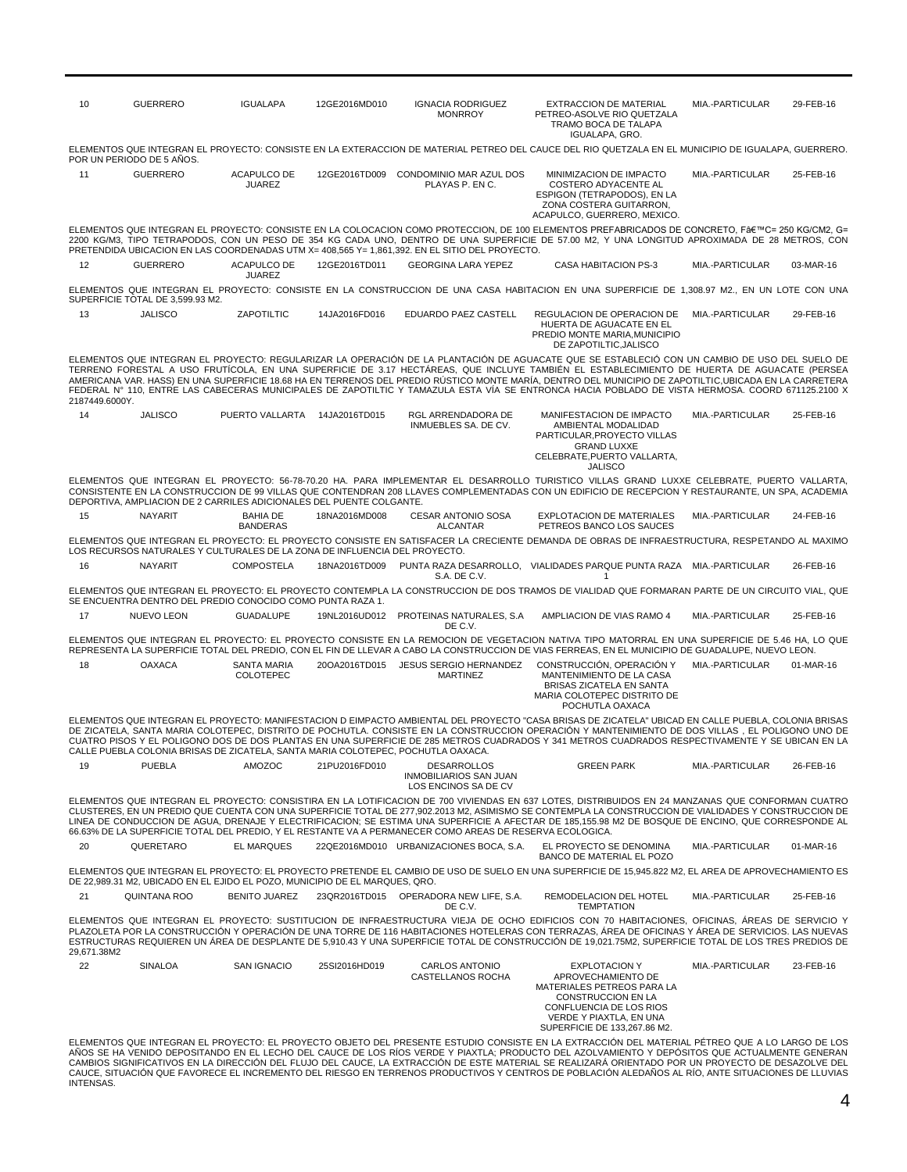| 10             | <b>GUERRERO</b>                  | <b>IGUALAPA</b>                                                                  | 12GE2016MD010 | <b>IGNACIA RODRIGUEZ</b><br><b>MONRROY</b>                                                               | <b>EXTRACCION DE MATERIAL</b><br>PETREO-ASOLVE RIO QUETZALA<br>TRAMO BOCA DE TALAPA<br>IGUALAPA, GRO.                                                                                                                                                                                                                                                                                                                                                                                                                                                                                                       | MIA.-PARTICULAR | 29-FEB-16 |
|----------------|----------------------------------|----------------------------------------------------------------------------------|---------------|----------------------------------------------------------------------------------------------------------|-------------------------------------------------------------------------------------------------------------------------------------------------------------------------------------------------------------------------------------------------------------------------------------------------------------------------------------------------------------------------------------------------------------------------------------------------------------------------------------------------------------------------------------------------------------------------------------------------------------|-----------------|-----------|
|                | POR UN PERIODO DE 5 AÑOS.        |                                                                                  |               |                                                                                                          | ELEMENTOS QUE INTEGRAN EL PROYECTO: CONSISTE EN LA EXTERACCION DE MATERIAL PETREO DEL CAUCE DEL RIO QUETZALA EN EL MUNICIPIO DE IGUALAPA, GUERRERO.                                                                                                                                                                                                                                                                                                                                                                                                                                                         |                 |           |
| 11             | <b>GUERRERO</b>                  | <b>ACAPULCO DE</b><br><b>JUAREZ</b>                                              |               | 12GE2016TD009 CONDOMINIO MAR AZUL DOS<br>PLAYAS P. EN C.                                                 | MINIMIZACION DE IMPACTO<br>COSTERO ADYACENTE AL<br><b>ESPIGON (TETRAPODOS). EN LA</b><br>ZONA COSTERA GUITARRON,<br>ACAPULCO, GUERRERO, MEXICO.                                                                                                                                                                                                                                                                                                                                                                                                                                                             | MIA.-PARTICULAR | 25-FEB-16 |
|                |                                  |                                                                                  |               | PRETENDIDA UBICACION EN LAS COORDENADAS UTM X= 408,565 Y= 1,861,392. EN EL SITIO DEL PROYECTO.           | ELEMENTOS QUE INTEGRAN EL PROYECTO: CONSISTE EN LA COLOCACION COMO PROTECCION, DE 100 ELEMENTOS PREFABRICADOS DE CONCRETO, F'C= 250 KG/CM2, G=<br>2200 KG/M3, TIPO TETRAPODOS, CON UN PESO DE 354 KG CADA UNO, DENTRO DE UNA SUPERFICIE DE 57.00 M2, Y UNA LONGITUD APROXIMADA DE 28 METROS, CON                                                                                                                                                                                                                                                                                                            |                 |           |
| 12             | <b>GUERRERO</b>                  | ACAPULCO DE<br><b>JUAREZ</b>                                                     | 12GE2016TD011 | <b>GEORGINA LARA YEPEZ</b>                                                                               | <b>CASA HABITACION PS-3</b>                                                                                                                                                                                                                                                                                                                                                                                                                                                                                                                                                                                 | MIA.-PARTICULAR | 03-MAR-16 |
|                | SUPERFICIE TOTAL DE 3,599.93 M2. |                                                                                  |               |                                                                                                          | ELEMENTOS QUE INTEGRAN EL PROYECTO: CONSISTE EN LA CONSTRUCCION DE UNA CASA HABITACION EN UNA SUPERFICIE DE 1,308.97 M2., EN UN LOTE CON UNA                                                                                                                                                                                                                                                                                                                                                                                                                                                                |                 |           |
| 13             | <b>JALISCO</b>                   | ZAPOTILTIC                                                                       | 14JA2016FD016 | EDUARDO PAEZ CASTELL                                                                                     | REGULACION DE OPERACION DE<br>HUERTA DE AGUACATE EN EL<br>PREDIO MONTE MARIA, MUNICIPIO<br>DE ZAPOTILTIC, JALISCO                                                                                                                                                                                                                                                                                                                                                                                                                                                                                           | MIA.-PARTICULAR | 29-FEB-16 |
| 2187449.6000Y. |                                  |                                                                                  |               |                                                                                                          | ELEMENTOS QUE INTEGRAN EL PROYECTO: REGULARIZAR LA OPERACIÓN DE LA PLANTACIÓN DE AGUACATE QUE SE ESTABLECIÓ CON UN CAMBIO DE USO DEL SUELO DE<br>TERRENO FORESTAL A USO FRUTÍCOLA, EN UNA SUPERFICIE DE 3.17 HECTÁREAS, QUE INCLUYE TAMBIÉN EL ESTABLECIMIENTO DE HUERTA DE AGUACATE (PERSEA<br>AMERICANA VAR. HASS) EN UNA SUPERFICIE 18.68 HA EN TERRENOS DEL PREDIO RÚSTICO MONTE MARÍA, DENTRO DEL MUNICIPIO DE ZAPOTILTIC,UBICADA EN LA CARRETERA<br>FEDERAL Nº 110, ENTRE LAS CABECERAS MUNICIPALES DE ZAPOTILTIC Y TAMAZULA ESTA VÍA SE ENTRONCA HACIA POBLADO DE VISTA HERMOSA. COORD 671125.2100 X |                 |           |
| 14             | <b>JALISCO</b>                   | PUERTO VALLARTA                                                                  | 14JA2016TD015 | RGL ARRENDADORA DE<br>INMUEBLES SA. DE CV.                                                               | MANIFESTACION DE IMPACTO<br>AMBIENTAL MODALIDAD<br>PARTICULAR.PROYECTO VILLAS<br><b>GRAND LUXXE</b><br>CELEBRATE.PUERTO VALLARTA.<br><b>JALISCO</b>                                                                                                                                                                                                                                                                                                                                                                                                                                                         | MIA.-PARTICULAR | 25-FEB-16 |
|                |                                  | DEPORTIVA, AMPLIACION DE 2 CARRILES ADICIONALES DEL PUENTE COLGANTE.             |               |                                                                                                          | ELEMENTOS QUE INTEGRAN EL PROYECTO: 56-78-70.20 HA. PARA IMPLEMENTAR EL DESARROLLO TURISTICO VILLAS GRAND LUXXE CELEBRATE, PUERTO VALLARTA,<br>CONSISTENTE EN LA CONSTRUCCION DE 99 VILLAS QUE CONTENDRAN 208 LLAVES COMPLEMENTADAS CON UN EDIFICIO DE RECEPCION Y RESTAURANTE. UN SPA, ACADEMIA                                                                                                                                                                                                                                                                                                            |                 |           |
| 15             | <b>NAYARIT</b>                   | <b>BAHIA DE</b><br><b>BANDERAS</b>                                               | 18NA2016MD008 | CESAR ANTONIO SOSA<br><b>ALCANTAR</b>                                                                    | EXPLOTACION DE MATERIALES<br>PETREOS BANCO LOS SAUCES                                                                                                                                                                                                                                                                                                                                                                                                                                                                                                                                                       | MIA.-PARTICULAR | 24-FEB-16 |
|                |                                  | LOS RECURSOS NATURALES Y CULTURALES DE LA ZONA DE INFLUENCIA DEL PROYECTO.       |               |                                                                                                          | ELEMENTOS QUE INTEGRAN EL PROYECTO: EL PROYECTO CONSISTE EN SATISFACER LA CRECIENTE DEMANDA DE OBRAS DE INFRAESTRUCTURA, RESPETANDO AL MAXIMO                                                                                                                                                                                                                                                                                                                                                                                                                                                               |                 |           |
| 16             | <b>NAYARIT</b>                   | <b>COMPOSTELA</b>                                                                | 18NA2016TD009 | S.A. DE C.V.                                                                                             | PUNTA RAZA DESARROLLO, VIALIDADES PARQUE PUNTA RAZA MIA.-PARTICULAR<br>$\overline{1}$                                                                                                                                                                                                                                                                                                                                                                                                                                                                                                                       |                 | 26-FEB-16 |
|                |                                  | SE ENCUENTRA DENTRO DEL PREDIO CONOCIDO COMO PUNTA RAZA 1.                       |               |                                                                                                          | ELEMENTOS QUE INTEGRAN EL PROYECTO: EL PROYECTO CONTEMPLA LA CONSTRUCCION DE DOS TRAMOS DE VIALIDAD QUE FORMARAN PARTE DE UN CIRCUITO VIAL, QUE                                                                                                                                                                                                                                                                                                                                                                                                                                                             |                 |           |
| 17             | <b>NUEVO LEON</b>                | <b>GUADALUPE</b>                                                                 |               | 19NL2016UD012 PROTEINAS NATURALES, S.A<br>DE C.V.                                                        | AMPLIACION DE VIAS RAMO 4                                                                                                                                                                                                                                                                                                                                                                                                                                                                                                                                                                                   | MIA.-PARTICULAR | 25-FEB-16 |
|                |                                  |                                                                                  |               |                                                                                                          | ELEMENTOS QUE INTEGRAN EL PROYECTO: EL PROYECTO CONSISTE EN LA REMOCION DE VEGETACION NATIVA TIPO MATORRAL EN UNA SUPERFICIE DE 5.46 HA, LO QUE<br>REPRESENTA LA SUPERFICIE TOTAL DEL PREDIO, CON EL FIN DE LLEVAR A CABO LA CONSTRUCCION DE VIAS FERREAS, EN EL MUNICIPIO DE GUADALUPE, NUEVO LEON.                                                                                                                                                                                                                                                                                                        |                 |           |
| 18             | <b>OAXACA</b>                    | SANTA MARIA<br>COLOTEPEC                                                         | 20OA2016TD015 | JESUS SERGIO HERNANDEZ<br><b>MARTINEZ</b>                                                                | CONSTRUCCIÓN, OPERACIÓN Y<br>MANTENIMIENTO DE LA CASA<br>BRISAS ZICATELA EN SANTA<br>MARIA COLOTEPEC DISTRITO DE<br>POCHUTLA OAXACA                                                                                                                                                                                                                                                                                                                                                                                                                                                                         | MIA.-PARTICULAR | 01-MAR-16 |
|                |                                  | CALLE PUEBLA COLONIA BRISAS DE ZICATELA, SANTA MARIA COLOTEPEC, POCHUTLA OAXACA. |               |                                                                                                          | ELEMENTOS QUE INTEGRAN EL PROYECTO: MANIFESTACION D EIMPACTO AMBIENTAL DEL PROYECTO "CASA BRISAS DE ZICATELA" UBICAD EN CALLE PUEBLA, COLONIA BRISAS<br>DE ZICATELA, SANTA MARIA COLOTEPEC, DISTRITO DE POCHUTLA, CONSISTE EN LA CONSTRUCCION OPERACIÓN Y MANTENIMIENTO DE DOS VILLAS, EL POLIGONO UNO DE<br>CUATRO PISOS Y EL POLIGONO DOS DE DOS PLANTAS EN UNA SUPERFICIE DE 285 METROS CUADRADOS Y 341 METROS CUADRADOS RESPECTIVAMENTE Y SE UBICAN EN LA                                                                                                                                               |                 |           |
| 19             | <b>PUEBLA</b>                    | AMOZOC                                                                           | 21PU2016FD010 | <b>DESARROLLOS</b><br>INMOBILIARIOS SAN JUAN<br>LOS ENCINOS SA DE CV                                     | <b>GREEN PARK</b>                                                                                                                                                                                                                                                                                                                                                                                                                                                                                                                                                                                           | MIA.-PARTICULAR | 26-FEB-16 |
|                |                                  |                                                                                  |               | 66.63% DE LA SUPERFICIE TOTAL DEL PREDIO, Y EL RESTANTE VA A PERMANECER COMO AREAS DE RESERVA ECOLOGICA. | ELEMENTOS QUE INTEGRAN EL PROYECTO: CONSISTIRA EN LA LOTIFICACION DE 700 VIVIENDAS EN 637 LOTES, DISTRIBUIDOS EN 24 MANZANAS QUE CONFORMAN CUATRO<br>CLUSTERES, EN UN PREDIO QUE CUENTA CON UNA SUPERFICIE TOTAL DE 277,902.2013 M2, ASIMISMO SE CONTEMPLA LA CONSTRUCCION DE VIALIDADES Y CONSTRUCCION DE<br>LINEA DE CONDUCCION DE AGUA, DRENAJE Y ELECTRIFICACION; SE ESTIMA UNA SUPERFICIE A AFECTAR DE 185,155.98 M2 DE BOSQUE DE ENCINO, QUE CORRESPONDE AL                                                                                                                                           |                 |           |
| 20             | QUERETARO                        | <b>EL MARQUES</b>                                                                |               | 22QE2016MD010 URBANIZACIONES BOCA, S.A.                                                                  | EL PROYECTO SE DENOMINA<br>BANCO DE MATERIAL EL POZO                                                                                                                                                                                                                                                                                                                                                                                                                                                                                                                                                        | MIA.-PARTICULAR | 01-MAR-16 |
|                |                                  | DE 22.989.31 M2. UBICADO EN EL EJIDO EL POZO. MUNICIPIO DE EL MARQUES. QRO.      |               |                                                                                                          | ELEMENTOS QUE INTEGRAN EL PROYECTO: EL PROYECTO PRETENDE EL CAMBIO DE USO DE SUELO EN UNA SUPERFICIE DE 15,945.822 M2, EL AREA DE APROVECHAMIENTO ES                                                                                                                                                                                                                                                                                                                                                                                                                                                        |                 |           |
| 21             | <b>QUINTANA ROO</b>              | <b>BENITO JUAREZ</b>                                                             |               | 23QR2016TD015 OPERADORA NEW LIFE, S.A.<br>DE C.V.                                                        | REMODELACION DEL HOTEL<br><b>TEMPTATION</b>                                                                                                                                                                                                                                                                                                                                                                                                                                                                                                                                                                 | MIA.-PARTICULAR | 25-FEB-16 |
| 29,671.38M2    |                                  |                                                                                  |               |                                                                                                          | ELEMENTOS QUE INTEGRAN EL PROYECTO: SUSTITUCION DE INFRAESTRUCTURA VIEJA DE OCHO EDIFICIOS CON 70 HABITACIONES, OFICINAS, ÁREAS DE SERVICIO Y<br>PLAZOLETA POR LA CONSTRUCCIÓN Y OPERACIÓN DE UNA TORRE DE 116 HABITACIONES HOTELERAS CON TERRAZAS, ÁREA DE OFICINAS Y ÁREA DE SERVICIOS. LAS NUEVAS<br>ESTRUCTURAS REQUIEREN UN ÁREA DE DESPLANTE DE 5,910.43 Y UNA SUPERFICIE TOTAL DE CONSTRUCCIÓN DE 19,021.75M2, SUPERFICIE TOTAL DE LOS TRES PREDIOS DE                                                                                                                                               |                 |           |
| 22             | SINALOA                          | <b>SAN IGNACIO</b>                                                               | 25SI2016HD019 | <b>CARLOS ANTONIO</b><br>CASTELLANOS ROCHA                                                               | <b>EXPLOTACION Y</b><br>APROVECHAMIENTO DE<br>MATERIALES PETREOS PARA LA<br><b>CONSTRUCCION EN LA</b><br>CONFLUENCIA DE LOS RIOS<br>VERDE Y PIAXTLA, EN UNA<br>SUPERFICIE DE 133,267.86 M2.<br>ELEMENTOS QUE INTEGRAN EL PROYECTO: EL PROYECTO OBJETO DEL PRESENTE ESTUDIO CONSISTE EN LA EXTRACCIÓN DEL MATERIAL PÉTREO QUE A LO LARGO DE LOS                                                                                                                                                                                                                                                              | MIA.-PARTICULAR | 23-FEB-16 |
|                |                                  |                                                                                  |               |                                                                                                          | AÑOS SE HA VENIDO DEPOSITANDO EN EL LECHO DEL CAUCE DE LOS RÍOS VERDE Y PIAXTLA; PRODUCTO DEL AZOLVAMIENTO Y DEPÓSITOS QUE ACTUALMENTE GENERAN                                                                                                                                                                                                                                                                                                                                                                                                                                                              |                 |           |

ELEMENTOS QUE INTEGRAN EL PROYECTO: EL PROYECTO OBJETO DEL PRESENTE ESTUDIO CONSISTE EN LA EXTRACCION DEL MATERIAL PETREO QUE A LO LARGO DE LOS<br>AÑOS SE HA VENIDO DEPOSITANDO EN EL LECHO DEL CAUCE DE LOS RÍOS VERDE Y PIAXTL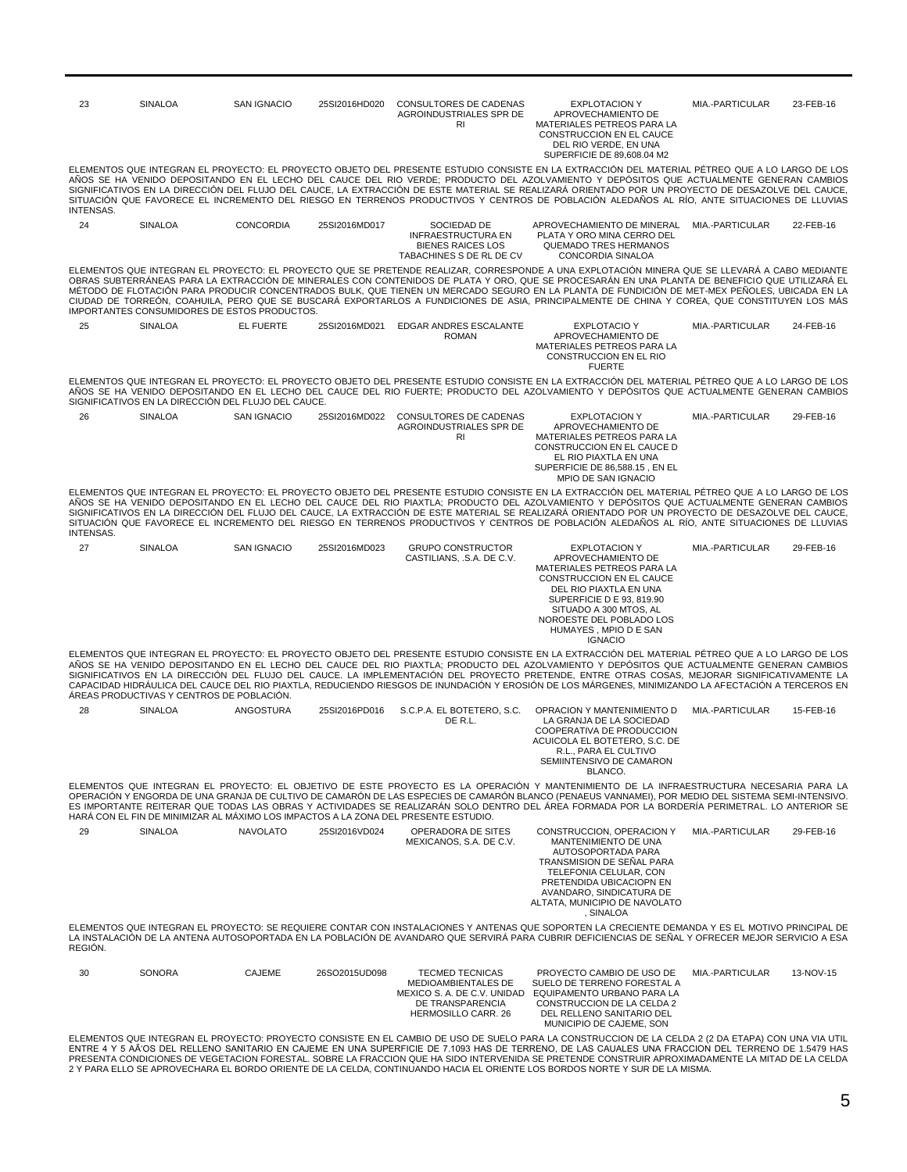| 23               | SINALOA                                   | <b>SAN IGNACIO</b>                                  | 25SI2016HD020 | CONSULTORES DE CADENAS<br>AGROINDUSTRIALES SPR DE<br><b>RI</b>                                   | <b>EXPLOTACION Y</b><br>APROVECHAMIENTO DE<br>MATERIALES PETREOS PARA LA<br><b>CONSTRUCCION EN EL CAUCE</b><br>DEL RIO VERDE, EN UNA<br>SUPERFICIE DE 89,608.04 M2                                                                                                                                                                                                                                                                                                                                                                                                                                    | MIA.-PARTICULAR | 23-FEB-16 |
|------------------|-------------------------------------------|-----------------------------------------------------|---------------|--------------------------------------------------------------------------------------------------|-------------------------------------------------------------------------------------------------------------------------------------------------------------------------------------------------------------------------------------------------------------------------------------------------------------------------------------------------------------------------------------------------------------------------------------------------------------------------------------------------------------------------------------------------------------------------------------------------------|-----------------|-----------|
| <b>INTENSAS.</b> |                                           |                                                     |               |                                                                                                  | ELEMENTOS QUE INTEGRAN EL PROYECTO: EL PROYECTO OBJETO DEL PRESENTE ESTUDIO CONSISTE EN LA EXTRACCIÓN DEL MATERIAL PÉTREO QUE A LO LARGO DE LOS<br>AÑOS SE HA VENIDO DEPOSITANDO EN EL LECHO DEL CAUCE DEL RIO VERDE; PRODUCTO DEL AZOLVAMIENTO Y DEPÓSITOS QUE ACTUALMENTE GENERAN CAMBIOS<br>SIGNIFICATIVOS EN LA DIRECCIÓN DEL FLUJO DEL CAUCE. LA EXTRACCIÓN DE ESTE MATERIAL SE REALIZARÁ ORIENTADO POR UN PROYECTO DE DESAZOLVE DEL CAUCE.<br>SITUACIÓN QUE FAVORECE EL INCREMENTO DEL RIESGO EN TERRENOS PRODUCTIVOS Y CENTROS DE POBLACIÓN ALEDAÑOS AL RÍO, ANTE SITUACIONES DE LLUVIAS       |                 |           |
| 24               | SINALOA                                   | <b>CONCORDIA</b>                                    | 25SI2016MD017 | SOCIEDAD DE<br><b>INFRAESTRUCTURA EN</b><br><b>BIENES RAICES LOS</b><br>TABACHINES S DE RL DE CV | APROVECHAMIENTO DE MINERAL MIA.-PARTICULAR<br>PLATA Y ORO MINA CERRO DEL<br><b>QUEMADO TRES HERMANOS</b><br>CONCORDIA SINALOA                                                                                                                                                                                                                                                                                                                                                                                                                                                                         |                 | 22-FEB-16 |
|                  |                                           | IMPORTANTES CONSUMIDORES DE ESTOS PRODUCTOS.        |               |                                                                                                  | ELEMENTOS QUE INTEGRAN EL PROYECTO: EL PROYECTO QUE SE PRETENDE REALIZAR, CORRESPONDE A UNA EXPLOTACIÓN MINERA QUE SE LLEVARÁ A CABO MEDIANTE<br>OBRAS SUBTERRÁNEAS PARA LA EXTRACCIÓN DE MINERALES CON CONTENIDOS DE PLATA Y ORO, QUE SE PROCESARÁN EN UNA PLANTA DE BENEFICIO QUE UTILIZARÁ EL<br>MÉTODO DE FLOTACIÓN PARA PRODUCIR CONCENTRADOS BULK, QUE TIENEN UN MERCADO SEGURO EN LA PLANTA DE FUNDICIÓN DE MET-MEX PEÑOLES, UBICADA EN LA<br>CIUDAD DE TORREÓN, COAHUILA, PERO QUE SE BUSCARÁ EXPORTARLOS A FUNDICIONES DE ASIA, PRINCIPALMENTE DE CHINA Y COREA, QUE CONSTITUYEN LOS MÁS     |                 |           |
| 25               | <b>SINALOA</b>                            | <b>EL FUERTE</b>                                    | 25SI2016MD021 | <b>EDGAR ANDRES ESCALANTE</b><br><b>ROMAN</b>                                                    | <b>EXPLOTACIO Y</b><br>APROVECHAMIENTO DE<br>MATERIALES PETREOS PARA LA<br>CONSTRUCCION EN EL RIO<br><b>FUERTE</b>                                                                                                                                                                                                                                                                                                                                                                                                                                                                                    | MIA.-PARTICULAR | 24-FEB-16 |
|                  |                                           | SIGNIFICATIVOS EN LA DIRECCIÓN DEL FLUJO DEL CAUCE. |               |                                                                                                  | ELEMENTOS QUE INTEGRAN EL PROYECTO: EL PROYECTO OBJETO DEL PRESENTE ESTUDIO CONSISTE EN LA EXTRACCIÓN DEL MATERIAL PÉTREO QUE A LO LARGO DE LOS<br>AÑOS SE HA VENIDO DEPOSITANDO EN EL LECHO DEL CAUCE DEL RIO FUERTE; PRODUCTO DEL AZOLVAMIENTO Y DEPÓSITOS QUE ACTUALMENTE GENERAN CAMBIOS                                                                                                                                                                                                                                                                                                          |                 |           |
| 26               | SINALOA                                   | <b>SAN IGNACIO</b>                                  | 25SI2016MD022 | CONSULTORES DE CADENAS<br>AGROINDUSTRIALES SPR DE<br>R1                                          | <b>EXPLOTACION Y</b><br>APROVECHAMIENTO DE<br>MATERIALES PETREOS PARA LA<br>CONSTRUCCION EN EL CAUCE D<br>EL RIO PIAXTLA EN UNA<br>SUPERFICIE DE 86,588.15, EN EL<br>MPIO DE SAN IGNACIO                                                                                                                                                                                                                                                                                                                                                                                                              | MIA.-PARTICULAR | 29-FEB-16 |
| INTENSAS.        |                                           |                                                     |               |                                                                                                  | ELEMENTOS QUE INTEGRAN EL PROYECTO: EL PROYECTO OBJETO DEL PRESENTE ESTUDIO CONSISTE EN LA EXTRACCIÓN DEL MATERIAL PÉTREO QUE A LO LARGO DE LOS<br>AÑOS SE HA VENIDO DEPOSITANDO EN EL LECHO DEL CAUCE DEL RIO PIAXTLA; PRODUCTO DEL AZOLVAMIENTO Y DEPÓSITOS QUE ACTUALMENTE GENERAN CAMBIOS<br>SIGNIFICATIVOS EN LA DIRECCIÓN DEL FLUJO DEL CAUCE. LA EXTRACCIÓN DE ESTE MATERIAL SE REALIZARÁ ORIENTADO POR UN PROYECTO DE DESAZOLVE DEL CAUCE.<br>SITUACIÓN QUE FAVORECE EL INCREMENTO DEL RIESGO EN TERRENOS PRODUCTIVOS Y CENTROS DE POBLACIÓN ALEDAÑOS AL RÍO, ANTE SITUACIONES DE LLUVIAS     |                 |           |
| 27               | <b>SINALOA</b>                            | <b>SAN IGNACIO</b>                                  | 25SI2016MD023 | <b>GRUPO CONSTRUCTOR</b><br>CASTILIANS, .S.A. DE C.V.                                            | <b>EXPLOTACION Y</b><br>APROVECHAMIENTO DE<br>MATERIALES PETREOS PARA LA<br>CONSTRUCCION EN EL CAUCE<br>DEL RIO PIAXTLA EN UNA<br>SUPERFICIE D E 93, 819.90<br>SITUADO A 300 MTOS, AL<br>NOROESTE DEL POBLADO LOS<br>HUMAYES, MPIO D E SAN<br><b>IGNACIO</b>                                                                                                                                                                                                                                                                                                                                          | MIA.-PARTICULAR | 29-FEB-16 |
|                  | ÁREAS PRODUCTIVAS Y CENTROS DE POBLACIÓN. |                                                     |               |                                                                                                  | ELEMENTOS QUE INTEGRAN EL PROYECTO: EL PROYECTO OBJETO DEL PRESENTE ESTUDIO CONSISTE EN LA EXTRACCIÓN DEL MATERIAL PÉTREO QUE A LO LARGO DE LOS<br>AÑOS SE HA VENIDO DEPOSITANDO EN EL LECHO DEL CAUCE DEL RIO PIAXTLA; PRODUCTO DEL AZOLVAMIENTO Y DEPÓSITOS QUE ACTUALMENTE GENERAN CAMBIOS<br>SIGNIFICATIVOS EN LA DIRECCIÓN DEL FLUJO DEL CAUCE. LA IMPLEMENTACIÓN DEL PROYECTO PRETENDE, ENTRE OTRAS COSAS, MEJORAR SIGNIFICATIVAMENTE LA<br>CAPACIDAD HIDRÁULICA DEL CAUCE DEL RIO PIAXTLA, REDUCIENDO RIESGOS DE INUNDACIÓN Y EROSIÓN DE LOS MÁRGENES, MINIMIZANDO LA AFECTACIÓN A TERCEROS EN |                 |           |
| 28               | SINALOA                                   | ANGOSTURA                                           | 25SI2016PD016 | S.C.P.A. EL BOTETERO, S.C.<br>DE R.L.                                                            | OPRACION Y MANTENIMIENTO D<br>LA GRANJA DE LA SOCIEDAD<br>COOPERATIVA DE PRODUCCION<br>ACUICOLA EL BOTETERO. S.C. DE<br>R.L., PARA EL CULTIVO<br>SEMIINTENSIVO DE CAMARON<br>BLANCO.                                                                                                                                                                                                                                                                                                                                                                                                                  | MIA.-PARTICULAR | 15-FEB-16 |
|                  |                                           |                                                     |               | HARÁ CON EL FIN DE MINIMIZAR AL MÁXIMO LOS IMPACTOS A LA ZONA DEL PRESENTE ESTUDIO.              | ELEMENTOS QUE INTEGRAN EL PROYECTO: EL OBJETIVO DE ESTE PROYECTO ES LA OPERACIÓN Y MANTENIMIENTO DE LA INFRAESTRUCTURA NECESARIA PARA LA<br>OPERACIÓN Y ENGORDA DE UNA GRANJA DE CULTIVO DE CAMARÓN DE LAS ESPECIES DE CAMARÓN BLANCO (PENAEUS VANNAMEI), POR MEDIO DEL SISTEMA SEMI-INTENSIVO.<br>ES IMPORTANTE REITERAR QUE TODAS LAS OBRAS Y ACTIVIDADES SE REALIZARÁN SOLO DENTRO DEL ÁREA FORMADA POR LA BORDERÍA PERIMETRAL. LO ANTERIOR SE                                                                                                                                                     |                 |           |
| 29               | SINALOA                                   | <b>NAVOLATO</b>                                     | 25SI2016VD024 | OPERADORA DE SITES<br>MEXICANOS, S.A. DE C.V.                                                    | CONSTRUCCION, OPERACION Y<br>MANTENIMIENTO DE UNA<br>AUTOSOPORTADA PARA<br>TRANSMISION DE SENAL PARA<br>TELEFONIA CELULAR, CON<br>PRETENDIDA UBICACIOPN EN<br>AVANDARO, SINDICATURA DE<br>ALTATA, MUNICIPIO DE NAVOLATO<br>, SINALOA                                                                                                                                                                                                                                                                                                                                                                  | MIA.-PARTICULAR | 29-FEB-16 |
| REGION.          |                                           |                                                     |               |                                                                                                  | ELEMENTOS QUE INTEGRAN EL PROYECTO: SE REQUIERE CONTAR CON INSTALACIONES Y ANTENAS QUE SOPORTEN LA CRECIENTE DEMANDA Y ES EL MOTIVO PRINCIPAL DE<br>LA INSTALACIÓN DE LA ANTENA AUTOSOPORTADA EN LA POBLACIÓN DE AVANDARO QUE SERVIRÁ PARA CUBRIR DEFICIENCIAS DE SEÑAL Y OFRECER MEJOR SERVICIO A ESA                                                                                                                                                                                                                                                                                                |                 |           |
| 30               | SONORA                                    | <b>CAJEME</b>                                       | 26SO2015UD098 | <b>TECMED TECNICAS</b><br>MEDIOAMBIENTALES DE<br>DE TRANSPARENCIA<br>HERMOSILLO CARR. 26         | PROYECTO CAMBIO DE USO DE<br>SUELO DE TERRENO FORESTAL A<br>MEXICO S. A. DE C.V. UNIDAD EQUIPAMENTO URBANO PARA LA<br>CONSTRUCCION DE LA CELDA 2<br>DEL RELLENO SANITARIO DEL<br>MUNICIPIO DE CAJEME, SON<br>ELEMENTOS QUE INTEGRAN EL PROYECTO: PROYECTO CONSISTE EN EL CAMBIO DE USO DE SUELO PARA LA CONSTRUCCION DE LA CELDA 2 (2 DA ETAPA) CON UNA VIA UTIL                                                                                                                                                                                                                                      | MIA.-PARTICULAR | 13-NOV-15 |

ELEMENTOS QUE INTEGRAN EL PROYECTO: PROYECTO CONSISTE EN EL CAMBIO DE USO DE SUELO PARA LA CONSTRUCCION DE LA CELDA 2 (2 DA ETAPA) CON UNA VIA UTIL<br>ENTRE 4 Y 5 AÃOS DEL RELLENO SANITARIO EN CAJEME EN UNA SUPERFICIE DE 7.10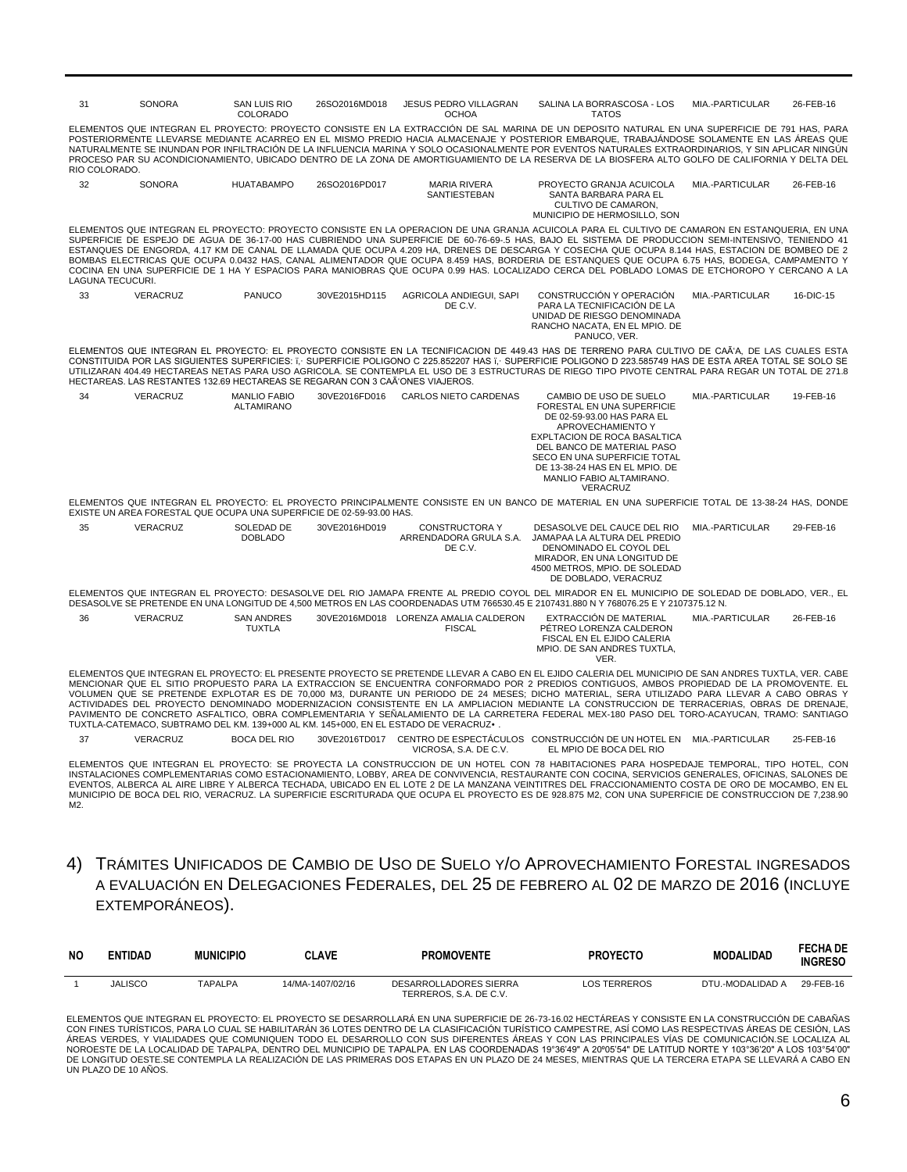| 31                      | <b>SONORA</b>                                                                 | <b>SAN LUIS RIO</b><br>COLORADO    | 26SO2016MD018 | <b>JESUS PEDRO VILLAGRAN</b><br><b>OCHOA</b>               | SALINA LA BORRASCOSA - LOS<br><b>TATOS</b>                                                                                                                                                                                                                                                                                                                                                                                                                                                                                                                                                                                                                                                                                                                | MIA.-PARTICULAR | 26-FEB-16 |
|-------------------------|-------------------------------------------------------------------------------|------------------------------------|---------------|------------------------------------------------------------|-----------------------------------------------------------------------------------------------------------------------------------------------------------------------------------------------------------------------------------------------------------------------------------------------------------------------------------------------------------------------------------------------------------------------------------------------------------------------------------------------------------------------------------------------------------------------------------------------------------------------------------------------------------------------------------------------------------------------------------------------------------|-----------------|-----------|
| RIO COLORADO.           |                                                                               |                                    |               |                                                            | ELEMENTOS QUE INTEGRAN EL PROYECTO: PROYECTO CONSISTE EN LA EXTRACCIÓN DE SAL MARINA DE UN DEPOSITO NATURAL EN UNA SUPERFICIE DE 791 HAS, PARA<br>POSTERIORMENTE LLEVARSE MEDIANTE ACARREO EN EL MISMO PREDIO HACIA ALMACENAJE Y POSTERIOR EMBARQUE. TRABAJÁNDOSE SOLAMENTE EN LAS ÁREAS QUE<br>NATURALMENTE SE INUNDAN POR INFILTRACIÓN DE LA INFLUENCIA MARINA Y SOLO OCASIONALMENTE POR EVENTOS NATURALES EXTRAORDINARIOS. Y SIN APLICAR NINGÚN<br>PROCESO PAR SU ACONDICIONAMIENTO, UBICADO DENTRO DE LA ZONA DE AMORTIGUAMIENTO DE LA RESERVA DE LA BIOSFERA ALTO GOLFO DE CALIFORNIA Y DELTA DEL                                                                                                                                                    |                 |           |
| 32                      | <b>SONORA</b>                                                                 | <b>HUATABAMPO</b>                  | 26SO2016PD017 | <b>MARIA RIVERA</b><br><b>SANTIESTEBAN</b>                 | PROYECTO GRANJA ACUICOLA<br>SANTA BARBARA PARA EL<br>CULTIVO DE CAMARON.<br>MUNICIPIO DE HERMOSILLO, SON                                                                                                                                                                                                                                                                                                                                                                                                                                                                                                                                                                                                                                                  | MIA.-PARTICULAR | 26-FEB-16 |
| <b>LAGUNA TECUCURI.</b> |                                                                               |                                    |               |                                                            | ELEMENTOS QUE INTEGRAN EL PROYECTO: PROYECTO CONSISTE EN LA OPERACION DE UNA GRANJA ACUICOLA PARA EL CULTIVO DE CAMARON EN ESTANQUERIA. EN UNA<br>SUPERFICIE DE ESPEJO DE AGUA DE 36-17-00 HAS CUBRIENDO UNA SUPERFICIE DE 60-76-69-5 HAS, BAJO EL SISTEMA DE PRODUCCION SEMI-INTENSIVO, TENIENDO 41<br>ESTANQUES DE ENGORDA, 4.17 KM DE CANAL DE LLAMADA QUE OCUPA 4.209 HA, DRENES DE DESCARGA Y COSECHA QUE OCUPA 8.144 HAS, ESTACION DE BOMBEO DE 2<br>BOMBAS ELECTRICAS QUE OCUPA 0.0432 HAS, CANAL ALIMENTADOR QUE OCUPA 8.459 HAS, BORDERIA DE ESTANQUES QUE OCUPA 6.75 HAS, BODEGA, CAMPAMENTO Y<br>COCINA EN UNA SUPERFICIE DE 1 HA Y ESPACIOS PARA MANIOBRAS QUE OCUPA 0.99 HAS. LOCALIZADO CERCA DEL POBLADO LOMAS DE ETCHOROPO Y CERCANO A LA |                 |           |
| 33                      | VERACRUZ                                                                      | <b>PANUCO</b>                      | 30VE2015HD115 | AGRICOLA ANDIEGUI, SAPI<br>DE C.V.                         | CONSTRUCCIÓN Y OPERACIÓN<br>PARA LA TECNIFICACIÓN DE LA<br>UNIDAD DE RIESGO DENOMINADA<br>RANCHO NACATA. EN EL MPIO. DE<br>PANUCO, VER.                                                                                                                                                                                                                                                                                                                                                                                                                                                                                                                                                                                                                   | MIA.-PARTICULAR | 16-DIC-15 |
|                         | HECTAREAS, LAS RESTANTES 132.69 HECTAREAS SE REGARAN CON 3 CAÃ'ONES VIAJEROS. |                                    |               |                                                            | ELEMENTOS QUE INTEGRAN EL PROYECTO: EL PROYECTO CONSISTE EN LA TECNIFICACION DE 449.43 HAS DE TERRENO PARA CULTIVO DE CAÃ'A. DE LAS CUALES ESTA<br>CONSTITUIDA POR LAS SIGUIENTES SUPERFICIES: T. SUPERFICIE POLIGONO C 225.852207 HAS T. SUPERFICIE POLIGONO D 223.585749 HAS DE ESTA AREA TOTAL SE SOLO SE<br>UTILIZARAN 404.49 HECTAREAS NETAS PARA USO AGRICOLA. SE CONTEMPLA EL USO DE 3 ESTRUCTURAS DE RIEGO TIPO PIVOTE CENTRAL PARA REGAR UN TOTAL DE 271.8                                                                                                                                                                                                                                                                                       |                 |           |
| 34                      | <b>VERACRUZ</b>                                                               | <b>MANLIO FABIO</b><br>ALTAMIRANO  | 30VE2016FD016 | <b>CARLOS NIETO CARDENAS</b>                               | CAMBIO DE USO DE SUELO<br>FORESTAL EN UNA SUPERFICIE<br>DE 02-59-93.00 HAS PARA EL<br>APROVECHAMIENTO Y<br>EXPLTACION DE ROCA BASALTICA<br>DEL BANCO DE MATERIAL PASO<br>SECO EN UNA SUPERFICIE TOTAL<br>DE 13-38-24 HAS EN EL MPIO. DE<br>MANLIO FABIO ALTAMIRANO.<br><b>VERACRUZ</b>                                                                                                                                                                                                                                                                                                                                                                                                                                                                    | MIA.-PARTICULAR | 19-FEB-16 |
|                         | EXISTE UN AREA FORESTAL QUE OCUPA UNA SUPERFICIE DE 02-59-93.00 HAS.          |                                    |               |                                                            | ELEMENTOS QUE INTEGRAN EL PROYECTO: EL PROYECTO PRINCIPALMENTE CONSISTE EN UN BANCO DE MATERIAL EN UNA SUPERFICIE TOTAL DE 13-38-24 HAS, DONDE                                                                                                                                                                                                                                                                                                                                                                                                                                                                                                                                                                                                            |                 |           |
| 35                      | <b>VERACRUZ</b>                                                               | SOLEDAD DE<br><b>DOBLADO</b>       | 30VE2016HD019 | <b>CONSTRUCTORA Y</b><br>ARRENDADORA GRULA S.A.<br>DE C.V. | DESASOLVE DEL CAUCE DEL RIO<br>JAMAPAA LA ALTURA DEL PREDIO<br>DENOMINADO EL COYOL DEL<br>MIRADOR. EN UNA LONGITUD DE<br>4500 METROS, MPIO, DE SOLEDAD<br>DE DOBLADO, VERACRUZ                                                                                                                                                                                                                                                                                                                                                                                                                                                                                                                                                                            | MIA.-PARTICULAR | 29-FEB-16 |
|                         |                                                                               |                                    |               |                                                            | ELEMENTOS QUE INTEGRAN EL PROYECTO: DESASOLVE DEL RIO JAMAPA FRENTE AL PREDIO COYOL DEL MIRADOR EN EL MUNICIPIO DE SOLEDAD DE DOBLADO, VER., EL<br>DESASOLVE SE PRETENDE EN UNA LONGITUD DE 4,500 METROS EN LAS COORDENADAS UTM 766530.45 E 2107431.880 N Y 768076.25 E Y 2107375.12 N.                                                                                                                                                                                                                                                                                                                                                                                                                                                                   |                 |           |
| 36                      | VERACRUZ                                                                      | <b>SAN ANDRES</b><br><b>TUXTLA</b> |               | 30VE2016MD018 LORENZA AMALIA CALDERON<br><b>FISCAL</b>     | EXTRACCIÓN DE MATERIAL<br>PÉTREO LORENZA CALDERON<br>FISCAL EN EL EJIDO CALERIA<br>MPIO. DE SAN ANDRES TUXTLA,<br>VER.                                                                                                                                                                                                                                                                                                                                                                                                                                                                                                                                                                                                                                    | MIA.-PARTICULAR | 26-FEB-16 |
|                         |                                                                               |                                    |               |                                                            | ELEMENTOS QUE INTEGRAN EL PROYECTO: EL PRESENTE PROYECTO SE PRETENDE LLEVAR A CABO EN EL EJIDO CALERIA DEL MUNICIPIO DE SAN ANDRES TUXTLA, VER. CABE<br>MENCIONAR QUE EL SITIO PROPUESTO PARA LA EXTRACCION SE ENCUENTRA CONFORMADO POR 2 PREDIOS CONTIGUOS, AMBOS PROPIEDAD DE LA PROMOVENTE. EL<br>VOLUMEN QUE SE PRETENDE EXPLOTAR ES DE 70,000 M3, DURANTE UN PERIODO DE 24 MESES; DICHO MATERIAL, SERA UTILIZADO PARA LLEVAR A CABO OBRAS Y<br>ACTIVIDADES DEL PROYECTO DENOMINADO MODERNIZACION CONSISTENTE EN LA AMPLIACION MEDIANTE LA CONSTRUCCION DE TERRACERIAS, OBRAS DE DRENAJE,<br>BAUINENTO DE CONCRETO ACENITICO, ORDA COMPLEMENTADIA VICEÑALAMIENTO DE LA CARRETERA EFREDALIMEY 400 RACO DEL TORO ACAVILICAN TRAMO, CANTIACO             |                 |           |

ARRETERA FEDERAL MEX-180 PASO DEL TORO-ACAYUCAN, TRAMO: SANTIAGO TUXTLA-CATEMACO, SUBTRAMO DEL KM. 139+000 AL KM. 145+000, EN EL ESTADO DE VERACRUZ•.

37 VERACRUZ BOCA DEL RIO 30VE2016TD017 CENTRO DE ESPECTÁCULOS CONSTRUCCIÓN DE UN HOTEL EN MIA.-PARTICULAR 25-FEB-16 VICROSA, S.A. DE C.V. EL MPIO DE BOCA DEL RIO

ELEMENTOS QUE INTEGRAN EL PROYECTO: SE PROYECTA LA CONSTRUCCION DE UN HOTEL CON 78 HABITACIONES PARA HOSPEDAJE TEMPORAL, TIPO HOTEL, CON<br>INSTALACIONES COMPLEMENTARIAS COMO ESTACIONAMIENTO, LOBBY, AREA DE CONVIVENCIA, RESTA EVENTOS, ALBERCA AL AIRE LIBRE Y ALBERCA TECHADA, UBICADO EN EL LOTE 2 DE LA MANZANA VEINTITRES DEL FRACCIONAMIENTO COSTA DE ORO DE MOCAMBO, EN EL<br>MUNICIPIO DE BOCA DEL RIO, VERACRUZ. LA SUPERFICIE ESCRITURADA QUE OCUPA EL  $\overline{M2}$ .

4) TRÁMITES UNIFICADOS DE CAMBIO DE USO DE SUELO Y/O APROVECHAMIENTO FORESTAL INGRESADOS A EVALUACIÓN EN DELEGACIONES FEDERALES, DEL 25 DE FEBRERO AL 02 DE MARZO DE 2016 (INCLUYE EXTEMPORÁNEOS).

| NO. | <b>ENTIDAD</b> | <b>MUNICIPIO</b> | <b>CLAVE</b>     | <b>PROMOVENTE</b>                                | <b>PROYECTO</b>     | <b>MODALIDAD</b> | <b>FECHA DE</b><br><b>INGRESO</b> |
|-----|----------------|------------------|------------------|--------------------------------------------------|---------------------|------------------|-----------------------------------|
|     | JALISCO        | <b>TAPALPA</b>   | 14/MA-1407/02/16 | DESARROLLADORES SIERRA<br>TERREROS, S.A. DE C.V. | <b>LOS TERREROS</b> | DTU.-MODALIDAD A | 29-FEB-16                         |

ELEMENTOS QUE INTEGRAN EL PROYECTO: EL PROYECTO SE DESARROLLARÁ EN UNA SUPERFICIE DE 26-73-16.02 HECTÁREAS Y CONSISTE EN LA CONSTRUCCIÓN DE CABAÑAS<br>CON FINES TURÍSTICOS, PARA LO CUAL SE HABILITARÁN 36 LOTES DENTRO DE LA CL ÁREAS VERDES, Y VIALIDADES QUE COMUNIQUEN TODO EL DESARROLLO CON SUS DIFERENTES ÁREAS Y CON LAS PRINCIPALES VÍAS DE COMUNICACIÓN.SE LOCALIZA AL NOROESTE DE LA LOCALIDAD DE TAPALPA, DENTRO DEL MUNICIPIO DE TAPALPA. EN LAS COORDENADAS 19°36'49" A 20°05'54" DE LATITUD NORTE Y 103°36'20" A LOS 103°54'00"<br>DE LONGITUD OESTE SE CONTEMPLA LA REALIZACIÓN DE LAS PRIMERAS DO UN PLAZO DE 10 AÑOS.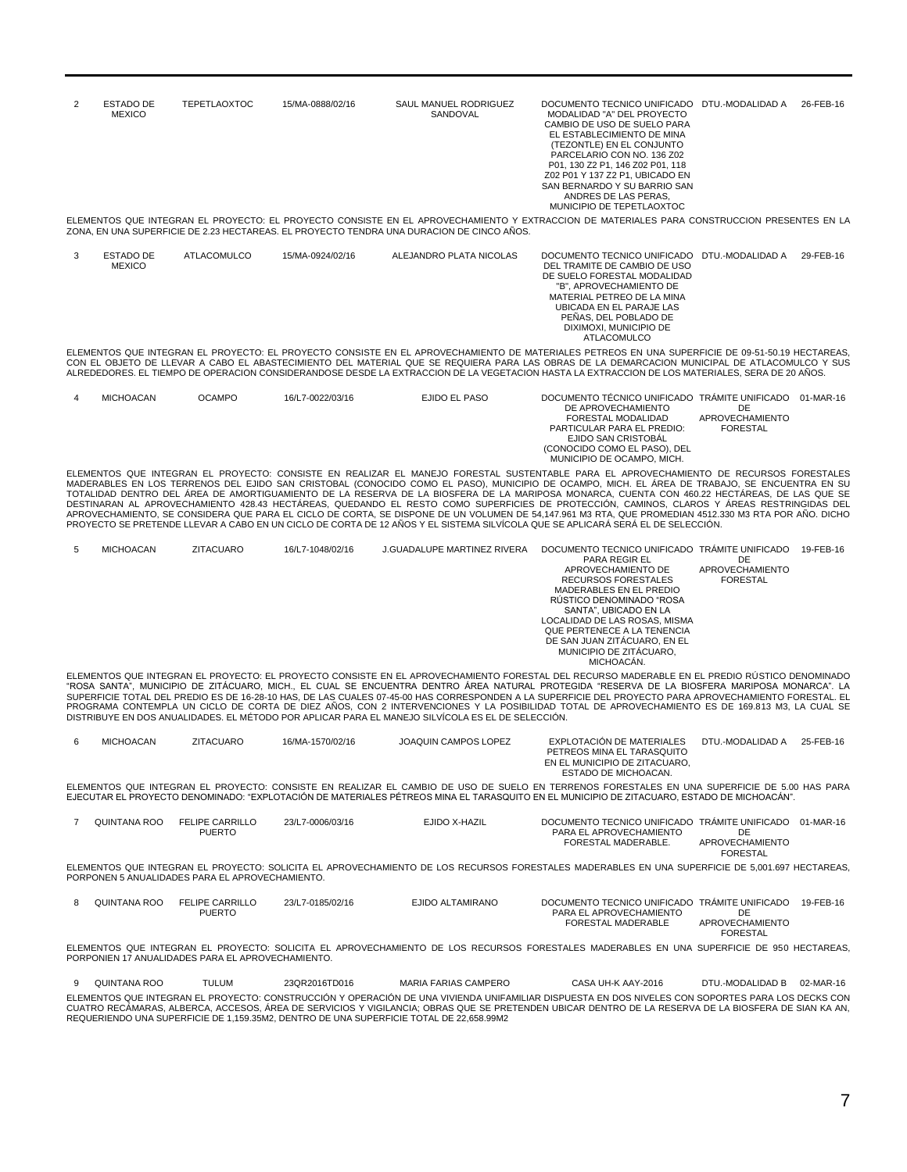| 2 | ESTADO DE<br><b>MEXICO</b> | <b>TEPETLAOXTOC</b> | 15/MA-0888/02/16 | SAUL MANUEL RODRIGUEZ<br>SANDOVAL                                                         | DOCUMENTO TECNICO UNIFICADO DTU.-MODALIDAD A<br>MODALIDAD "A" DEL PROYECTO<br>CAMBIO DE USO DE SUELO PARA<br>EL ESTABLECIMIENTO DE MINA<br>(TEZONTLE) EN EL CONJUNTO<br>PARCELARIO CON NO. 136 Z02<br>P01, 130 Z2 P1, 146 Z02 P01, 118<br>Z02 P01 Y 137 Z2 P1. UBICADO EN<br>SAN BERNARDO Y SU BARRIO SAN<br>ANDRES DE LAS PERAS. | 26-FEB-16 |
|---|----------------------------|---------------------|------------------|-------------------------------------------------------------------------------------------|-----------------------------------------------------------------------------------------------------------------------------------------------------------------------------------------------------------------------------------------------------------------------------------------------------------------------------------|-----------|
|   |                            |                     |                  |                                                                                           | MUNICIPIO DE TEPETLAOXTOC                                                                                                                                                                                                                                                                                                         |           |
|   |                            |                     |                  | ZONA. EN UNA SUPERFICIE DE 2.23 HECTAREAS. EL PROYECTO TENDRA UNA DURACION DE CINCO AÑOS. | ELEMENTOS QUE INTEGRAN EL PROYECTO: EL PROYECTO CONSISTE EN EL APROVECHAMIENTO Y EXTRACCION DE MATERIALES PARA CONSTRUCCION PRESENTES EN LA                                                                                                                                                                                       |           |

3 ESTADO DE **MEXICO** ATLACOMULCO 15/MA-0924/02/16 ALEJANDRO PLATA NICOLAS DOCUMENTO TECNICO UNIFICADO DTU.-MODALIDAD A 29-FEB-16 DEL TRAMITE DE CAMBIO DE USO DE SUELO FORESTAL MODALIDAD "B", APROVECHAMIENTO DE MATERIAL PETREO DE LA MINA UBICADA EN EL PARAJE LAS PEÑAS, DEL POBLADO DE DIXIMOXI, MUNICIPIO DE ATLACOMULCO

ELEMENTOS QUE INTEGRAN EL PROYECTO: EL PROYECTO CONSISTE EN EL APROVECHAMIENTO DE MATERIALES PETREOS EN UNA SUPERFICIE DE 09-51-50.19 HECTAREAS, CON EL OBJETO DE LLEVAR A CABO EL ABASTECIMIENTO DEL MATERIAL QUE SE REQUIERA PARA LAS OBRAS DE LA DEMARCACION MUNICIPAL DE ATLACOMULCO Y SUS ALREDEDORES. EL TIEMPO DE OPERACION CONSIDERANDOSE DESDE LA EXTRACCION DE LA VEGETACION HASTA LA EXTRACCION DE LOS MATERIALES, SERA DE 20 AÑOS.

| <b>OCAMPO</b><br>16/L7-0022/03/16<br>EJIDO EL PASO<br>MICHOACAN | DOCUMENTO TÉCNICO UNIFICADO TRÁMITE UNIFICADO 01-MAR-16<br>DE APROVECHAMIENTO<br>FORESTAL MODALIDAD<br>PARTICULAR PARA EL PREDIO:<br>EJIDO SAN CRISTOBAL<br>(CONOCIDO COMO EL PASO), DEL<br>MUNICIPIO DE OCAMPO, MICH. | DE<br>APROVECHAMIENTO<br>FORESTAL |  |
|-----------------------------------------------------------------|------------------------------------------------------------------------------------------------------------------------------------------------------------------------------------------------------------------------|-----------------------------------|--|
|-----------------------------------------------------------------|------------------------------------------------------------------------------------------------------------------------------------------------------------------------------------------------------------------------|-----------------------------------|--|

ELEMENTOS QUE INTEGRAN EL PROYECTO: CONSISTE EN REALIZAR EL MANEJO FORESTAL SUSTENTABLE PARA EL APROVECHAMIENTO DE RECURSOS FORESTALES MADERABLES EN LOS TERRENOS DEL EJIDO SAN CRISTOBAL (CONOCIDO COMO EL PASO), MUNICIPIO DE OCAMPO, MICH. EL ÁREA DE TRABAJO, SE ENCUENTRA EN SU<br>TOTALIDAD DENTRO DEL ÁREA DE AMORTIGUAMIENTO DE LA RESERVA DE LA BIOSFERA DE LA

| 5. | MICHOACAN | ZITACUARO | 16/L7-1048/02/16 | <b>J.GUADALUPE MARTINEZ RIVERA</b> | DOCUMENTO TECNICO UNIFICADO TRÁMITE UNIFICADO |                 | 19-FEB-16 |
|----|-----------|-----------|------------------|------------------------------------|-----------------------------------------------|-----------------|-----------|
|    |           |           |                  |                                    | PARA REGIR EL                                 | DE              |           |
|    |           |           |                  |                                    | APROVECHAMIENTO DE                            | APROVECHAMIENTO |           |
|    |           |           |                  |                                    | RECURSOS FORESTALES                           | <b>FORESTAL</b> |           |
|    |           |           |                  |                                    | MADERABLES EN EL PREDIO                       |                 |           |
|    |           |           |                  |                                    | RÚSTICO DENOMINADO "ROSA                      |                 |           |
|    |           |           |                  |                                    | SANTA". UBICADO EN LA                         |                 |           |
|    |           |           |                  |                                    | LOCALIDAD DE LAS ROSAS. MISMA                 |                 |           |
|    |           |           |                  |                                    | QUE PERTENECE A LA TENENCIA                   |                 |           |
|    |           |           |                  |                                    | DE SAN JUAN ZITACUARO. EN EL                  |                 |           |
|    |           |           |                  |                                    | MUNICIPIO DE ZITÁCUARO.                       |                 |           |
|    |           |           |                  |                                    | MICHOACÁN.                                    |                 |           |

ELEMENTOS QUE INTEGRAN EL PROYECTO: EL PROYECTO CONSISTE EN EL APROVECHAMIENTO FORESTAL DEL RECURSO MADERABLE EN EL PREDIO RÚSTICO DENOMINADO "ROSA SANTA", MUNICIPIO DE ZITÁCUARO, MICH., EL CUAL SE ENCUENTRA DENTRO ÁREA NATURAL PROTEGIDA "RESERVA DE LA BIOSFERA MARIPOSA MONARCA". LA<br>SUPERFICIE TOTAL DEL PREDIO ES DE 16-28-10 HAS, DE LAS CUALES 07-45-00 HAS CORRE PROGRAMA CONTEMPLA UN CICLO DE CORTA DE DIEZ AÑOS, CON 2 INTERVENCIONES Y LA POSIBILIDAD TOTAL DE APROVECHAMIENTO ES DE 169.813 M3, LA CUAL SE DISTRIBUYE EN DOS ANUALIDADES. EL MÉTODO POR APLICAR PARA EL MANEJO SILVÍCOLA ES EL DE SELECCIÓN.

| MICHOACAN | ZITACUARO | 16/MA-1570/02/16                                                                                                                             |  | JOAQUIN CAMPOS LOPEZ |  | EXPLOTACION DE MATERIALES<br>PETREOS MINA EL TARASQUITO<br>EN EL MUNICIPIO DE ZITACUARO. | ESTADO DE MICHOACAN. |  | DTU.-MODALIDAD A |  | 25-FEB-16 |  |
|-----------|-----------|----------------------------------------------------------------------------------------------------------------------------------------------|--|----------------------|--|------------------------------------------------------------------------------------------|----------------------|--|------------------|--|-----------|--|
|           |           | ELEMENTOS QUE INTEGRAN EL PROYECTO: CONSISTE EN REALIZAR EL CAMBIO DE USO DE SUELO EN TERRENOS FORESTALES EN UNA SUPERFICIE DE 5.00 HAS PARA |  |                      |  |                                                                                          |                      |  |                  |  |           |  |

ELEMENTOS QUE INTEGRAN EL PROYECTO: CONSISTE EN REALIZAR EL CAMBIO DE USO DE SUELO EN TERRENOS FORESTALES EN UNA SUPERFICIE DE 5.00 HAS PARA<br>EJECUTAR EL PROYECTO DENOMINADO: "EXPLOTACIÓN DE MATERIALES PÉTREOS MINA EL TARAS

| QUINTANA ROO | <b>FELIPE CARRILLO</b> | 23/L7-0006/03/16 | EJIDO X-HAZIL | DOCUMENTO TECNICO UNIFICADO TRAMITE UNIFICADO |                                           | 01-MAR-16 |
|--------------|------------------------|------------------|---------------|-----------------------------------------------|-------------------------------------------|-----------|
|              | <b>PUERTO</b>          |                  |               | PARA EL APROVECHAMIENTO                       |                                           |           |
|              |                        |                  |               | FORESTAL MADERABLE.                           | <b>APROVECHAMIENTO</b><br><b>FORESTAL</b> |           |

ELEMENTOS QUE INTEGRAN EL PROYECTO: SOLICITA EL APROVECHAMIENTO DE LOS RECURSOS FORESTALES MADERABLES EN UNA SUPERFICIE DE 5,001.697 HECTAREAS, PORPONEN 5 ANUALIDADES PARA EL APROVECHAMIENTO.

| QUINTANA ROO |  | FELIPE CARRILLO<br><b>PUERTO</b>                 | 23/L7-0185/02/16 |  | EJIDO ALTAMIRANO |  | DOCUMENTO TECNICO UNIFICADO TRÁMITE UNIFICADO<br>PARA EL APROVECHAMIENTO<br>FORESTAL MADERABLE                                            | DE<br>APROVECHAMIENTO<br><b>FORESTAL</b> | 19-FFB-16 |
|--------------|--|--------------------------------------------------|------------------|--|------------------|--|-------------------------------------------------------------------------------------------------------------------------------------------|------------------------------------------|-----------|
|              |  |                                                  |                  |  |                  |  | ELEMENTOS QUE INTEGRAN EL PROYECTO: SOLICITA EL APROVECHAMIENTO DE LOS RECURSOS FORESTALES MADERABLES EN UNA SUPERFICIE DE 950 HECTAREAS. |                                          |           |
|              |  | PORPONIEN 17 ANUALIDADES PARA EL APROVECHAMIENTO |                  |  |                  |  |                                                                                                                                           |                                          |           |

9 QUINTANA ROO TULUM 23QR2016TD016 MARIA FARIAS CAMPERO CASA UH-K AAY-2016 DTU.-MODALIDAD B 02-MAR-16 ELEMENTOS QUE INTEGRAN EL PROYECTO: CONSTRUCCIÓN Y OPERACIÓN DE UNA VIVIENDA UNIFAMILIAR DISPUESTA EN DOS NIVELES CON SOPORTES PARA LOS DECKS CON CUATRO RECAMARAS, ALBERCA, ACCESOS, AREA DE SERVICIOS Y VIGILANCIA; OBRAS QUE SE PRETENDEN UBICAR DENTRO DE LA RESERVA DE LA BIOSFERA DE SIAN KA AN,<br>REQUERIENDO UNA SUPERFICIE DE 1,159.35M2, DENTRO DE UNA SUPERFICIE TOTAL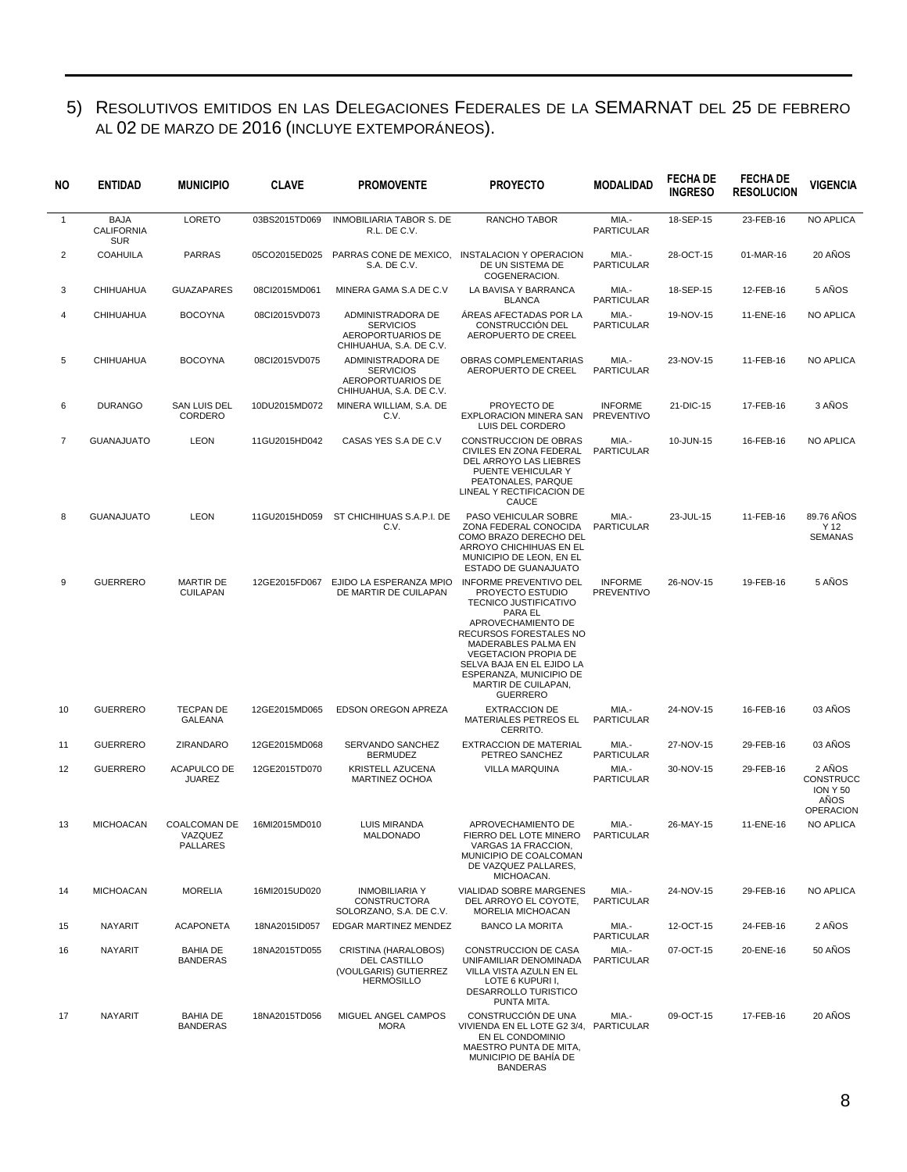### 5) RESOLUTIVOS EMITIDOS EN LAS DELEGACIONES FEDERALES DE LA SEMARNAT DEL 25 DE FEBRERO AL 02 DE MARZO DE 2016 (INCLUYE EXTEMPORÁNEOS).

| NO.          | <b>ENTIDAD</b>                                 | <b>MUNICIPIO</b>                           | <b>CLAVE</b>  | <b>PROMOVENTE</b>                                                                     | <b>PROYECTO</b>                                                                                                                                                                                                                                                                        | <b>MODALIDAD</b>                    | <b>FECHADE</b><br><b>INGRESO</b> | <b>FECHA DE</b><br><b>RESOLUCION</b> | <b>VIGENCIA</b>                                             |
|--------------|------------------------------------------------|--------------------------------------------|---------------|---------------------------------------------------------------------------------------|----------------------------------------------------------------------------------------------------------------------------------------------------------------------------------------------------------------------------------------------------------------------------------------|-------------------------------------|----------------------------------|--------------------------------------|-------------------------------------------------------------|
| $\mathbf{1}$ | <b>BAJA</b><br><b>CALIFORNIA</b><br><b>SUR</b> | LORETO                                     | 03BS2015TD069 | <b>INMOBILIARIA TABOR S. DE</b><br>R.L. DE C.V.                                       | RANCHO TABOR                                                                                                                                                                                                                                                                           | MIA.-<br><b>PARTICULAR</b>          | 18-SEP-15                        | 23-FEB-16                            | <b>NO APLICA</b>                                            |
| 2            | <b>COAHUILA</b>                                | <b>PARRAS</b>                              | 05CO2015ED025 | S.A. DE C.V.                                                                          | PARRAS CONE DE MEXICO, INSTALACION Y OPERACION<br>DE UN SISTEMA DE<br>COGENERACION.                                                                                                                                                                                                    | MIA.-<br><b>PARTICULAR</b>          | 28-OCT-15                        | 01-MAR-16                            | 20 AÑOS                                                     |
| 3            | CHIHUAHUA                                      | <b>GUAZAPARES</b>                          | 08CI2015MD061 | MINERA GAMA S.A DE C.V                                                                | LA BAVISA Y BARRANCA<br><b>BLANCA</b>                                                                                                                                                                                                                                                  | MIA.-<br><b>PARTICULAR</b>          | 18-SEP-15                        | 12-FEB-16                            | 5 AÑOS                                                      |
| 4            | <b>CHIHUAHUA</b>                               | <b>BOCOYNA</b>                             | 08Cl2015VD073 | ADMINISTRADORA DE<br><b>SERVICIOS</b><br>AEROPORTUARIOS DE<br>CHIHUAHUA, S.A. DE C.V. | ÁREAS AFECTADAS POR LA<br><b>CONSTRUCCIÓN DEL</b><br>AEROPUERTO DE CREEL                                                                                                                                                                                                               | MIA.-<br><b>PARTICULAR</b>          | 19-NOV-15                        | 11-ENE-16                            | <b>NO APLICA</b>                                            |
| 5            | CHIHUAHUA                                      | <b>BOCOYNA</b>                             | 08Cl2015VD075 | ADMINISTRADORA DE<br><b>SERVICIOS</b><br>AEROPORTUARIOS DE<br>CHIHUAHUA, S.A. DE C.V. | OBRAS COMPLEMENTARIAS<br>AEROPUERTO DE CREEL                                                                                                                                                                                                                                           | MIA.-<br><b>PARTICULAR</b>          | 23-NOV-15                        | 11-FEB-16                            | <b>NO APLICA</b>                                            |
| 6            | <b>DURANGO</b>                                 | SAN LUIS DEL<br>CORDERO                    | 10DU2015MD072 | MINERA WILLIAM, S.A. DE<br>C.V.                                                       | PROYECTO DE<br>EXPLORACION MINERA SAN<br>LUIS DEL CORDERO                                                                                                                                                                                                                              | <b>INFORME</b><br><b>PREVENTIVO</b> | 21-DIC-15                        | 17-FEB-16                            | 3 AÑOS                                                      |
| 7            | <b>GUANAJUATO</b>                              | <b>LEON</b>                                | 11GU2015HD042 | CASAS YES S.A DE C.V                                                                  | <b>CONSTRUCCION DE OBRAS</b><br>CIVILES EN ZONA FEDERAL<br>DEL ARROYO LAS LIEBRES<br>PUENTE VEHICULAR Y<br>PEATONALES, PARQUE<br>LINEAL Y RECTIFICACION DE<br>CAUCE                                                                                                                    | MIA.-<br><b>PARTICULAR</b>          | 10-JUN-15                        | 16-FEB-16                            | <b>NO APLICA</b>                                            |
| 8            | <b>GUANAJUATO</b>                              | <b>LEON</b>                                | 11GU2015HD059 | ST CHICHIHUAS S.A.P.I. DE<br>C.V.                                                     | PASO VEHICULAR SOBRE<br>ZONA FEDERAL CONOCIDA<br>COMO BRAZO DERECHO DEL<br>ARROYO CHICHIHUAS EN EL<br>MUNICIPIO DE LEON. EN EL<br><b>ESTADO DE GUANAJUATO</b>                                                                                                                          | MIA.-<br><b>PARTICULAR</b>          | 23-JUL-15                        | 11-FEB-16                            | 89.76 ANOS<br>Y 12<br>SEMANAS                               |
| 9            | <b>GUERRERO</b>                                | <b>MARTIR DE</b><br><b>CUILAPAN</b>        | 12GE2015FD067 | EJIDO LA ESPERANZA MPIO<br>DE MARTIR DE CUILAPAN                                      | INFORME PREVENTIVO DEL<br>PROYECTO ESTUDIO<br>TECNICO JUSTIFICATIVO<br>PARA EL<br>APROVECHAMIENTO DE<br>RECURSOS FORESTALES NO<br>MADERABLES PALMA EN<br><b>VEGETACION PROPIA DE</b><br>SELVA BAJA EN EL EJIDO LA<br>ESPERANZA, MUNICIPIO DE<br>MARTIR DE CUILAPAN,<br><b>GUERRERO</b> | <b>INFORME</b><br><b>PREVENTIVO</b> | 26-NOV-15                        | 19-FEB-16                            | 5 AÑOS                                                      |
| 10           | GUERRERO                                       | <b>TECPAN DE</b><br>GALEANA                | 12GE2015MD065 | <b>EDSON OREGON APREZA</b>                                                            | <b>EXTRACCION DE</b><br>MATERIALES PETREOS EL<br>CERRITO.                                                                                                                                                                                                                              | MIA.-<br><b>PARTICULAR</b>          | 24-NOV-15                        | 16-FEB-16                            | 03 AÑOS                                                     |
| 11           | GUERRERO                                       | ZIRANDARO                                  | 12GE2015MD068 | SERVANDO SANCHEZ<br><b>BERMUDEZ</b>                                                   | <b>EXTRACCION DE MATERIAL</b><br>PETREO SANCHEZ                                                                                                                                                                                                                                        | MIA.-<br><b>PARTICULAR</b>          | 27-NOV-15                        | 29-FEB-16                            | 03 ANOS                                                     |
| 12           | GUERRERO                                       | <b>ACAPULCO DE</b><br><b>JUAREZ</b>        | 12GE2015TD070 | <b>KRISTELL AZUCENA</b><br>MARTINEZ OCHOA                                             | <b>VILLA MARQUINA</b>                                                                                                                                                                                                                                                                  | MIA.-<br><b>PARTICULAR</b>          | 30-NOV-15                        | 29-FEB-16                            | 2 ANOS<br>CONSTRUCC<br>ION Y 50<br>ANOS<br><b>OPERACION</b> |
| 13           | <b>MICHOACAN</b>                               | COALCOMAN DE<br>VAZQUEZ<br><b>PALLARES</b> | 16MI2015MD010 | LUIS MIRANDA<br><b>MALDONADO</b>                                                      | APROVECHAMIENTO DE<br>FIERRO DEL LOTE MINERO<br>VARGAS 1A FRACCION,<br>MUNICIPIO DE COALCOMAN<br>DE VAZQUEZ PALLARES,<br>MICHOACAN.                                                                                                                                                    | MIA.-<br><b>PARTICULAR</b>          | 26-MAY-15                        | 11-ENE-16                            | <b>NO APLICA</b>                                            |
| 14           | <b>MICHOACAN</b>                               | <b>MORELIA</b>                             | 16MI2015UD020 | <b>INMOBILIARIA Y</b><br><b>CONSTRUCTORA</b><br>SOLORZANO, S.A. DE C.V.               | VIALIDAD SOBRE MARGENES<br>DEL ARROYO EL COYOTE,<br>MORELIA MICHOACAN                                                                                                                                                                                                                  | MIA.-<br>PARTICULAR                 | 24-NOV-15                        | 29-FEB-16                            | <b>NO APLICA</b>                                            |
| 15           | NAYARIT                                        | <b>ACAPONETA</b>                           | 18NA2015ID057 | EDGAR MARTINEZ MENDEZ                                                                 | <b>BANCO LA MORITA</b>                                                                                                                                                                                                                                                                 | MIA.-<br>PARTICULAR                 | 12-OCT-15                        | 24-FEB-16                            | 2 AÑOS                                                      |
| 16           | NAYARIT                                        | <b>BAHIA DE</b><br><b>BANDERAS</b>         | 18NA2015TD055 | CRISTINA (HARALOBOS)<br>DEL CASTILLO<br>(VOULGARIS) GUTIERREZ<br><b>HERMOSILLO</b>    | CONSTRUCCION DE CASA<br>UNIFAMILIAR DENOMINADA<br>VILLA VISTA AZULN EN EL<br>LOTE 6 KUPURI I,<br>DESARROLLO TURISTICO<br>PUNTA MITA.                                                                                                                                                   | MIA.-<br><b>PARTICULAR</b>          | 07-OCT-15                        | 20-ENE-16                            | 50 AÑOS                                                     |
| 17           | NAYARIT                                        | <b>BAHIA DE</b><br><b>BANDERAS</b>         | 18NA2015TD056 | MIGUEL ANGEL CAMPOS<br><b>MORA</b>                                                    | CONSTRUCCIÓN DE UNA<br>VIVIENDA EN EL LOTE G2 3/4, PARTICULAR<br>EN EL CONDOMINIO<br>MAESTRO PUNTA DE MITA,<br>MUNICIPIO DE BAHÍA DE<br><b>BANDERAS</b>                                                                                                                                | MIA.-                               | 09-OCT-15                        | 17-FEB-16                            | 20 AÑOS                                                     |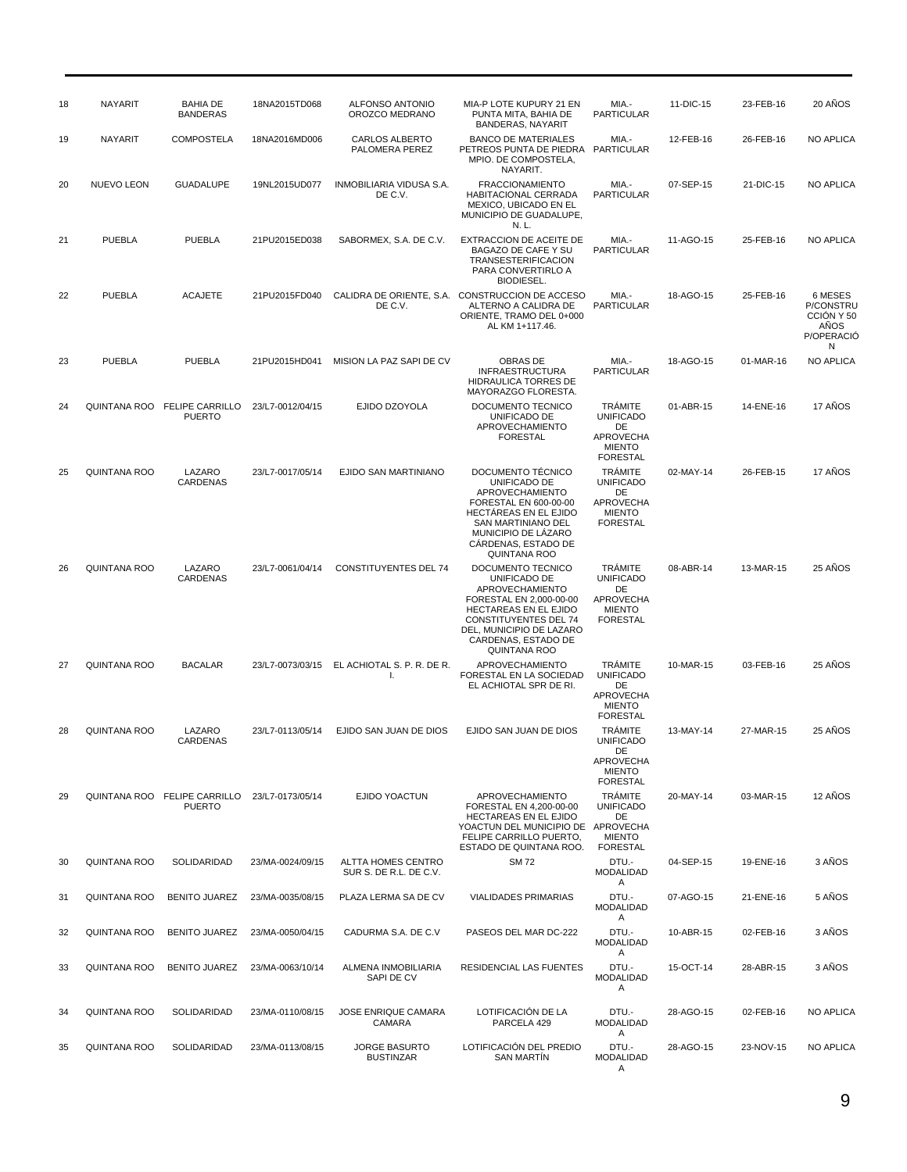| <b>NAYARIT</b><br>MIA.-<br>11-DIC-15<br>18<br>BAHIA DE<br>18NA2015TD068<br><b>ALFONSO ANTONIO</b><br>MIA-P LOTE KUPURY 21 EN<br><b>BANDERAS</b><br>OROZCO MEDRANO<br><b>PARTICULAR</b><br>PUNTA MITA, BAHIA DE<br><b>BANDERAS, NAYARIT</b><br>19<br>NAYARIT<br><b>COMPOSTELA</b><br>18NA2016MD006<br>CARLOS ALBERTO<br><b>BANCO DE MATERIALES</b><br>MIA.-<br>12-FEB-16<br>PALOMERA PEREZ<br>PETREOS PUNTA DE PIEDRA PARTICULAR<br>MPIO. DE COMPOSTELA,<br>NAYARIT.<br>20<br><b>GUADALUPE</b><br>INMOBILIARIA VIDUSA S.A.<br><b>FRACCIONAMIENTO</b><br>MIA.-<br>NUEVO LEON<br>19NL2015UD077<br>07-SEP-15<br>DE C.V.<br>HABITACIONAL CERRADA<br><b>PARTICULAR</b><br>MEXICO, UBICADO EN EL<br>MUNICIPIO DE GUADALUPE,<br>N. L.<br>21<br><b>PUEBLA</b><br><b>PUEBLA</b><br>21PU2015ED038<br>EXTRACCION DE ACEITE DE<br>MIA.-<br>SABORMEX, S.A. DE C.V.<br>11-AGO-15<br>BAGAZO DE CAFE Y SU<br><b>PARTICULAR</b><br><b>TRANSESTERIFICACION</b><br>PARA CONVERTIRLO A<br>BIODIESEL.<br><b>ACAJETE</b><br>22<br><b>PUEBLA</b><br>21PU2015FD040<br>CALIDRA DE ORIENTE, S.A. CONSTRUCCION DE ACCESO<br>MIA.-<br>18-AGO-15<br>DE C.V.<br>ALTERNO A CALIDRA DE<br><b>PARTICULAR</b><br>ORIENTE, TRAMO DEL 0+000<br>AL KM 1+117.46.<br>23<br><b>PUEBLA</b><br><b>PUEBLA</b><br>21PU2015HD041<br>MISION LA PAZ SAPI DE CV<br>MIA.-<br>18-AGO-15<br>OBRAS DE<br><b>PARTICULAR</b><br><b>INFRAESTRUCTURA</b><br><b>HIDRAULICA TORRES DE</b><br>MAYORAZGO FLORESTA.<br>24<br>QUINTANA ROO<br><b>FELIPE CARRILLO</b><br>23/L7-0012/04/15<br>EJIDO DZOYOLA<br>DOCUMENTO TECNICO<br><b>TRAMITE</b><br>01-ABR-15<br><b>PUERTO</b><br>UNIFICADO DE<br><b>UNIFICADO</b><br>APROVECHAMIENTO<br>DE<br><b>FORESTAL</b><br><b>APROVECHA</b><br><b>MIENTO</b><br><b>FORESTAL</b><br><b>TRÁMITE</b><br>QUINTANA ROO<br>LAZARO<br>23/L7-0017/05/14<br>EJIDO SAN MARTINIANO<br>DOCUMENTO TÉCNICO<br>02-MAY-14<br>25<br>CARDENAS<br><b>UNIFICADO</b><br>UNIFICADO DE<br>APROVECHAMIENTO<br>DE<br>FORESTAL EN 600-00-00<br>APROVECHA<br>HECTAREAS EN EL EJIDO<br><b>MIENTO</b><br>SAN MARTINIANO DEL<br><b>FORESTAL</b><br>MUNICIPIO DE LAZARO<br>CARDENAS, ESTADO DE<br><b>QUINTANA ROO</b><br>LAZARO<br><b>CONSTITUYENTES DEL 74</b><br>DOCUMENTO TECNICO<br><b>TRAMITE</b><br>26<br>QUINTANA ROO<br>23/L7-0061/04/14<br>08-ABR-14<br>CARDENAS<br>UNIFICADO DE<br><b>UNIFICADO</b><br>APROVECHAMIENTO<br>DE<br>APROVECHA<br>FORESTAL EN 2,000-00-00<br><b>HECTAREAS EN EL EJIDO</b><br><b>MIENTO</b><br><b>CONSTITUYENTES DEL 74</b><br><b>FORESTAL</b><br>DEL, MUNICIPIO DE LAZARO<br>CARDENAS, ESTADO DE<br><b>QUINTANA ROO</b><br>QUINTANA ROO<br><b>BACALAR</b><br>23/L7-0073/03/15<br>EL ACHIOTAL S. P. R. DE R.<br><b>APROVECHAMIENTO</b><br><b>TRÁMITE</b><br>10-MAR-15<br>27<br>FORESTAL EN LA SOCIEDAD<br><b>UNIFICADO</b><br>I.<br>EL ACHIOTAL SPR DE RI.<br>DE<br>APROVECHA<br><b>MIENTO</b><br><b>FORESTAL</b><br><b>TRÁMITE</b><br>28<br>QUINTANA ROO<br>LAZARO<br>EJIDO SAN JUAN DE DIOS<br>EJIDO SAN JUAN DE DIOS<br>13-MAY-14<br>23/L7-0113/05/14<br><b>CARDENAS</b><br><b>UNIFICADO</b><br>DE<br>APROVECHA<br><b>MIENTO</b><br><b>FORESTAL</b><br><b>TRÁMITE</b><br>29<br>QUINTANA ROO FELIPE CARRILLO<br>23/L7-0173/05/14<br>EJIDO YOACTUN<br>APROVECHAMIENTO<br>20-MAY-14<br><b>PUERTO</b><br><b>UNIFICADO</b><br>FORESTAL EN 4,200-00-00<br>HECTAREAS EN EL EJIDO<br>DE<br>YOACTUN DEL MUNICIPIO DE APROVECHA<br>FELIPE CARRILLO PUERTO,<br><b>MIENTO</b><br>ESTADO DE QUINTANA ROO.<br><b>FORESTAL</b><br><b>ALTTA HOMES CENTRO</b><br><b>SM72</b><br>DTU.-<br>30<br>QUINTANA ROO<br>SOLIDARIDAD<br>23/MA-0024/09/15<br>04-SEP-15<br>MODALIDAD<br>SUR S. DE R.L. DE C.V.<br>Α<br>DTU.-<br>31<br>23/MA-0035/08/15<br>QUINTANA ROO<br><b>BENITO JUAREZ</b><br>PLAZA LERMA SA DE CV<br><b>VIALIDADES PRIMARIAS</b><br>07-AGO-15<br>MODALIDAD<br>Α<br>DTU.-<br>23/MA-0050/04/15<br>32<br>QUINTANA ROO<br><b>BENITO JUAREZ</b><br>CADURMA S.A. DE C.V<br>PASEOS DEL MAR DC-222<br>10-ABR-15<br>MODALIDAD<br>Α<br>DTU.-<br>33<br>QUINTANA ROO<br><b>BENITO JUAREZ</b><br>23/MA-0063/10/14<br>ALMENA INMOBILIARIA<br>RESIDENCIAL LAS FUENTES<br>15-OCT-14<br>MODALIDAD<br>SAPI DE CV<br>Α<br>LOTIFICACIÓN DE LA<br><b>JOSE ENRIQUE CAMARA</b><br>DTU.-<br>34<br>QUINTANA ROO<br>SOLIDARIDAD<br>23/MA-0110/08/15<br>28-AGO-15<br>CAMARA<br>PARCELA 429<br>MODALIDAD<br>Α<br>LOTIFICACIÓN DEL PREDIO<br>DTU.-<br>QUINTANA ROO<br>SOLIDARIDAD<br><b>JORGE BASURTO</b><br>35<br>23/MA-0113/08/15<br>28-AGO-15<br><b>BUSTINZAR</b><br><b>SAN MARTIN</b><br>MODALIDAD |  |  |  |   |           |                                                               |
|---------------------------------------------------------------------------------------------------------------------------------------------------------------------------------------------------------------------------------------------------------------------------------------------------------------------------------------------------------------------------------------------------------------------------------------------------------------------------------------------------------------------------------------------------------------------------------------------------------------------------------------------------------------------------------------------------------------------------------------------------------------------------------------------------------------------------------------------------------------------------------------------------------------------------------------------------------------------------------------------------------------------------------------------------------------------------------------------------------------------------------------------------------------------------------------------------------------------------------------------------------------------------------------------------------------------------------------------------------------------------------------------------------------------------------------------------------------------------------------------------------------------------------------------------------------------------------------------------------------------------------------------------------------------------------------------------------------------------------------------------------------------------------------------------------------------------------------------------------------------------------------------------------------------------------------------------------------------------------------------------------------------------------------------------------------------------------------------------------------------------------------------------------------------------------------------------------------------------------------------------------------------------------------------------------------------------------------------------------------------------------------------------------------------------------------------------------------------------------------------------------------------------------------------------------------------------------------------------------------------------------------------------------------------------------------------------------------------------------------------------------------------------------------------------------------------------------------------------------------------------------------------------------------------------------------------------------------------------------------------------------------------------------------------------------------------------------------------------------------------------------------------------------------------------------------------------------------------------------------------------------------------------------------------------------------------------------------------------------------------------------------------------------------------------------------------------------------------------------------------------------------------------------------------------------------------------------------------------------------------------------------------------------------------------------------------------------------------------------------------------------------------------------------------------------------------------------------------------------------------------------------------------------------------------------------------------------------------------------------------------------------------------------------------------------------------------------------------------------------------------------------------------------------------------------------------------------------------------------------------------------------------------------------------------------------------------------------------------------------------------------------------------------------------------------------------------------------------------------------------------------------------------------------------------|--|--|--|---|-----------|---------------------------------------------------------------|
|                                                                                                                                                                                                                                                                                                                                                                                                                                                                                                                                                                                                                                                                                                                                                                                                                                                                                                                                                                                                                                                                                                                                                                                                                                                                                                                                                                                                                                                                                                                                                                                                                                                                                                                                                                                                                                                                                                                                                                                                                                                                                                                                                                                                                                                                                                                                                                                                                                                                                                                                                                                                                                                                                                                                                                                                                                                                                                                                                                                                                                                                                                                                                                                                                                                                                                                                                                                                                                                                                                                                                                                                                                                                                                                                                                                                                                                                                                                                                                                                                                                                                                                                                                                                                                                                                                                                                                                                                                                                                                                                                   |  |  |  |   | 23-FEB-16 | 20 AÑOS                                                       |
|                                                                                                                                                                                                                                                                                                                                                                                                                                                                                                                                                                                                                                                                                                                                                                                                                                                                                                                                                                                                                                                                                                                                                                                                                                                                                                                                                                                                                                                                                                                                                                                                                                                                                                                                                                                                                                                                                                                                                                                                                                                                                                                                                                                                                                                                                                                                                                                                                                                                                                                                                                                                                                                                                                                                                                                                                                                                                                                                                                                                                                                                                                                                                                                                                                                                                                                                                                                                                                                                                                                                                                                                                                                                                                                                                                                                                                                                                                                                                                                                                                                                                                                                                                                                                                                                                                                                                                                                                                                                                                                                                   |  |  |  |   | 26-FEB-16 | <b>NO APLICA</b>                                              |
|                                                                                                                                                                                                                                                                                                                                                                                                                                                                                                                                                                                                                                                                                                                                                                                                                                                                                                                                                                                                                                                                                                                                                                                                                                                                                                                                                                                                                                                                                                                                                                                                                                                                                                                                                                                                                                                                                                                                                                                                                                                                                                                                                                                                                                                                                                                                                                                                                                                                                                                                                                                                                                                                                                                                                                                                                                                                                                                                                                                                                                                                                                                                                                                                                                                                                                                                                                                                                                                                                                                                                                                                                                                                                                                                                                                                                                                                                                                                                                                                                                                                                                                                                                                                                                                                                                                                                                                                                                                                                                                                                   |  |  |  |   | 21-DIC-15 | <b>NO APLICA</b>                                              |
|                                                                                                                                                                                                                                                                                                                                                                                                                                                                                                                                                                                                                                                                                                                                                                                                                                                                                                                                                                                                                                                                                                                                                                                                                                                                                                                                                                                                                                                                                                                                                                                                                                                                                                                                                                                                                                                                                                                                                                                                                                                                                                                                                                                                                                                                                                                                                                                                                                                                                                                                                                                                                                                                                                                                                                                                                                                                                                                                                                                                                                                                                                                                                                                                                                                                                                                                                                                                                                                                                                                                                                                                                                                                                                                                                                                                                                                                                                                                                                                                                                                                                                                                                                                                                                                                                                                                                                                                                                                                                                                                                   |  |  |  |   | 25-FEB-16 | NO APLICA                                                     |
|                                                                                                                                                                                                                                                                                                                                                                                                                                                                                                                                                                                                                                                                                                                                                                                                                                                                                                                                                                                                                                                                                                                                                                                                                                                                                                                                                                                                                                                                                                                                                                                                                                                                                                                                                                                                                                                                                                                                                                                                                                                                                                                                                                                                                                                                                                                                                                                                                                                                                                                                                                                                                                                                                                                                                                                                                                                                                                                                                                                                                                                                                                                                                                                                                                                                                                                                                                                                                                                                                                                                                                                                                                                                                                                                                                                                                                                                                                                                                                                                                                                                                                                                                                                                                                                                                                                                                                                                                                                                                                                                                   |  |  |  |   | 25-FEB-16 | 6 MESES<br>P/CONSTRU<br>CCION Y 50<br>ANOS<br>P/OPERACIO<br>N |
|                                                                                                                                                                                                                                                                                                                                                                                                                                                                                                                                                                                                                                                                                                                                                                                                                                                                                                                                                                                                                                                                                                                                                                                                                                                                                                                                                                                                                                                                                                                                                                                                                                                                                                                                                                                                                                                                                                                                                                                                                                                                                                                                                                                                                                                                                                                                                                                                                                                                                                                                                                                                                                                                                                                                                                                                                                                                                                                                                                                                                                                                                                                                                                                                                                                                                                                                                                                                                                                                                                                                                                                                                                                                                                                                                                                                                                                                                                                                                                                                                                                                                                                                                                                                                                                                                                                                                                                                                                                                                                                                                   |  |  |  |   | 01-MAR-16 | <b>NO APLICA</b>                                              |
|                                                                                                                                                                                                                                                                                                                                                                                                                                                                                                                                                                                                                                                                                                                                                                                                                                                                                                                                                                                                                                                                                                                                                                                                                                                                                                                                                                                                                                                                                                                                                                                                                                                                                                                                                                                                                                                                                                                                                                                                                                                                                                                                                                                                                                                                                                                                                                                                                                                                                                                                                                                                                                                                                                                                                                                                                                                                                                                                                                                                                                                                                                                                                                                                                                                                                                                                                                                                                                                                                                                                                                                                                                                                                                                                                                                                                                                                                                                                                                                                                                                                                                                                                                                                                                                                                                                                                                                                                                                                                                                                                   |  |  |  |   | 14-ENE-16 | 17 AÑOS                                                       |
|                                                                                                                                                                                                                                                                                                                                                                                                                                                                                                                                                                                                                                                                                                                                                                                                                                                                                                                                                                                                                                                                                                                                                                                                                                                                                                                                                                                                                                                                                                                                                                                                                                                                                                                                                                                                                                                                                                                                                                                                                                                                                                                                                                                                                                                                                                                                                                                                                                                                                                                                                                                                                                                                                                                                                                                                                                                                                                                                                                                                                                                                                                                                                                                                                                                                                                                                                                                                                                                                                                                                                                                                                                                                                                                                                                                                                                                                                                                                                                                                                                                                                                                                                                                                                                                                                                                                                                                                                                                                                                                                                   |  |  |  |   | 26-FEB-15 | 17 AÑOS                                                       |
|                                                                                                                                                                                                                                                                                                                                                                                                                                                                                                                                                                                                                                                                                                                                                                                                                                                                                                                                                                                                                                                                                                                                                                                                                                                                                                                                                                                                                                                                                                                                                                                                                                                                                                                                                                                                                                                                                                                                                                                                                                                                                                                                                                                                                                                                                                                                                                                                                                                                                                                                                                                                                                                                                                                                                                                                                                                                                                                                                                                                                                                                                                                                                                                                                                                                                                                                                                                                                                                                                                                                                                                                                                                                                                                                                                                                                                                                                                                                                                                                                                                                                                                                                                                                                                                                                                                                                                                                                                                                                                                                                   |  |  |  |   | 13-MAR-15 | 25 ANOS                                                       |
|                                                                                                                                                                                                                                                                                                                                                                                                                                                                                                                                                                                                                                                                                                                                                                                                                                                                                                                                                                                                                                                                                                                                                                                                                                                                                                                                                                                                                                                                                                                                                                                                                                                                                                                                                                                                                                                                                                                                                                                                                                                                                                                                                                                                                                                                                                                                                                                                                                                                                                                                                                                                                                                                                                                                                                                                                                                                                                                                                                                                                                                                                                                                                                                                                                                                                                                                                                                                                                                                                                                                                                                                                                                                                                                                                                                                                                                                                                                                                                                                                                                                                                                                                                                                                                                                                                                                                                                                                                                                                                                                                   |  |  |  |   | 03-FEB-16 | 25 ANOS                                                       |
|                                                                                                                                                                                                                                                                                                                                                                                                                                                                                                                                                                                                                                                                                                                                                                                                                                                                                                                                                                                                                                                                                                                                                                                                                                                                                                                                                                                                                                                                                                                                                                                                                                                                                                                                                                                                                                                                                                                                                                                                                                                                                                                                                                                                                                                                                                                                                                                                                                                                                                                                                                                                                                                                                                                                                                                                                                                                                                                                                                                                                                                                                                                                                                                                                                                                                                                                                                                                                                                                                                                                                                                                                                                                                                                                                                                                                                                                                                                                                                                                                                                                                                                                                                                                                                                                                                                                                                                                                                                                                                                                                   |  |  |  |   | 27-MAR-15 | 25 ANOS                                                       |
|                                                                                                                                                                                                                                                                                                                                                                                                                                                                                                                                                                                                                                                                                                                                                                                                                                                                                                                                                                                                                                                                                                                                                                                                                                                                                                                                                                                                                                                                                                                                                                                                                                                                                                                                                                                                                                                                                                                                                                                                                                                                                                                                                                                                                                                                                                                                                                                                                                                                                                                                                                                                                                                                                                                                                                                                                                                                                                                                                                                                                                                                                                                                                                                                                                                                                                                                                                                                                                                                                                                                                                                                                                                                                                                                                                                                                                                                                                                                                                                                                                                                                                                                                                                                                                                                                                                                                                                                                                                                                                                                                   |  |  |  |   | 03-MAR-15 | 12 AÑOS                                                       |
|                                                                                                                                                                                                                                                                                                                                                                                                                                                                                                                                                                                                                                                                                                                                                                                                                                                                                                                                                                                                                                                                                                                                                                                                                                                                                                                                                                                                                                                                                                                                                                                                                                                                                                                                                                                                                                                                                                                                                                                                                                                                                                                                                                                                                                                                                                                                                                                                                                                                                                                                                                                                                                                                                                                                                                                                                                                                                                                                                                                                                                                                                                                                                                                                                                                                                                                                                                                                                                                                                                                                                                                                                                                                                                                                                                                                                                                                                                                                                                                                                                                                                                                                                                                                                                                                                                                                                                                                                                                                                                                                                   |  |  |  |   | 19-ENE-16 | 3 AÑOS                                                        |
|                                                                                                                                                                                                                                                                                                                                                                                                                                                                                                                                                                                                                                                                                                                                                                                                                                                                                                                                                                                                                                                                                                                                                                                                                                                                                                                                                                                                                                                                                                                                                                                                                                                                                                                                                                                                                                                                                                                                                                                                                                                                                                                                                                                                                                                                                                                                                                                                                                                                                                                                                                                                                                                                                                                                                                                                                                                                                                                                                                                                                                                                                                                                                                                                                                                                                                                                                                                                                                                                                                                                                                                                                                                                                                                                                                                                                                                                                                                                                                                                                                                                                                                                                                                                                                                                                                                                                                                                                                                                                                                                                   |  |  |  |   | 21-ENE-16 | 5 AÑOS                                                        |
|                                                                                                                                                                                                                                                                                                                                                                                                                                                                                                                                                                                                                                                                                                                                                                                                                                                                                                                                                                                                                                                                                                                                                                                                                                                                                                                                                                                                                                                                                                                                                                                                                                                                                                                                                                                                                                                                                                                                                                                                                                                                                                                                                                                                                                                                                                                                                                                                                                                                                                                                                                                                                                                                                                                                                                                                                                                                                                                                                                                                                                                                                                                                                                                                                                                                                                                                                                                                                                                                                                                                                                                                                                                                                                                                                                                                                                                                                                                                                                                                                                                                                                                                                                                                                                                                                                                                                                                                                                                                                                                                                   |  |  |  |   | 02-FEB-16 | 3 AÑOS                                                        |
|                                                                                                                                                                                                                                                                                                                                                                                                                                                                                                                                                                                                                                                                                                                                                                                                                                                                                                                                                                                                                                                                                                                                                                                                                                                                                                                                                                                                                                                                                                                                                                                                                                                                                                                                                                                                                                                                                                                                                                                                                                                                                                                                                                                                                                                                                                                                                                                                                                                                                                                                                                                                                                                                                                                                                                                                                                                                                                                                                                                                                                                                                                                                                                                                                                                                                                                                                                                                                                                                                                                                                                                                                                                                                                                                                                                                                                                                                                                                                                                                                                                                                                                                                                                                                                                                                                                                                                                                                                                                                                                                                   |  |  |  |   | 28-ABR-15 | 3 AÑOS                                                        |
|                                                                                                                                                                                                                                                                                                                                                                                                                                                                                                                                                                                                                                                                                                                                                                                                                                                                                                                                                                                                                                                                                                                                                                                                                                                                                                                                                                                                                                                                                                                                                                                                                                                                                                                                                                                                                                                                                                                                                                                                                                                                                                                                                                                                                                                                                                                                                                                                                                                                                                                                                                                                                                                                                                                                                                                                                                                                                                                                                                                                                                                                                                                                                                                                                                                                                                                                                                                                                                                                                                                                                                                                                                                                                                                                                                                                                                                                                                                                                                                                                                                                                                                                                                                                                                                                                                                                                                                                                                                                                                                                                   |  |  |  |   | 02-FEB-16 | <b>NO APLICA</b>                                              |
|                                                                                                                                                                                                                                                                                                                                                                                                                                                                                                                                                                                                                                                                                                                                                                                                                                                                                                                                                                                                                                                                                                                                                                                                                                                                                                                                                                                                                                                                                                                                                                                                                                                                                                                                                                                                                                                                                                                                                                                                                                                                                                                                                                                                                                                                                                                                                                                                                                                                                                                                                                                                                                                                                                                                                                                                                                                                                                                                                                                                                                                                                                                                                                                                                                                                                                                                                                                                                                                                                                                                                                                                                                                                                                                                                                                                                                                                                                                                                                                                                                                                                                                                                                                                                                                                                                                                                                                                                                                                                                                                                   |  |  |  | A | 23-NOV-15 | NO APLICA                                                     |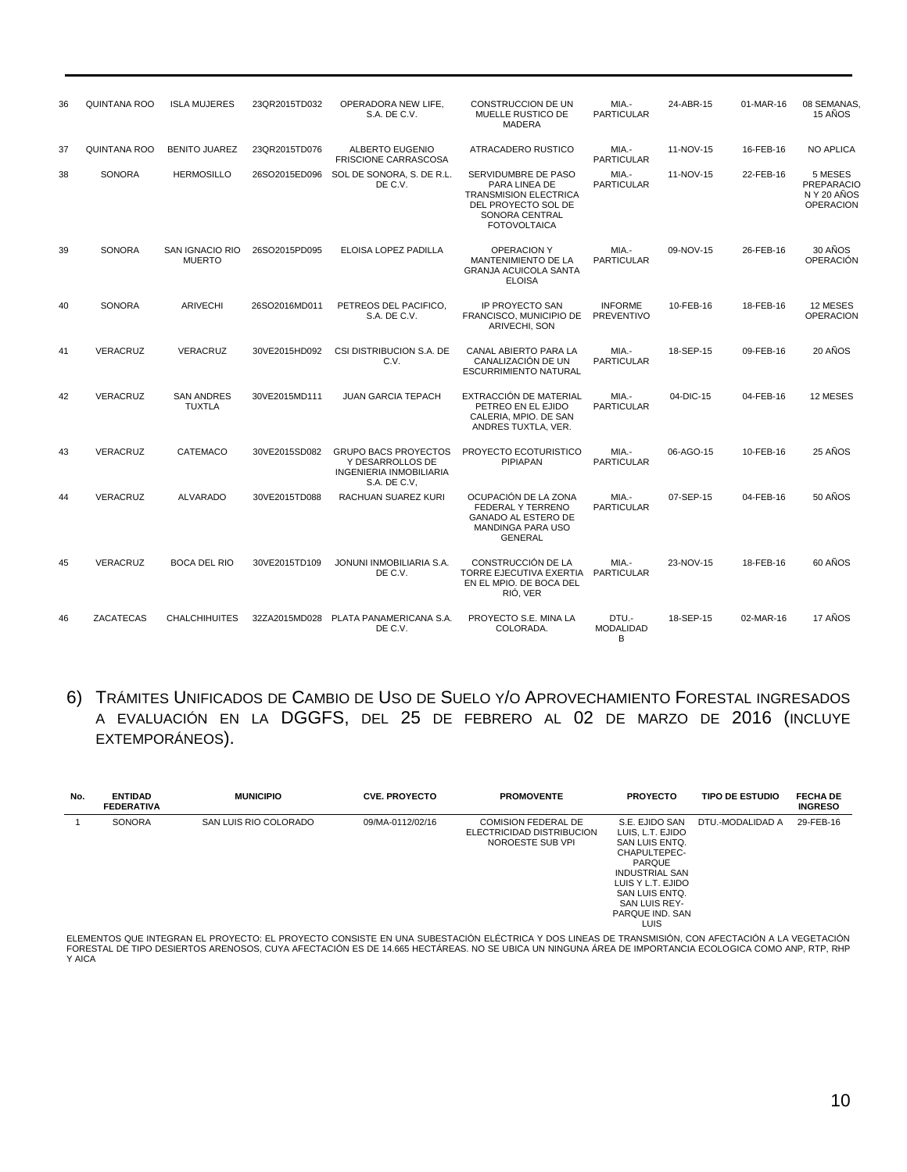| 36 | <b>QUINTANA ROO</b> | <b>ISLA MUJERES</b>                | 23QR2015TD032 | OPERADORA NEW LIFE.<br>S.A. DE C.V.                                                        | <b>CONSTRUCCION DE UN</b><br>MUELLE RUSTICO DE<br><b>MADERA</b>                                                                      | MIA.-<br><b>PARTICULAR</b>          | 24-ABR-15 | 01-MAR-16 | 08 SEMANAS<br>15 ANOS                                           |
|----|---------------------|------------------------------------|---------------|--------------------------------------------------------------------------------------------|--------------------------------------------------------------------------------------------------------------------------------------|-------------------------------------|-----------|-----------|-----------------------------------------------------------------|
| 37 | <b>QUINTANA ROO</b> | <b>BENITO JUAREZ</b>               | 23QR2015TD076 | <b>ALBERTO EUGENIO</b><br><b>FRISCIONE CARRASCOSA</b>                                      | ATRACADERO RUSTICO                                                                                                                   | MIA.-<br><b>PARTICULAR</b>          | 11-NOV-15 | 16-FEB-16 | <b>NO APLICA</b>                                                |
| 38 | <b>SONORA</b>       | <b>HERMOSILLO</b>                  | 26SO2015ED096 | SOL DE SONORA, S. DE R.L.<br>DE C.V.                                                       | SERVIDUMBRE DE PASO<br>PARA LINEA DE<br><b>TRANSMISION ELECTRICA</b><br>DEL PROYECTO SOL DE<br>SONORA CENTRAL<br><b>FOTOVOLTAICA</b> | MIA.-<br><b>PARTICULAR</b>          | 11-NOV-15 | 22-FEB-16 | 5 MESES<br><b>PREPARACIO</b><br>N Y 20 AÑOS<br><b>OPERACION</b> |
| 39 | <b>SONORA</b>       | SAN IGNACIO RIO<br><b>MUERTO</b>   | 26SO2015PD095 | ELOISA LOPEZ PADILLA                                                                       | <b>OPERACION Y</b><br>MANTENIMIENTO DE LA<br><b>GRANJA ACUICOLA SANTA</b><br><b>ELOISA</b>                                           | MIA -<br><b>PARTICULAR</b>          | 09-NOV-15 | 26-FEB-16 | 30 AÑOS<br><b>OPERACIÓN</b>                                     |
| 40 | <b>SONORA</b>       | <b>ARIVECHI</b>                    | 26SO2016MD011 | PETREOS DEL PACIFICO.<br>S.A. DE C.V.                                                      | <b>IP PROYECTO SAN</b><br>FRANCISCO, MUNICIPIO DE<br>ARIVECHI, SON                                                                   | <b>INFORME</b><br><b>PREVENTIVO</b> | 10-FEB-16 | 18-FEB-16 | 12 MESES<br><b>OPERACION</b>                                    |
| 41 | VERACRUZ            | <b>VERACRUZ</b>                    | 30VE2015HD092 | CSI DISTRIBUCION S.A. DE<br>C.V.                                                           | <b>CANAL ABIERTO PARA LA</b><br>CANALIZACIÓN DE UN<br><b>ESCURRIMIENTO NATURAL</b>                                                   | MIA.-<br><b>PARTICULAR</b>          | 18-SEP-15 | 09-FEB-16 | 20 ANOS                                                         |
| 42 | VERACRUZ            | <b>SAN ANDRES</b><br><b>TUXTLA</b> | 30VE2015MD111 | <b>JUAN GARCIA TEPACH</b>                                                                  | EXTRACCIÓN DE MATERIAL<br>PETREO EN EL EJIDO<br>CALERIA, MPIO. DE SAN<br>ANDRES TUXTLA, VER.                                         | MIA.-<br><b>PARTICULAR</b>          | 04-DIC-15 | 04-FEB-16 | 12 MESES                                                        |
| 43 | <b>VERACRUZ</b>     | <b>CATEMACO</b>                    | 30VE2015SD082 | <b>GRUPO BACS PROYECTOS</b><br>Y DESARROLLOS DE<br>INGENIERIA INMOBILIARIA<br>S.A. DE C.V. | PROYECTO ECOTURISTICO<br><b>PIPIAPAN</b>                                                                                             | MIA.-<br><b>PARTICULAR</b>          | 06-AGO-15 | 10-FEB-16 | 25 AÑOS                                                         |
| 44 | <b>VERACRUZ</b>     | <b>ALVARADO</b>                    | 30VE2015TD088 | RACHUAN SUAREZ KURI                                                                        | OCUPACIÓN DE LA ZONA<br>FEDERAL Y TERRENO<br><b>GANADO AL ESTERO DE</b><br>MANDINGA PARA USO<br><b>GENERAL</b>                       | MIA.-<br><b>PARTICULAR</b>          | 07-SEP-15 | 04-FEB-16 | 50 AÑOS                                                         |
| 45 | VERACRUZ            | <b>BOCA DEL RIO</b>                | 30VE2015TD109 | JONUNI INMOBILIARIA S.A.<br>DE C.V.                                                        | CONSTRUCCIÓN DE LA<br><b>TORRE EJECUTIVA EXERTIA</b><br>EN EL MPIO. DE BOCA DEL<br>RIÓ, VER                                          | MIA.-<br><b>PARTICULAR</b>          | 23-NOV-15 | 18-FEB-16 | 60 AÑOS                                                         |
| 46 | <b>ZACATECAS</b>    | <b>CHALCHIHUITES</b>               | 32ZA2015MD028 | PLATA PANAMERICANA S.A.<br>DE C.V.                                                         | PROYECTO S.E. MINA LA<br>COLORADA.                                                                                                   | DTU.-<br><b>MODALIDAD</b><br>B      | 18-SEP-15 | 02-MAR-16 | 17 AÑOS                                                         |

6) TRÁMITES UNIFICADOS DE CAMBIO DE USO DE SUELO Y/O APROVECHAMIENTO FORESTAL INGRESADOS A EVALUACIÓN EN LA DGGFS, DEL 25 DE FEBRERO AL 02 DE MARZO DE 2016 (INCLUYE EXTEMPORÁNEOS).

| No. | <b>ENTIDAD</b><br><b>FEDERATIVA</b> | <b>MUNICIPIO</b>      | <b>CVE. PROYECTO</b> | <b>PROMOVENTE</b>                                                           | <b>PROYECTO</b>                                                                                                                                                                                   | <b>TIPO DE ESTUDIO</b> | <b>FECHA DE</b><br><b>INGRESO</b> |
|-----|-------------------------------------|-----------------------|----------------------|-----------------------------------------------------------------------------|---------------------------------------------------------------------------------------------------------------------------------------------------------------------------------------------------|------------------------|-----------------------------------|
|     | <b>SONORA</b>                       | SAN LUIS RIO COLORADO | 09/MA-0112/02/16     | <b>COMISION FEDERAL DE</b><br>ELECTRICIDAD DISTRIBUCION<br>NOROESTE SUB VPI | S.E. EJIDO SAN<br>LUIS, L.T. EJIDO<br>SAN LUIS ENTO.<br>CHAPULTEPEC-<br><b>PARQUE</b><br><b>INDUSTRIAL SAN</b><br>LUIS Y L.T. EJIDO<br>SAN LUIS ENTO.<br>SAN LUIS REY-<br>PARQUE IND. SAN<br>LUIS | DTU.-MODALIDAD A       | 29-FEB-16                         |

ELEMENTOS QUE INTEGRAN EL PROYECTO: EL PROYECTO CONSISTE EN UNA SUBESTACIÓN ELÉCTRICA Y DOS LINEAS DE TRANSMISIÓN, CON AFECTACIÓN A LA VEGETACIÓN FORESTAL DE TIPO DESIERTOS ARENOSOS, CUYA AFECTACIÓN ES DE 14.665 HECTÁREAS. NO SE UBICA UN NINGUNA ÁREA DE IMPORTANCIA ECOLOGICA COMO ANP, RTP, RHP<br>Y AICA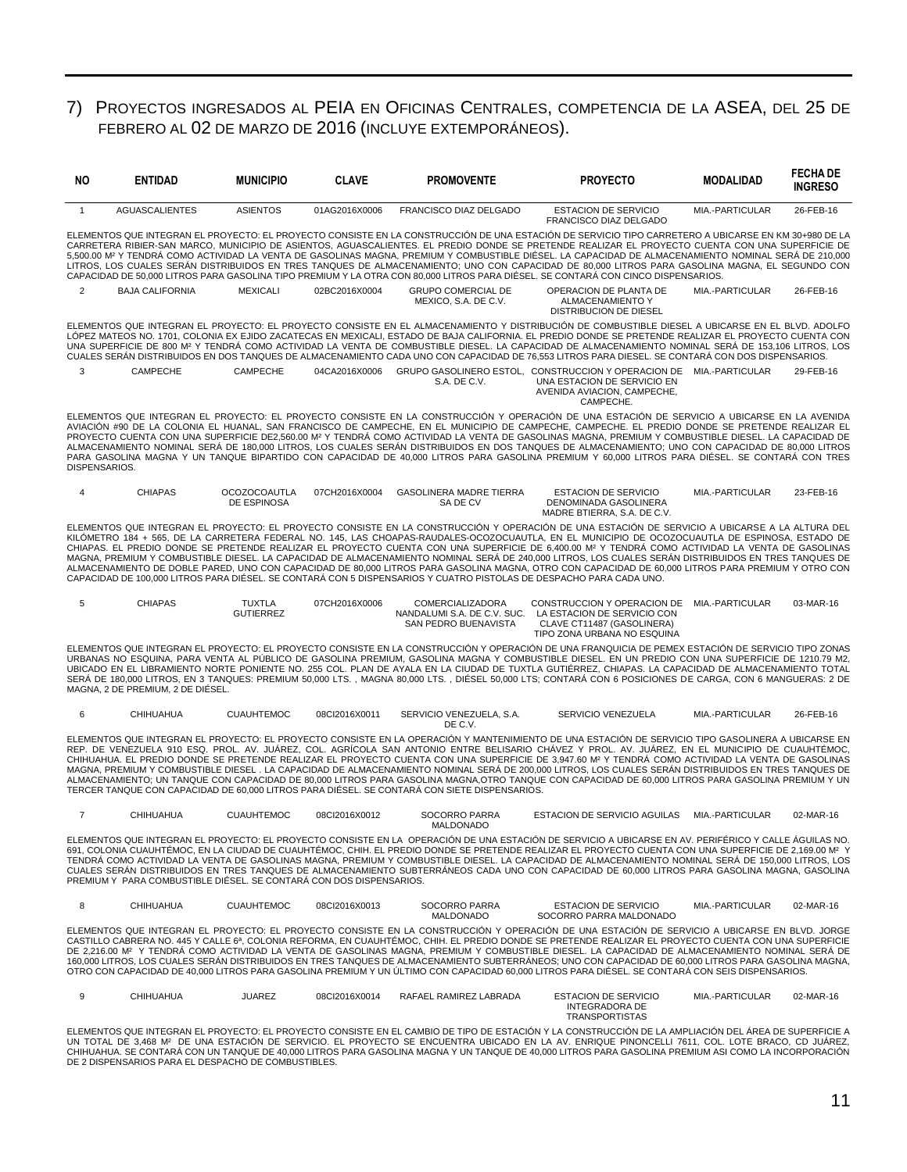### 7) PROYECTOS INGRESADOS AL PEIA EN OFICINAS CENTRALES, COMPETENCIA DE LA ASEA, DEL 25 DE FEBRERO AL 02 DE MARZO DE 2016 (INCLUYE EXTEMPORÁNEOS).

| ΝO             | <b>ENTIDAD</b>                                                      | <b>MUNICIPIO</b>                   | <b>CLAVE</b>  | <b>PROMOVENTE</b>                                                                                                   | <b>PROYECTO</b>                                                                                                                                                                                                                                                                                                                                                                                                                                                                                                                                                                                                                                                                                                                                                                         | <b>MODALIDAD</b> | <b>FECHADE</b><br><b>INGRESO</b> |
|----------------|---------------------------------------------------------------------|------------------------------------|---------------|---------------------------------------------------------------------------------------------------------------------|-----------------------------------------------------------------------------------------------------------------------------------------------------------------------------------------------------------------------------------------------------------------------------------------------------------------------------------------------------------------------------------------------------------------------------------------------------------------------------------------------------------------------------------------------------------------------------------------------------------------------------------------------------------------------------------------------------------------------------------------------------------------------------------------|------------------|----------------------------------|
| $\overline{1}$ | <b>AGUASCALIENTES</b>                                               | <b>ASIENTOS</b>                    | 01AG2016X0006 | FRANCISCO DIAZ DELGADO                                                                                              | <b>ESTACION DE SERVICIO</b><br><b>FRANCISCO DIAZ DELGADO</b>                                                                                                                                                                                                                                                                                                                                                                                                                                                                                                                                                                                                                                                                                                                            | MIA.-PARTICULAR  | 26-FEB-16                        |
|                |                                                                     |                                    |               |                                                                                                                     | ELEMENTOS QUE INTEGRAN EL PROYECTO: EL PROYECTO CONSISTE EN LA CONSTRUCCIÓN DE UNA ESTACIÓN DE SERVICIO TIPO CARRETERO A UBICARSE EN KM 30+980 DE LA<br>CARRETERA RIBIER-SAN MARCO, MUNICIPIO DE ASIENTOS, AGUASCALIENTES. EL PREDIO DONDE SE PRETENDE REALIZAR EL PROYECTO CUENTA CON UNA SUPERFICIE DE<br>5,500.00 Mª Y TENDRÁ COMO ACTIVIDAD LA VENTA DE GASOLINAS MAGNA, PREMIUM Y COMBUSTIBLE DIÉSEL. LA CAPACIDAD DE ALMACENAMIENTO NOMINAL SERÁ DE 210,000<br>LITROS, LOS CUALES SERÁN DISTRIBUIDOS EN TRES TANQUES DE ALMACENAMIENTO; UNO CON CAPACIDAD DE 80,000 LITROS PARA GASOLINA MAGNA, EL SEGUNDO CON<br>CAPACIDAD DE 50,000 LITROS PARA GASOLINA TIPO PREMIUM Y LA OTRA CON 80,000 LITROS PARA DIÉSEL. SE CONTARÁ CON CINCO DISPENSARIOS.                               |                  |                                  |
| $\overline{2}$ | <b>BAJA CALIFORNIA</b>                                              | <b>MEXICALI</b>                    | 02BC2016X0004 | <b>GRUPO COMERCIAL DE</b><br>MEXICO, S.A. DE C.V.                                                                   | OPERACION DE PLANTA DE<br>ALMACENAMIENTO Y<br>DISTRIBUCION DE DIESEL                                                                                                                                                                                                                                                                                                                                                                                                                                                                                                                                                                                                                                                                                                                    | MIA.-PARTICULAR  | 26-FEB-16                        |
|                |                                                                     |                                    |               |                                                                                                                     | ELEMENTOS QUE INTEGRAN EL PROYECTO: EL PROYECTO CONSISTE EN EL ALMACENAMIENTO Y DISTRIBUCIÓN DE COMBUSTIBLE DIESEL A UBICARSE EN EL BLVD. ADOLFO<br>LÓPEZ MATEOS NO. 1701, COLONIA EX EJIDO ZACATECAS EN MEXICALI, ESTADO DE BAJA CALIFORNIA. EL PREDIO DONDE SE PRETENDE REALIZAR EL PROYECTO CUENTA CON<br>UNA SUPERFICIE DE 800 M2 Y TENDRÁ COMO ACTIVIDAD LA VENTA DE COMBUSTIBLE DIESEL. LA CAPACIDAD DE ALMACENAMIENTO NOMINAL SERÁ DE 153,106 LITROS, LOS<br>CUALES SERÁN DISTRIBUIDOS EN DOS TANQUES DE ALMACENAMIENTO CADA UNO CON CAPACIDAD DE 76,553 LITROS PARA DIESEL. SE CONTARÁ CON DOS DISPENSARIOS.                                                                                                                                                                    |                  |                                  |
| 3              | CAMPECHE                                                            | CAMPECHE                           | 04CA2016X0006 | S.A. DE C.V.                                                                                                        | GRUPO GASOLINERO ESTOL, CONSTRUCCION Y OPERACION DE MIA.-PARTICULAR<br>UNA ESTACION DE SERVICIO EN<br>AVENIDA AVIACION, CAMPECHE,<br>CAMPECHE.                                                                                                                                                                                                                                                                                                                                                                                                                                                                                                                                                                                                                                          |                  | 29-FEB-16                        |
| DISPENSARIOS.  |                                                                     |                                    |               |                                                                                                                     | ELEMENTOS QUE INTEGRAN EL PROYECTO: EL PROYECTO CONSISTE EN LA CONSTRUCCIÓN Y OPERACIÓN DE UNA ESTACIÓN DE SERVICIO A UBICARSE EN LA AVENIDA<br>AVIACIÓN #90 DE LA COLONIA EL HUANAL, SAN FRANCISCO DE CAMPECHE, EN EL MUNICIPIO DE CAMPECHE, CAMPECHE. EL PREDIO DONDE SE PRETENDE REALIZAR EL<br>PROYECTO CUENTA CON UNA SUPERFICIE DE2,560.00 M <sup>2</sup> Y TENDRÁ COMO ACTIVIDAD LA VENTA DE GASOLINAS MAGNA, PREMIUM Y COMBUSTIBLE DIESEL. LA CAPACIDAD DE<br>ALMACENAMIENTO NOMINAL SERÁ DE 180,000 LITROS, LOS CUALES SERÁN DISTRIBUIDOS EN DOS TANQUES DE ALMACENAMIENTO; UNO CON CAPACIDAD DE 80,000 LITROS<br>PARA GASOLINA MAGNA Y UN TANQUE BIPARTIDO CON CAPACIDAD DE 40,000 LITROS PARA GASOLINA PREMIUM Y 60,000 LITROS PARA DIÉSEL. SE CONTARÁ CON TRES              |                  |                                  |
| $\overline{4}$ | <b>CHIAPAS</b>                                                      | <b>OCOZOCOAUTLA</b><br>DE ESPINOSA | 07CH2016X0004 | <b>GASOLINERA MADRE TIERRA</b><br>SA DE CV                                                                          | <b>ESTACION DE SERVICIO</b><br>DENOMINADA GASOLINERA<br>MADRE BTIERRA, S.A. DE C.V.                                                                                                                                                                                                                                                                                                                                                                                                                                                                                                                                                                                                                                                                                                     | MIA.-PARTICULAR  | 23-FEB-16                        |
|                |                                                                     |                                    |               | CAPACIDAD DE 100.000 LITROS PARA DIÉSEL. SE CONTARÁ CON 5 DISPENSARIOS Y CUATRO PISTOLAS DE DESPACHO PARA CADA UNO. | ELEMENTOS QUE INTEGRAN EL PROYECTO: EL PROYECTO CONSISTE EN LA CONSTRUCCIÓN Y OPERACIÓN DE UNA ESTACIÓN DE SERVICIO A UBICARSE A LA ALTURA DEL<br>KILÓMETRO 184 + 565, DE LA CARRETERA FEDERAL NO. 145, LAS CHOAPAS-RAUDALES-OCOZOCUAUTLA, EN EL MUNICIPIO DE OCOZOCUAUTLA DE ESPINOSA, ESTADO DE<br>CHIAPAS. EL PREDIO DONDE SE PRETENDE REALIZAR EL PROYECTO CUENTA CON UNA SUPERFICIE DE 6,400.00 M <sup>2</sup> Y TENDRÁ COMO ACTIVIDAD LA VENTA DE GASOLINAS<br>MAGNA, PREMIUM Y COMBUSTIBLE DIESEL. LA CAPACIDAD DE ALMACENAMIENTO NOMINAL SERÁ DE 240,000 LITROS, LOS CUALES SERÁN DISTRIBUIDOS EN TRES TANQUES DE<br>ALMACENAMIENTO DE DOBLE PARED, UNO CON CAPACIDAD DE 80,000 LITROS PARA GASOLINA MAGNA, OTRO CON CAPACIDAD DE 60,000 LITROS PARA PREMIUM Y OTRO CON         |                  |                                  |
| 5              | <b>CHIAPAS</b>                                                      | <b>TUXTLA</b><br><b>GUTIERREZ</b>  | 07CH2016X0006 | COMERCIALIZADORA<br>SAN PEDRO BUENAVISTA                                                                            | CONSTRUCCION Y OPERACION DE MIA.-PARTICULAR<br>NANDALUMI S.A. DE C.V. SUC. LA ESTACION DE SERVICIO CON<br>CLAVE CT11487 (GASOLINERA)<br>TIPO ZONA URBANA NO ESQUINA                                                                                                                                                                                                                                                                                                                                                                                                                                                                                                                                                                                                                     |                  | 03-MAR-16                        |
|                | MAGNA, 2 DE PREMIUM, 2 DE DIÉSEL.                                   |                                    |               |                                                                                                                     | ELEMENTOS QUE INTEGRAN EL PROYECTO: EL PROYECTO CONSISTE EN LA CONSTRUCCIÓN Y OPERACIÓN DE UNA FRANQUICIA DE PEMEX ESTACIÓN DE SERVICIO TIPO ZONAS<br>URBANAS NO ESQUINA, PARA VENTA AL PÚBLICO DE GASOLINA PREMIUM, GASOLINA MAGNA Y COMBUSTIBLE DIESEL. EN UN PREDIO CON UNA SUPERFICIE DE 1210.79 M2,<br>UBICADO EN EL LIBRAMIENTO NORTE PONIENTE NO. 255 COL. PLAN DE AYALA EN LA CIUDAD DE TUXTLA GUTIÉRREZ, CHIAPAS. LA CAPACIDAD DE ALMACENAMIENTO TOTAL<br>SERÁ DE 180,000 LITROS, EN 3 TANQUES: PREMIUM 50,000 LTS. , MAGNA 80,000 LTS. , DIÉSEL 50,000 LTS; CONTARÁ CON 6 POSICIONES DE CARGA, CON 6 MANGUERAS: 2 DE                                                                                                                                                          |                  |                                  |
| 6              | <b>CHIHUAHUA</b>                                                    | <b>CUAUHTEMOC</b>                  | 08Cl2016X0011 | SERVICIO VENEZUELA, S.A.<br>DE C.V.                                                                                 | SERVICIO VENEZUELA                                                                                                                                                                                                                                                                                                                                                                                                                                                                                                                                                                                                                                                                                                                                                                      | MIA.-PARTICULAR  | 26-FEB-16                        |
|                |                                                                     |                                    |               | TERCER TANQUE CON CAPACIDAD DE 60,000 LITROS PARA DIÉSEL. SE CONTARÁ CON SIETE DISPENSARIOS.                        | ELEMENTOS QUE INTEGRAN EL PROYECTO: EL PROYECTO CONSISTE EN LA OPERACIÓN Y MANTENIMIENTO DE UNA ESTACIÓN DE SERVICIO TIPO GASOLINERA A UBICARSE EN<br>REP. DE VENEZUELA 910 ESQ. PROL. AV. JUÁREZ, COL. AGRÍCOLA SAN ANTONIO ENTRE BELISARIO CHÁVEZ Y PROL. AV. JUÁREZ, EN EL MUNICIPIO DE CUAUHTÉMOC,<br>CHIHUAHUA. EL PREDIO DONDE SE PRETENDE REALIZAR EL PROYECTO CUENTA CON UNA SUPERFICIE DE 3,947.60 M <sup>2</sup> Y TENDRÁ COMO ACTIVIDAD LA VENTA DE GASOLINAS<br>MAGNA, PREMIUM Y COMBUSTIBLE DIESEL . LA CAPACIDAD DE ALMACENAMIENTO NOMINAL SERÁ DE 200,000 LITROS, LOS CUALES SERÁN DISTRIBUIDOS EN TRES TANQUES DE<br>ALMACENAMIENTO; UN TANQUE CON CAPACIDAD DE 80,000 LITROS PARA GASOLINA MAGNA,OTRO TANQUE CON CAPACIDAD DE 60,000 LITROS PARA GASOLINA PREMIUM Y UN |                  |                                  |
| $\overline{7}$ | <b>CHIHUAHUA</b>                                                    | <b>CUAUHTEMOC</b>                  | 08Cl2016X0012 | SOCORRO PARRA                                                                                                       | ESTACION DE SERVICIO AGUILAS                                                                                                                                                                                                                                                                                                                                                                                                                                                                                                                                                                                                                                                                                                                                                            | MIA.-PARTICULAR  | 02-MAR-16                        |
|                | PREMIUM Y PARA COMBUSTIBLE DIÉSEL. SE CONTARÁ CON DOS DISPENSARIOS. |                                    |               |                                                                                                                     | ELEMENTOS QUE INTEGRAN EL PROYECTO: EL PROYECTO CONSISTE EN LA OPERACIÓN DE UNA ESTACIÓN DE SERVICIO A UBICARSE EN AV. PERIFÉRICO Y CALLE ÁGUILAS NO.<br>691, COLONIA CUAUHTÉMOC, EN LA CIUDAD DE CUAUHTÉMOC, CHIH. EL PREDIO DONDE SE PRETENDE REALIZAR EL PROYECTO CUENTA CON UNA SUPERFICIE DE 2,169.00 M2 Y<br>TENDRÁ COMO ACTIVIDAD LA VENTA DE GASOLINAS MAGNA, PREMIUM Y COMBUSTIBLE DIESEL. LA CAPACIDAD DE ALMACENAMIENTO NOMINAL SERÁ DE 150,000 LITROS, LOS<br>CUALES SERÁN DISTRIBUIDOS EN TRES TANQUES DE ALMACENAMIENTO SUBTERRÁNEOS CADA UNO CON CAPACIDAD DE 60,000 LITROS PARA GASOLINA MAGNA, GASOLINA                                                                                                                                                                |                  |                                  |
| 8              | CHIHUAHUA                                                           | <b>CUAUHTEMOC</b>                  | 08Cl2016X0013 | SOCORRO PARRA<br>MALDONADO                                                                                          | <b>ESTACION DE SERVICIO</b><br>SOCORRO PARRA MALDONADO                                                                                                                                                                                                                                                                                                                                                                                                                                                                                                                                                                                                                                                                                                                                  | MIA.-PARTICULAR  | 02-MAR-16                        |
|                |                                                                     |                                    |               |                                                                                                                     | ELEMENTOS QUE INTEGRAN EL PROYECTO: EL PROYECTO CONSISTE EN LA CONSTRUCCIÓN Y OPERACIÓN DE UNA ESTACIÓN DE SERVICIO A UBICARSE EN BLVD. JORGE<br>CASTILLO CABRERA NO. 445 Y CALLE 6ª, COLONIA REFORMA, EN CUAUHTÉMOC, CHIH. EL PREDIO DONDE SE PRETENDE REALIZAR EL PROYECTO CUENTA CON UNA SUPERFICIE<br>DE 2.216.00 Mº Y TENDRÁ COMO ACTIVIDAD LA VENTA DE GASOLINAS MAGNA. PREMIUM Y COMBUSTIBLE DIESEL. LA CAPACIDAD DE ALMACENAMIENTO NOMINAL SERÁ DE<br>160,000 LITROS, LOS CUALES SERÁN DISTRIBUIDOS EN TRES TANQUES DE ALMACENAMIENTO SUBTERRÁNEOS; UNO CON CAPACIDAD DE 60,000 LITROS PARA GASOLINA MAGNA,<br>OTRO CON CAPACIDAD DE 40,000 LITROS PARA GASOLINA PREMIUM Y UN ÚLTIMO CON CAPACIDAD 60,000 LITROS PARA DIÉSEL. SE CONTARÁ CON SEIS DISPENSARIOS.                 |                  |                                  |
| 9              | CHIHUAHUA                                                           | <b>JUAREZ</b>                      | 08Cl2016X0014 | RAFAEL RAMIREZ LABRADA                                                                                              | <b>ESTACION DE SERVICIO</b><br>INTEGRADORA DE<br><b>TRANSPORTISTAS</b>                                                                                                                                                                                                                                                                                                                                                                                                                                                                                                                                                                                                                                                                                                                  | MIA.-PARTICULAR  | 02-MAR-16                        |

ELEMENTOS QUE INTEGRAN EL PROYECTO: EL PROYECTO CONSISTE EN EL CAMBIO DE TIPO DE ESTACION Y LA CONSTRUCCION DE LA AMPLIACION DEL AREA DE SUPERFICIE A<br>UN TOTAL DE 3,468 Mª DE UNA ESTACIÓN DE SERVICIO. EL PROYECTO SE ENCUENT DE 2 DISPENSARIOS PARA EL DESPACHO DE COMBUSTIBLES.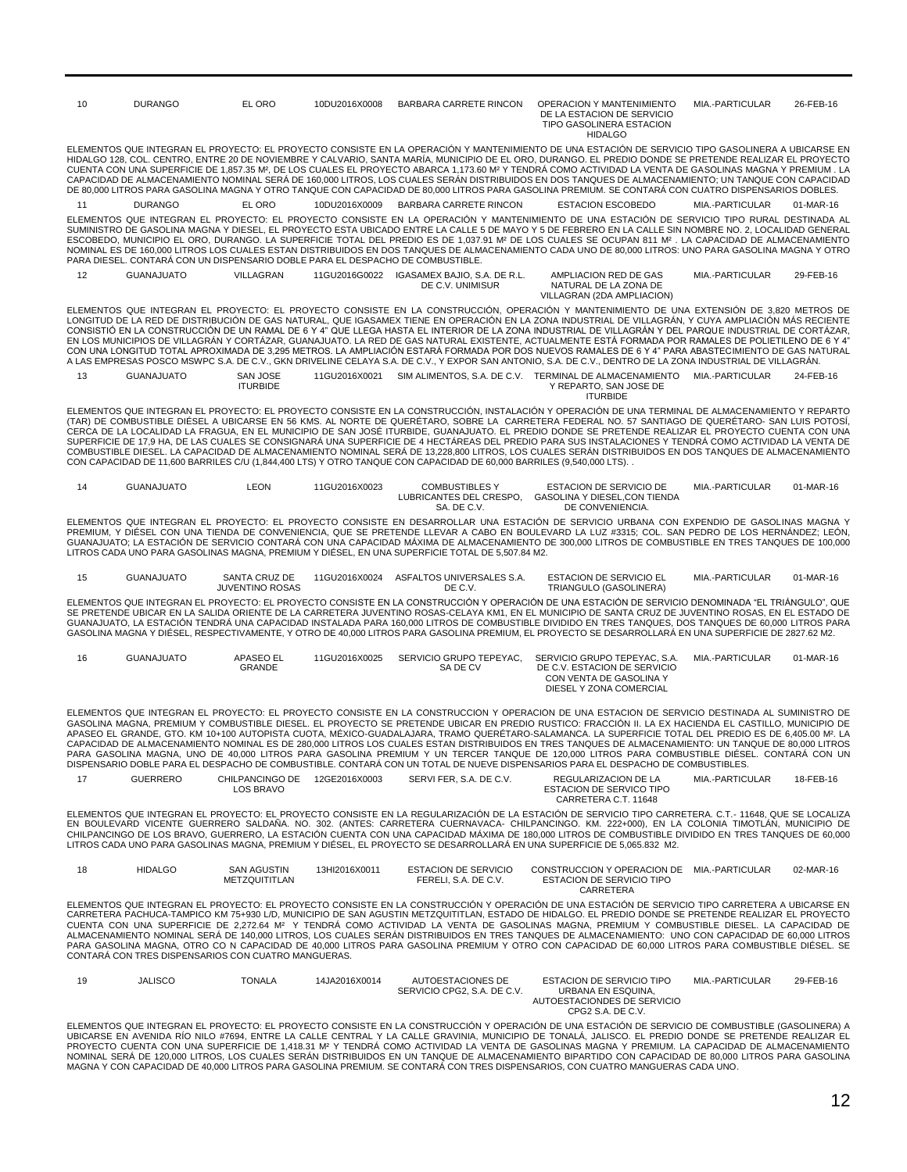| 10 | <b>DURANGO</b>                                                                 | EL ORO                                     | 10DU2016X0008 | BARBARA CARRETE RINCON                                                                                              | <b>OPERACION Y MANTENIMIENTO</b><br>DE LA ESTACION DE SERVICIO<br>TIPO GASOLINERA ESTACION<br><b>HIDALGO</b>                                                                                                                                                                                                                                                                                                                                                                                                                                                                                                                                                                                                                                                                                                                                                                                                                               | MIA.-PARTICULAR | 26-FEB-16 |
|----|--------------------------------------------------------------------------------|--------------------------------------------|---------------|---------------------------------------------------------------------------------------------------------------------|--------------------------------------------------------------------------------------------------------------------------------------------------------------------------------------------------------------------------------------------------------------------------------------------------------------------------------------------------------------------------------------------------------------------------------------------------------------------------------------------------------------------------------------------------------------------------------------------------------------------------------------------------------------------------------------------------------------------------------------------------------------------------------------------------------------------------------------------------------------------------------------------------------------------------------------------|-----------------|-----------|
|    |                                                                                |                                            |               |                                                                                                                     | ELEMENTOS QUE INTEGRAN EL PROYECTO: EL PROYECTO CONSISTE EN LA OPERACIÓN Y MANTENIMIENTO DE UNA ESTACIÓN DE SERVICIO TIPO GASOLINERA A UBICARSE EN<br>HIDALGO 128, COL. CENTRO, ENTRE 20 DE NOVIEMBRE Y CALVARIO, SANTA MARÍA, MUNICIPIO DE EL ORO, DURANGO. EL PREDIO DONDE SE PRETENDE REALIZAR EL PROYECTO<br>CUENTA CON UNA SUPERFICIE DE 1.857.35 M <sup>2</sup> . DE LOS CUALES EL PROYECTO ABARCA 1.173.60 M <sup>2</sup> Y TENDRÁ COMO ACTIVIDAD LA VENTA DE GASOLINAS MAGNA Y PREMIUM. LA<br>CAPACIDAD DE ALMACENAMIENTO NOMINAL SERÁ DE 160,000 LITROS, LOS CUALES SERÁN DISTRIBUIDOS EN DOS TANQUES DE ALMACENAMIENTO; UN TANQUE CON CAPACIDAD<br>DE 80,000 LITROS PARA GASOLINA MAGNA Y OTRO TANQUE CON CAPACIDAD DE 80,000 LITROS PARA GASOLINA PREMIUM. SE CONTARÁ CON CUATRO DISPENSARIOS DOBLES.                                                                                                                           |                 |           |
| 11 | <b>DURANGO</b>                                                                 | EL ORO                                     | 10DU2016X0009 | BARBARA CARRETE RINCON                                                                                              | <b>ESTACION ESCOBEDO</b>                                                                                                                                                                                                                                                                                                                                                                                                                                                                                                                                                                                                                                                                                                                                                                                                                                                                                                                   | MIA.-PARTICULAR | 01-MAR-16 |
|    | PARA DIESEL. CONTARÁ CON UN DISPENSARIO DOBLE PARA EL DESPACHO DE COMBUSTIBLE. |                                            |               |                                                                                                                     | ELEMENTOS QUE INTEGRAN EL PROYECTO: EL PROYECTO CONSISTE EN LA OPERACIÓN Y MANTENIMIENTO DE UNA ESTACIÓN DE SERVICIO TIPO RURAL DESTINADA AL<br>SUMINISTRO DE GASOLINA MAGNA Y DIESEL, EL PROYECTO ESTA UBICADO ENTRE LA CALLE 5 DE MAYO Y 5 DE FEBRERO EN LA CALLE SIN NOMBRE NO. 2, LOCALIDAD GENERAL<br>ESCOBEDO. MUNICIPIO EL ORO, DURANGO, LA SUPERFICIE TOTAL DEL PREDIO ES DE 1.037.91 M <sup>2</sup> DE LOS CUALES SE OCUPAN 811 M <sup>2</sup> , LA CAPACIDAD DE ALMACENAMIENTO<br>NOMINAL ES DE 160,000 LITROS LOS CUALES ESTAN DISTRIBUIDOS EN DOS TANQUES DE ALMACENAMIENTO CADA UNO DE 80,000 LITROS: UNO PARA GASOLINA MAGNA Y OTRO                                                                                                                                                                                                                                                                                          |                 |           |
| 12 | <b>GUANAJUATO</b>                                                              | VILLAGRAN                                  | 11GU2016G0022 | IGASAMEX BAJIO, S.A. DE R.L.<br>DE C.V. UNIMISUR                                                                    | AMPLIACION RED DE GAS<br>NATURAL DE LA ZONA DE<br>VILLAGRAN (2DA AMPLIACION)                                                                                                                                                                                                                                                                                                                                                                                                                                                                                                                                                                                                                                                                                                                                                                                                                                                               | MIA.-PARTICULAR | 29-FEB-16 |
|    |                                                                                |                                            |               |                                                                                                                     | ELEMENTOS QUE INTEGRAN EL PROYECTO: EL PROYECTO CONSISTE EN LA CONSTRUCCIÓN, OPERACIÓN Y MANTENIMIENTO DE UNA EXTENSIÓN DE 3,820 METROS DE<br>LONGITUD DE LA RED DE DISTRIBUCIÓN DE GAS NATURAL, QUE IGASAMEX TIENE EN OPERACIÓN EN LA ZONA INDUSTRIAL DE VILLAGRÁN, Y CUYA AMPLIACIÓN MÁS RECIENTE<br>CONSISTIÓ EN LA CONSTRUCCIÓN DE UN RAMAL DE 6 Y 4" QUE LLEGA HASTA EL INTERIOR DE LA ZONA INDUSTRIAL DE VILLAGRÁN Y DEL PARQUE INDUSTRIAL DE CORTÁZAR,<br>EN LOS MUNICIPIOS DE VILLAGRÁN Y CORTÁZAR, GUANAJUATO. LA RED DE GAS NATURAL EXISTENTE, ACTUALMENTE ESTÁ FORMADA POR RAMALES DE POLIETILENO DE 6 Y 4'<br>CON UNA LONGITUD TOTAL APROXIMADA DE 3,295 METROS. LA AMPLIACIÓN ESTARÁ FORMADA POR DOS NUEVOS RAMALES DE 6 Y 4" PARA ABASTECIMIENTO DE GAS NATURAL<br>A LAS EMPRESAS POSCO MSWPC S.A. DE C.V., GKN DRIVELINE CELAYA S.A. DE C.V., Y EXPOR SAN ANTONIO, S.A. DE C.V., DENTRO DE LA ZONA INDUSTRIAL DE VILLAGRÁN. |                 |           |
| 13 | <b>GUANAJUATO</b>                                                              | <b>SAN JOSE</b><br><b>ITURBIDE</b>         | 11GU2016X0021 |                                                                                                                     | SIM ALIMENTOS, S.A. DE C.V. TERMINAL DE ALMACENAMIENTO<br>Y REPARTO, SAN JOSE DE<br><b>ITURBIDE</b>                                                                                                                                                                                                                                                                                                                                                                                                                                                                                                                                                                                                                                                                                                                                                                                                                                        | MIA.-PARTICULAR | 24-FEB-16 |
|    |                                                                                |                                            |               | CON CAPACIDAD DE 11,600 BARRILES C/U (1,844,400 LTS) Y OTRO TANQUE CON CAPACIDAD DE 60,000 BARRILES (9,540,000 LTS) | ELEMENTOS QUE INTEGRAN EL PROYECTO: EL PROYECTO CONSISTE EN LA CONSTRUCCIÓN, INSTALACIÓN Y OPERACIÓN DE UNA TERMINAL DE ALMACENAMIENTO Y REPARTO<br>(TAR) DE COMBUSTIBLE DIÉSEL A UBICARSE EN 56 KMS. AL NORTE DE QUERÉTARO, SOBRE LA CARRETERA FEDERAL NO. 57 SANTIAGO DE QUERÉTARO- SAN LUIS POTOSÍ,<br>CERCA DE LA LOCALIDAD LA FRAGUA, EN EL MUNICIPIO DE SAN JOSÉ ITURBIDE, GUANAJUATO. EL PREDIO DONDE SE PRETENDE REALIZAR EL PROYECTO CUENTA CON UNA<br>SUPERFICIE DE 17,9 HA, DE LAS CUALES SE CONSIGNARÁ UNA SUPERFICIE DE 4 HECTÁREAS DEL PREDIO PARA SUS INSTALACIONES Y TENDRÁ COMO ACTIVIDAD LA VENTA DE<br>COMBUSTIBLE DIESEL. LA CAPACIDAD DE ALMACENAMIENTO NOMINAL SERÁ DE 13,228,800 LITROS, LOS CUALES SERÁN DISTRIBUIDOS EN DOS TANQUES DE ALMACENAMIENTO                                                                                                                                                             |                 |           |
| 14 | <b>GUANAJUATO</b>                                                              | <b>LEON</b>                                | 11GU2016X0023 | <b>COMBUSTIBLES Y</b><br>SA. DE C.V.                                                                                | ESTACION DE SERVICIO DE<br>LUBRICANTES DEL CRESPO, GASOLINA Y DIESEL, CON TIENDA<br>DE CONVENIENCIA.                                                                                                                                                                                                                                                                                                                                                                                                                                                                                                                                                                                                                                                                                                                                                                                                                                       | MIA.-PARTICULAR | 01-MAR-16 |
|    |                                                                                |                                            |               | LITROS CADA UNO PARA GASOLINAS MAGNA, PREMIUM Y DIÉSEL, EN UNA SUPERFICIE TOTAL DE 5,507.84 M2.                     | ELEMENTOS QUE INTEGRAN EL PROYECTO: EL PROYECTO CONSISTE EN DESARROLLAR UNA ESTACIÓN DE SERVICIO URBANA CON EXPENDIO DE GASOLINAS MAGNA Y<br>PREMIUM, Y DIÉSEL CON UNA TIENDA DE CONVENIENCIA, QUE SE PRETENDE LLEVAR A CABO EN BOULEVARD LA LUZ #3315; COL. SAN PEDRO DE LOS HERNÁNDEZ; LEÓN,<br>GUANAJUATO; LA ESTACIÓN DE SERVICIO CONTARÁ CON UNA CAPACIDAD MÁXIMA DE ALMACENAMIENTO DE 300,000 LITROS DE COMBUSTIBLE EN TRES TANQUES DE 100,000                                                                                                                                                                                                                                                                                                                                                                                                                                                                                       |                 |           |
| 15 | <b>GUANAJUATO</b>                                                              | SANTA CRUZ DE<br><b>JUVENTINO ROSAS</b>    | 11GU2016X0024 | ASFALTOS UNIVERSALES S.A.<br>DE C.V.                                                                                | ESTACION DE SERVICIO EL<br>TRIANGULO (GASOLINERA)                                                                                                                                                                                                                                                                                                                                                                                                                                                                                                                                                                                                                                                                                                                                                                                                                                                                                          | MIA.-PARTICULAR | 01-MAR-16 |
|    |                                                                                |                                            |               |                                                                                                                     | ELEMENTOS QUE INTEGRAN EL PROYECTO: EL PROYECTO CONSISTE EN LA CONSTRUCCIÓN Y OPERACIÓN DE UNA ESTACIÓN DE SERVICIO DENOMINADA "EL TRIÁNGULO", QUE<br>SE PRETENDE UBICAR EN LA SALIDA ORIENTE DE LA CARRETERA JUVENTINO ROSAS-CELAYA KM1. EN EL MUNICIPIO DE SANTA CRUZ DE JUVENTINO ROSAS. EN EL ESTADO DE<br>GUANAJUATO, LA ESTACIÓN TENDRÁ UNA CAPACIDAD INSTALADA PARA 160,000 LITROS DE COMBUSTIBLE DIVIDIDO EN TRES TANQUES, DOS TANQUES DE 60,000 LITROS PARA<br>GASOLINA MAGNA Y DIÉSEL, RESPECTIVAMENTE, Y OTRO DE 40,000 LITROS PARA GASOLINA PREMIUM, EL PROYECTO SE DESARROLLARÁ EN UNA SUPERFICIE DE 2827.62 M2.                                                                                                                                                                                                                                                                                                              |                 |           |
| 16 | <b>GUANAJUATO</b>                                                              | <b>APASEO EL</b><br>GRANDE                 | 11GU2016X0025 | SERVICIO GRUPO TEPEYAC,<br>SA DE CV                                                                                 | SERVICIO GRUPO TEPEYAC, S.A.<br>DE C.V. ESTACION DE SERVICIO<br>CON VENTA DE GASOLINA Y<br>DIESEL Y ZONA COMERCIAL                                                                                                                                                                                                                                                                                                                                                                                                                                                                                                                                                                                                                                                                                                                                                                                                                         | MIA.-PARTICULAR | 01-MAR-16 |
|    |                                                                                |                                            |               |                                                                                                                     | ELEMENTOS QUE INTEGRAN EL PROYECTO: EL PROYECTO CONSISTE EN LA CONSTRUCCIÓN Y OPERACIÓN DE UNA ESTACIÓN DE SERVICIO DESTINADA AL SUMINISTRO DE<br>GASOLINA MAGNA, PREMIUM Y COMBUSTIBLE DIESEL. EL PROYECTO SE PRETENDE UBICAR EN PREDIO RUSTICO: FRACCIÓN II. LA EX HACIENDA EL CASTILLO, MUNICIPIO DE<br>APASEO EL GRANDE, GTO. KM 10+100 AUTOPISTA CUOTA, MÉXICO-GUADALAJARA, TRAMO QUERÉTARO-SALAMANCA. LA SUPERFICIE TOTAL DEL PREDIO ES DE 6,405.00 M2. LA<br>CAPACIDAD DE ALMACENAMIENTO NOMINAL ES DE 280.000 LITROS LOS CUALES ESTAN DISTRIBUIDOS EN TRES TANQUES DE ALMACENAMIENTO: UN TANQUE DE 80.000 LITROS<br>PARA GASOLINA MAGNA. UNO DE 40.000 LITROS PARA GASOLINA PREMIUM Y UN TERCER TANQUE DE 120.000 LITROS PARA COMBUSTIBLE DIÉSEL. CONTARÁ CON UN<br>DISPENSARIO DOBLE PARA EL DESPACHO DE COMBUSTIBLE. CONTARÁ CON UN TOTAL DE NUEVE DISPENSARIOS PARA EL DESPACHO DE COMBUSTIBLES.                                |                 |           |
| 17 | <b>GUERRERO</b>                                                                | CHILPANCINGO DE 12GE2016X0003<br>LOS BRAVO |               | SERVI FER, S.A. DE C.V.                                                                                             | REGULARIZACION DE LA<br>ESTACION DE SERVICO TIPO<br>CARRETERA C.T. 11648                                                                                                                                                                                                                                                                                                                                                                                                                                                                                                                                                                                                                                                                                                                                                                                                                                                                   | MIA.-PARTICULAR | 18-FEB-16 |
|    |                                                                                |                                            |               |                                                                                                                     | ELEMENTOS QUE INTEGRAN EL PROYECTO: EL PROYECTO CONSISTE EN LA REGULARIZACIÓN DE LA ESTACIÓN DE SERVICIO TIPO CARRETERA. C.T.- 11648, QUE SE LOCALIZA<br>EN BOULEVARD VICENTE GUERRERO SALDAÑA. NO. 302. (ANTES: CARRETERA CUERNAVACA- CHILPANCINGO. KM. 222+000), EN LA COLONIA TIMOTLÂN, MUNICIPIO DE<br>CHILPANCINGO DE LOS BRAVO, GUERRERO, LA ESTACIÓN CUENTA CON UNA CAPACIDAD MÁXIMA DE 180,000 LITROS DE COMBUSTIBLE DIVIDIDO EN TRES TANQUES DE 60,000<br>LITROS CADA UNO PARA GASOLINAS MAGNA, PREMIUM Y DIÉSEL, EL PROYECTO SE DESARROLLARÁ EN UNA SUPERFICIE DE 5,065.832 M2.                                                                                                                                                                                                                                                                                                                                                  |                 |           |
| 18 | <b>HIDALGO</b>                                                                 | <b>SAN AGUSTIN</b><br>METZQUITITLAN        | 13HI2016X0011 | <b>ESTACION DE SERVICIO</b><br>FERELI, S.A. DE C.V.                                                                 | CONSTRUCCION Y OPERACION DE MIA.-PARTICULAR<br>ESTACION DE SERVICIO TIPO<br>CARRETERA                                                                                                                                                                                                                                                                                                                                                                                                                                                                                                                                                                                                                                                                                                                                                                                                                                                      |                 | 02-MAR-16 |
|    | CONTARÁ CON TRES DISPENSARIOS CON CUATRO MANGUERAS.                            |                                            |               |                                                                                                                     | ELEMENTOS QUE INTEGRAN EL PROYECTO: EL PROYECTO CONSISTE EN LA CONSTRUCCIÓN Y OPERACIÓN DE UNA ESTACIÓN DE SERVICIO TIPO CARRETERA A UBICARSE EN<br>CARRETERA PACHUCA-TAMPICO KM 75+930 L/D. MUNICIPIO DE SAN AGUSTIN METZQUITITLAN, ESTADO DE HIDALGO, EL PREDIO DONDE SE PRETENDE REALIZAR EL PROYECTO<br>CUENTA CON UNA SUPERFICIE DE 2.272.64 M <sup>2</sup> Y TENDRÁ COMO ACTIVIDAD LA VENTA DE GASOLINAS MAGNA. PREMIUM Y COMBUSTIBLE DIESEL. LA CAPACIDAD DE<br>ALMACENAMIENTO NOMINAL SERÁ DE 140,000 LITROS, LOS CUALES SERÁN DISTRIBUIDOS EN TRES TANQUES DE ALMACENAMIENTO: UNO CON CAPACIDAD DE 60,000 LITROS<br>PARA GASOLINA MAGNA, OTRO CO N CAPACIDAD DE 40,000 LITROS PARA GASOLINA PREMIUM Y OTRO CON CAPACIDAD DE 60,000 LITROS PARA COMBUSTIBLE DIÉSEL. SE                                                                                                                                                             |                 |           |
| 19 | <b>JALISCO</b>                                                                 | <b>TONALA</b>                              | 14JA2016X0014 | AUTOESTACIONES DE<br>SERVICIO CPG2, S.A. DE C.V.                                                                    | <b>ESTACION DE SERVICIO TIPO</b><br>URBANA EN ESQUINA,<br>AUTOESTACIONDES DE SERVICIO<br>CPG2 S.A. DE C.V.                                                                                                                                                                                                                                                                                                                                                                                                                                                                                                                                                                                                                                                                                                                                                                                                                                 | MIA.-PARTICULAR | 29-FEB-16 |
|    |                                                                                |                                            |               |                                                                                                                     | ELEMENTOS QUE INTEGRAN EL PROYECTO: EL PROYECTO CONSISTE EN LA CONSTRUCCIÓN Y OPERACIÓN DE UNA ESTACIÓN DE SERVICIO DE COMBUSTIBLE (GASOLINERA) A<br>UBICARSE EN AVENIDA RÍO NILO #7694, ENTRE LA CALLE CENTRAL Y LA CALLE GRAVINIA, MUNICIPIO DE TONALÁ, JALISCO. EL PREDIO DONDE SE PRETENDE REALIZAR EL<br>PROYECTO CUENTA CON UNA SUPERFICIE DE 1,418.31 M <sup>2</sup> Y TENDRÁ COMO ACTIVIDAD LA VENTA DE GASOLINAS MAGNA Y PREMIUM. LA CAPACIDAD DE ALMACENAMIENTO                                                                                                                                                                                                                                                                                                                                                                                                                                                                  |                 |           |

PROYECTO CUENTA CON UNA SUPERFICIE DE 1,418.31 Mª Y TENDRA COMO ACTIVIDAD LA VENTA DE GASOLINAS MAGNA Y PREMIUM. LA CAPACIDAD DE ALMACENAMIENTO<br>NOMINAL SERÁ DE 120,000 LITROS, LOS CUALES SERÁN DISTRIBUIDOS EN UN TANQUE DE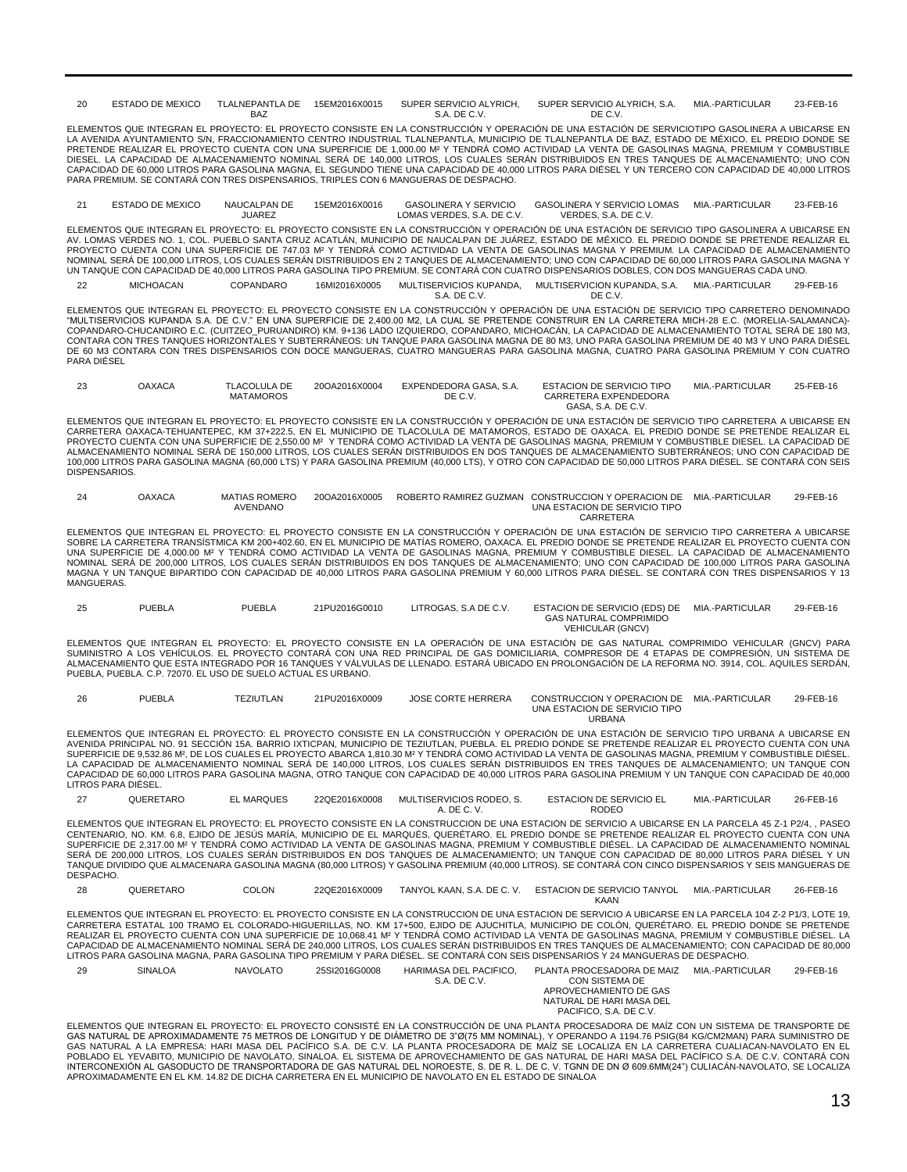20 ESTADO DE MEXICO TLALNEPANTLA DE 15EM2016X0015 BAZ 15EM2016X0015 SUPER SERVICIO ALYRICH, SUPER SERVICIO ALYRICH, S.A. S.A. DE C.V. DE C.V. MIA-PARTICULAR 23-FFB-16

ELEMENTOS QUE INTEGRAN EL PROYECTO: EL PROYECTO CONSISTE EN LA CONSTRUCCIÓN Y OPERACIÓN DE UNA ESTACIÓN DE SERVICIOTIPO GASOLINERA A UBICARSE EN LA AVENIDA AYUNTAMIENTO S/N, FRACCIONAMIENTO CENTRO INDUSTRIAL TLALNEPANTLA, MUNICIPIO DE TLALNEPANTLA DE BAZ, ESTADO DE MÉXICO. EL PREDIO DONDE SE PRETENDE REALIZAR EL PROYECTO CUENTA CON UNA SUPERFICIE DE 1,000.00 M² Y TENDRÁ COMO ACTIVIDAD LA VENTA DE GASOLINAS MAGNA, PREMIUM Y COMBUSTIBLE DIESEL. LA CAPACIDAD DE ALMACENAMIENTO NOMINAL SERA DE 140,000 LITROS, LOS CUALES SERAN DISTRIBUIDOS EN TRES TANQUES DE ALMACENAMIENTO; UNO CON<br>CAPACIDAD DE 60,000 LITROS PARA GASOLINA MAGNA, EL SEGUNDO TIENE UNA CAPACIDAD PARA PREMIUM. SE CONTARÁ CON TRES DISPENSARIOS, TRIPLES CON 6 MANGUERAS DE DESPACHO.

21 ESTADO DE MEXICO NAUCALPAN DE JUAREZ 15EM2016X0016 GASOLINERA Y SERVICIO LOMAS VERDES, S.A. DE C.V. GASOLINERA Y SERVICIO LOMAS MIA.-PARTICULAR 23-FEB-16 VERDES, S.A. DE C.V.

ELEMENTOS QUE INTEGRAN EL PROYECTO: EL PROYECTO CONSISTE EN LA CONSTRUCCIÓN Y OPERACIÓN DE UNA ESTACIÓN DE SERVICIO TIPO GASOLINERA A UBICARSE EN<br>AV. LOMAS VERDES NO. 1, COL. PUEBLO SANTA CRUZ ACATLÁN, MUNICIPIO DE NAUCALP PROYECTO CUENTA CON UNA SUPERFICIE DE 747.03 M² Y TENDRÁ COMO ACTIVIDAD LA VENTA DE GASOLINAS MAGNA Y PREMIUM. LA CAPACIDAD DE ALMACENAMIENTO NOMINAL SERA DE 100,000 LITROS, LOS CUALES SERAN DISTRIBUIDOS EN 2 TANQUES DE ALMACENAMIENTO; UNO CON CAPACIDAD DE 60,000 LITROS PARA GASOLINA MAGNA Y<br>UN TANQUE CON CAPACIDAD DE 40,000 LITROS PARA GASOLINA TIPO PREMIUM. SE 22 MICHOACAN COPANDARO 16MI2016X0005 MULTISERVICIOS KUPANDA, MULTISERVICION KUPANDA, S.A. MIA.-PARTICULAR 29-FEB-16

S.A. DE C.V.

DE C.V.

ELEMENTOS QUE INTEGRAN EL PROYECTO: EL PROYECTO CONSISTE EN LA CONSTRUCCIÓN Y OPERACIÓN DE UNA ESTACIÓN DE SERVICIO TIPO CARRETERO DENOMINADO "MULTISERVICIOS KUPANDA S.A. DE C.V." EN UNA SUPERFICIE DE 2,400.00 M2, LA CUAL SE PRETENDE CONSTRUIR EN LA CARRETERA MICH-28 E.C. (MORELIA-SALAMANCA)- COPANDARO-CHUCANDIRO E.C. (CUITZEO\_PURUANDIRO) KM. 9+136 LADO IZQUIERDO, COPANDARO, MICHOACÁN, LA CAPACIDAD DE ALMACENAMIENTO TOTAL SERÁ DE 180 M3,<br>CONTARA CON TRES TANQUES HORIZONTALES Y SUBTERRÁNEOS: UN TANQUE PARA GASOL DE 60 M3 CONTARA CON TRES DISPENSARIOS CON DOCE MANGUERAS, CUATRO MANGUERAS PARA GASOLINA MAGNA, CUATRO PARA GASOLINA PREMIUM Y CON CUATRO PARA DIÉSEL

| 23 | <b>OAXACA</b> | <b>TLACOLULA DE</b><br><b>MATAMOROS</b> | 20QA2016X0004 | EXPENDEDORA GASA, S.A.<br>DE C.V. | <b>ESTACION DE SERVICIO TIPO</b><br>CARRETERA EXPENDEDORA | MIA.-PARTICULAR | 25-FEB-16 |
|----|---------------|-----------------------------------------|---------------|-----------------------------------|-----------------------------------------------------------|-----------------|-----------|
|    |               |                                         |               |                                   | GASA, S.A. DE C.V.                                        |                 |           |

ELEMENTOS QUE INTEGRAN EL PROYECTO: EL PROYECTO CONSISTE EN LA CONSTRUCCIÓN Y OPERACIÓN DE UNA ESTACIÓN DE SERVICIO TIPO CARRETERA A UBICARSE EN CARRETERA OAXACA-TEHUANTEPEC, KM 37+222.5, EN EL MUNICIPIO DE TLACOLULA DE MATAMOROS, ESTADO DE OAXACA. EL PREDIO DONDE SE PRETENDE REALIZAR EL<br>PROYECTO CUENTA CON UNA SUPERFICIE DE 2,550.00 Mº Y TENDRÁ COMO ACTIVIDAD LA V DISPENSARIOS

| 24 | OAXACA | <b>MATIAS ROMERO</b> | 20QA2016X0005 | ROBERTO RAMIREZ GUZMAN CONSTRUCCION Y OPERACION DE | MIA.-PARTICULAR | 29-FEB-16 |
|----|--------|----------------------|---------------|----------------------------------------------------|-----------------|-----------|
|    |        | AVENDANO             |               | UNA ESTACION DE SERVICIO TIPO                      |                 |           |
|    |        |                      |               | CARRETERA                                          |                 |           |

ELEMENTOS QUE INTEGRAN EL PROYECTO: EL PROYECTO CONSISTE EN LA CONSTRUCCIÓN Y OPERACIÓN DE UNA ESTACIÓN DE SERVICIO TIPO CARRETERA A UBICARSE SOBRE LA CARRETERA TRANSISTMICA KM 200+402.60, EN EL MUNICIPIO DE MATIAS ROMERO, OAXACA. EL PREDIO DONDE SE PRETENDE REALIZAR EL PROYECTO CUENTA CON<br>UNA SUPERFICIE DE 4,000.00 Mº Y TENDRÁ COMO ACTIVIDAD LA VENTA DE GASOLIN NOMINAL SERÁ DE 200,000 LITROS, LOS CUALES SERÁN DISTRIBUIDOS EN DOS TANQUES DE ALMACENAMIENTO; UNO CON CAPACIDAD DE 100,000 LITROS PARA GASOLINA<br>MAGNA Y UN TANQUE BIPARTIDO CON CAPACIDAD DE 40,000 LITROS PARA GASOLINA PRE MANGUERAS.

| 25 | <b>PUEBLA</b> | PUEBLA | 21PU2016G0010 | LITROGAS, S.A DE C.V. | ESTACION DE SERVICIO (EDS) DE | MIA.-PARTICULAR | 29-FEB-16 |
|----|---------------|--------|---------------|-----------------------|-------------------------------|-----------------|-----------|
|    |               |        |               |                       | <b>GAS NATURAL COMPRIMIDO</b> |                 |           |
|    |               |        |               |                       | <b>VEHICULAR (GNCV)</b>       |                 |           |

ELEMENTOS QUE INTEGRAN EL PROYECTO: EL PROYECTO CONSISTE EN LA OPERACIÓN DE UNA ESTACIÓN DE GAS NATURAL COMPRIMIDO VEHICULAR (GNCV) PARA SUMINISTRO A LOS VEHÍCULOS. EL PROYECTO CONTARÁ CON UNA RED PRINCIPAL DE GAS DOMICILIARIA, COMPRESOR DE 4 ETAPAS DE COMPRESIÓN, UN SISTEMA DE ALMACENAMIENTO QUE ESTA INTEGRADO POR 16 TANQUES Y VALVULAS DE LLENADO. ESTARA UBICADO EN PROLONGACIÓN DE LA REFORMA NO. 3914, COL. AQUILES SERDÁN,<br>PUEBLA, PUEBLA. C.P. 72070. EL USO DE SUELO ACTUAL ES URBANO.

| 26 | PUEBLA | TEZIUTLAN | 21PU2016X0009 | <b>JOSE CORTE HERRERA</b> | CONSTRUCCION Y OPERACION DE MIA.-PARTICULAR | 29-FEB-16 |
|----|--------|-----------|---------------|---------------------------|---------------------------------------------|-----------|
|    |        |           |               |                           | UNA ESTACION DE SERVICIO TIPO               |           |
|    |        |           |               |                           | <b>URBANA</b>                               |           |

ELEMENTOS QUE INTEGRAN EL PROYECTO: EL PROYECTO CONSISTE EN LA CONSTRUCCIÓN Y OPERACIÓN DE UNA ESTACIÓN DE SERVICIO TIPO URBANA A UBICARSE EN<br>AVENIDA PRINCIPAL NO. 91 SECCIÓN 15A. BARRIO IXTICPAN, MUNICIPIO DE TEZIUTLAN, P LA CAPACIDAD DE ALMACENAMIENTO NOMINAL SERA DE 140,000 LITROS, LOS CUALES SERAN DISTRIBUIDOS EN TRES TANQUES DE ALMACENAMIENTO; UN TANQUE CON<br>CAPACIDAD DE 60,000 LITROS PARA GASOLINA MAGNA, OTRO TANQUE CON CAPACIDAD DE 40, LITROS PARA DIÉSEL.

27 QUERETARO EL MARQUES 22QE2016X0008 MULTISERVICIOS RODEO, S. A. DE C. V. ESTACION DE SERVICIO EL RODEO MIA-PARTICULAR 26-FFB-16

ELEMENTOS QUE INTEGRAN EL PROYECTO: EL PROYECTO CONSISTE EN LA CONSTRUCCIÓN DE UNA ESTACIÓN DE SERVICIO A UBICARSE EN LA PARCELA 45 Z-1 P2/4, , PASEO CENTENARIO, NO. KM. 6.8, EJIDO DE JESÚS MARÍA, MUNICIPIO DE EL MARQUÉS, QUERÉTARO. EL PREDIO DONDE SE PRETENDE REALIZAR EL PROYECTO CUENTA CON UNA<br>SUPERFICIE DE 2,317.00 Mº Y TENDRÁ COMO ACTIVIDAD LA VENTA DE GASOLINAS MA SERA DE 200,000 LITROS, LOS CUALES SERAN DISTRIBUIDOS EN DOS TANQUES DE ALMACENAMIENTO; UN TANQUE CON CAPACIDAD DE 80,000 LITROS PARA DIESEL Y UN<br>TANQUE DIVIDIDO QUE ALMACENARA GASOLINA MAGNA (80,000 LITROS) Y GASOLINA PRE DESPACHO.

28 QUERETARO COLON 22QE2016X0009 TANYOL KAAN, S.A. DE C. V. ESTACION DE SERVICIO TANYOL MIA.-PARTICULAR 26-FEB-16 KAAN

ELEMENTOS QUE INTEGRAN EL PROYECTO: EL PROYECTO CONSISTE EN LA CONSTRUCCIÓN DE UNA ESTACIÓN DE SERVICIO A UBICARSE EN LA PARCELA 104 Z-2 P1/3, LOTE 19, CARRETERA ESTATAL 100 TRAMO EL COLORADO-HIGUERILLAS, NO. KM 17+500, EJIDO DE AJUCHITLA, MUNICIPIO DE COLÓN, QUERÉTARO. EL PREDIO DONDE SE PRETENDE<br>REALIZAR EL PROYECTO CUENTA CON UNA SUPERFICIE DE 10,068.41 MP Y TENDRÁ COM LITROS PARA GASOLINA MAGNA, PARA GASOLINA TIPO PREMIUM Y PARA DIÉSEL. SE CONTARÁ CON SEIS DISPENSARIOS Y 24 MANGUERAS DE DESPACHO.

29 SINALOA NAVOLATO 25SI2016G0008 HARIMASA DEL PACIFICO, S.A. DE C.V. PLANTA PROCESADORA DE MAIZ MIA.-PARTICULAR 29-FEB-16 CON SISTEMA DE APROVECHAMIENTO DE GAS NATURAL DE HARI MASA DEL PACIFICO, S.A. DE C.V.

ELEMENTOS QUE INTEGRAN EL PROYECTO: EL PROYECTO CONSISTÉ EN LA CONSTRUCCIÓN DE UNA PLANTA PROCESADORA DE MAÍZ CON UN SISTEMA DE TRANSPORTE DE GAS NATURAL DE APROXIMADAMENTE 75 METROS DE LONGITUD Y DE DIÁMETRO DE 3"Ø(75 MM NOMINAL), Y OPERANDO A 1194.76 PSIG(84 KG/CM2MAN) PARA SUMINISTRO DE GAS NATURAL A LA EMPRESA: HARI MASA DEL PACIFICO S.A. DE C.V. LA PLANTA PROCESADORA DE MAIZ SE LOCALIZA EN LA CARRETERA CUALIACAN-NAVOLATO EN EL<br>POBLADO EL YEVABITO, MUNICIPIO DE NAVOLATO, SINALOA. EL SISTEMA DE APROVECHAM APROXIMADAMENTE EN EL KM. 14.82 DE DICHA CARRETERA EN EL MUNICIPIO DE NAVOLATO EN EL ESTADO DE SINALOA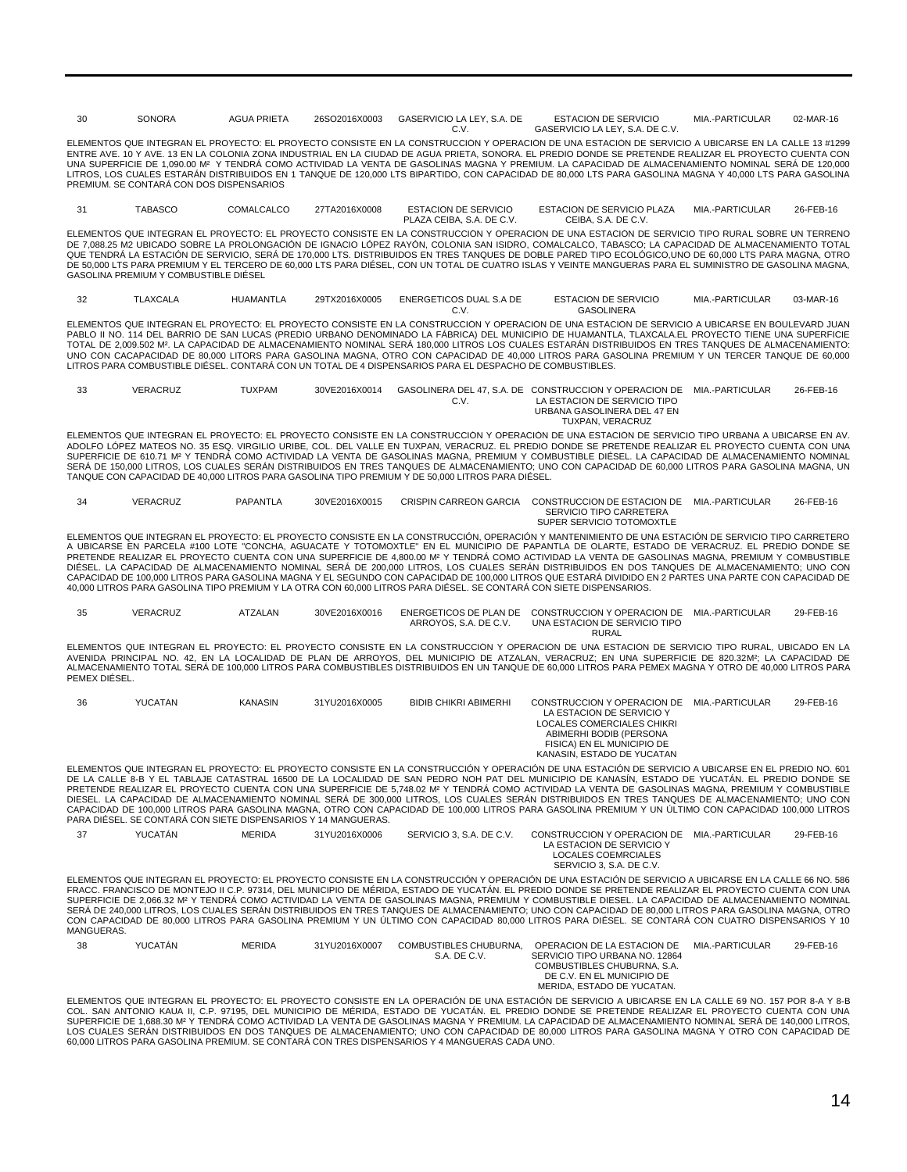| 30            | <b>SONORA</b>                                                  | <b>AGUA PRIETA</b> | 26SO2016X0003 | GASERVICIO LA LEY, S.A. DE<br>C.V.                                                                                   | <b>ESTACION DE SERVICIO</b><br>GASERVICIO LA LEY, S.A. DE C.V.                                                                                                                                                                                                                                                                                                                                                                                                                                                                                                                                                                                                                                                                                                                       | MIA.-PARTICULAR | 02-MAR-16 |
|---------------|----------------------------------------------------------------|--------------------|---------------|----------------------------------------------------------------------------------------------------------------------|--------------------------------------------------------------------------------------------------------------------------------------------------------------------------------------------------------------------------------------------------------------------------------------------------------------------------------------------------------------------------------------------------------------------------------------------------------------------------------------------------------------------------------------------------------------------------------------------------------------------------------------------------------------------------------------------------------------------------------------------------------------------------------------|-----------------|-----------|
|               | PREMIUM. SE CONTARÁ CON DOS DISPENSARIOS                       |                    |               |                                                                                                                      | ELEMENTOS QUE INTEGRAN EL PROYECTO: EL PROYECTO CONSISTE EN LA CONSTRUCCIÓN Y OPERACIÓN DE UNA ESTACIÓN DE SERVICIO A UBICARSE EN LA CALLE 13 #1299<br>ENTRE AVE. 10 Y AVE. 13 EN LA COLONIA ZONA INDUSTRIAL EN LA CIUDAD DE AGUA PRIETA, SONORA. EL PREDIO DONDE SE PRETENDE REALIZAR EL PROYECTO CUENTA CON<br>UNA SUPERFICIE DE 1,090.00 M <sup>2</sup> Y TENDRÁ COMO ACTIVIDAD LA VENTA DE GASOLINAS MAGNA Y PREMIUM. LA CAPACIDAD DE ALMACENAMIENTO NOMINAL SERÁ DE 120,000<br>LITROS, LOS CUALES ESTARÁN DISTRIBUIDOS EN 1 TANQUE DE 120,000 LTS BIPARTIDO, CON CAPACIDAD DE 80,000 LTS PARA GASOLINA MAGNA Y 40,000 LTS PARA GASOLINA                                                                                                                                         |                 |           |
| 31            | <b>TABASCO</b>                                                 | COMALCALCO         | 27TA2016X0008 | <b>ESTACION DE SERVICIO</b><br>PLAZA CEIBA, S.A. DE C.V.                                                             | ESTACION DE SERVICIO PLAZA<br>CEIBA, S.A. DE C.V.                                                                                                                                                                                                                                                                                                                                                                                                                                                                                                                                                                                                                                                                                                                                    | MIA.-PARTICULAR | 26-FEB-16 |
|               | GASOLINA PREMIUM Y COMBUSTIBLE DIÉSEL                          |                    |               |                                                                                                                      | ELEMENTOS QUE INTEGRAN EL PROYECTO: EL PROYECTO CONSISTE EN LA CONSTRUCCIÓN Y OPERACIÓN DE UNA ESTACIÓN DE SERVICIO TIPO RURAL SOBRE UN TERRENO<br>DE 7,088.25 M2 UBICADO SOBRE LA PROLONGACIÓN DE IGNACIO LÓPEZ RAYÓN, COLONIA SAN ISIDRO, COMALCALCO, TABASCO; LA CAPACIDAD DE ALMACENAMIENTO TOTAL<br>QUE TENDRÁ LA ESTACIÓN DE SERVICIO, SERÁ DE 170,000 LTS. DISTRIBUIDOS EN TRES TANQUES DE DOBLE PARED TIPO ECOLÓGICO,UNO DE 60,000 LTS PARA MAGNA, OTRO<br>DE 50,000 LTS PARA PREMIUM Y EL TERCERO DE 60,000 LTS PARA DIÉSEL, CON UN TOTAL DE CUATRO ISLAS Y VEINTE MANGUERAS PARA EL SUMINISTRO DE GASOLINA MAGNA,                                                                                                                                                          |                 |           |
| 32            | <b>TLAXCALA</b>                                                | <b>HUAMANTLA</b>   | 29TX2016X0005 | ENERGETICOS DUAL S.A DE<br>C.V.                                                                                      | <b>ESTACION DE SERVICIO</b><br><b>GASOLINERA</b>                                                                                                                                                                                                                                                                                                                                                                                                                                                                                                                                                                                                                                                                                                                                     | MIA.-PARTICULAR | 03-MAR-16 |
|               |                                                                |                    |               | LITROS PARA COMBUSTIBLE DIÉSEL. CONTARÁ CON UN TOTAL DE 4 DISPENSARIOS PARA EL DESPACHO DE COMBUSTIBLES.             | ELEMENTOS QUE INTEGRAN EL PROYECTO: EL PROYECTO CONSISTE EN LA CONSTRUCCIÓN Y OPERACIÓN DE UNA ESTACIÓN DE SERVICIO A UBICARSE EN BOULEVARD JUAN<br>PABLO II NO. 114 DEL BARRIO DE SAN LUCAS (PREDIO URBANO DENOMINADO LA FÁBRICA) DEL MUNICIPIO DE HUAMANTLA, TLAXCALA.EL PROYECTO TIENE UNA SUPERFICIE<br>TOTAL DE 2,009.502 M <sup>2</sup> . LA CAPACIDAD DE ALMACENAMIENTO NOMINAL SERÁ 180,000 LITROS LOS CUALES ESTARÁN DISTRIBUIDOS EN TRES TANQUES DE ALMACENAMIENTO:<br>UNO CON CACAPACIDAD DE 80,000 LITORS PARA GASOLINA MAGNA, OTRO CON CAPACIDAD DE 40,000 LITROS PARA GASOLINA PREMIUM Y UN TERCER TANQUE DE 60,000                                                                                                                                                    |                 |           |
| 33            | VERACRUZ                                                       | <b>TUXPAM</b>      | 30VE2016X0014 | C.V.                                                                                                                 | GASOLINERA DEL 47, S.A. DE CONSTRUCCION Y OPERACION DE MIA.-PARTICULAR<br>LA ESTACION DE SERVICIO TIPO<br>URBANA GASOLINERA DEL 47 EN<br>TUXPAN, VERACRUZ                                                                                                                                                                                                                                                                                                                                                                                                                                                                                                                                                                                                                            |                 | 26-FEB-16 |
|               |                                                                |                    |               | TANQUE CON CAPACIDAD DE 40.000 LITROS PARA GASOLINA TIPO PREMIUM Y DE 50.000 LITROS PARA DIÉSEL.                     | ELEMENTOS QUE INTEGRAN EL PROYECTO: EL PROYECTO CONSISTE EN LA CONSTRUCCIÓN Y OPERACIÓN DE UNA ESTACIÓN DE SERVICIO TIPO URBANA A UBICARSE EN AV.<br>ADOLFO LÓPEZ MATEOS NO. 35 ESQ. VIRGILIO URIBE, COL. DEL VALLE EN TUXPAN, VERACRUZ. EL PREDIO DONDE SE PRETENDE REALIZAR EL PROYECTO CUENTA CON UNA<br>SUPERFICIE DE 610.71 MP Y TENDRÁ COMO ACTIVIDAD LA VENTA DE GASOLINAS MAGNA, PREMIUM Y COMBUSTIBLE DIÉSEL. LA CAPACIDAD DE ALMACENAMIENTO NOMINAL<br>SERÁ DE 150,000 LITROS, LOS CUALES SERÁN DISTRIBUIDOS EN TRES TANQUES DE ALMACENAMIENTO; UNO CON CAPACIDAD DE 60,000 LITROS PARA GASOLINA MAGNA, UN                                                                                                                                                                 |                 |           |
| 34            | VERACRUZ                                                       | <b>PAPANTLA</b>    | 30VE2016X0015 | <b>CRISPIN CARREON GARCIA</b>                                                                                        | CONSTRUCCION DE ESTACION DE MIA.-PARTICULAR<br>SERVICIO TIPO CARRETERA<br>SUPER SERVICIO TOTOMOXTLE                                                                                                                                                                                                                                                                                                                                                                                                                                                                                                                                                                                                                                                                                  |                 | 26-FEB-16 |
|               |                                                                |                    |               | 40,000 LITROS PARA GASOLINA TIPO PREMIUM Y LA OTRA CON 60,000 LITROS PARA DIÉSEL. SE CONTARÁ CON SIETE DISPENSARIOS. | ELEMENTOS QUE INTEGRAN EL PROYECTO: EL PROYECTO CONSISTE EN LA CONSTRUCCIÓN, OPERACIÓN Y MANTENIMIENTO DE UNA ESTACIÓN DE SERVICIO TIPO CARRETERO<br>A UBICARSE EN PARCELA #100 LOTE "CONCHA, AGUACATE Y TOTOMOXTLE" EN EL MUNICIPIO DE PAPANTLA DE OLARTE, ESTADO DE VERACRUZ. EL PREDIO DONDE SE<br>PRETENDE REALIZAR EL PROYECTO CUENTA CON UNA SUPERFICIE DE 4,800.00 M <sup>2</sup> Y TENDRÁ COMO ACTIVIDAD LA VENTA DE GASOLINAS MAGNA. PREMIUM Y COMBUSTIBLE<br>DIÉSEL. LA CAPACIDAD DE ALMACENAMIENTO NOMINAL SERÁ DE 200,000 LITROS, LOS CUALES SERÁN DISTRIBUIDOS EN DOS TANQUES DE ALMACENAMIENTO; UNO CON<br>CAPACIDAD DE 100,000 LITROS PARA GASOLINA MAGNA Y EL SEGUNDO CON CAPACIDAD DE 100,000 LITROS QUE ESTARÁ DIVIDIDO EN 2 PARTES UNA PARTE CON CAPACIDAD DE     |                 |           |
| 35            | VERACRUZ                                                       | ATZALAN            | 30VE2016X0016 | ARROYOS, S.A. DE C.V.                                                                                                | ENERGETICOS DE PLAN DE CONSTRUCCION Y OPERACION DE<br>UNA ESTACION DE SERVICIO TIPO<br><b>RURAL</b>                                                                                                                                                                                                                                                                                                                                                                                                                                                                                                                                                                                                                                                                                  | MIA.-PARTICULAR | 29-FEB-16 |
| PEMEX DIÉSEL. |                                                                |                    |               |                                                                                                                      | ELEMENTOS QUE INTEGRAN EL PROYECTO: EL PROYECTO CONSISTE EN LA CONSTRUCCIÓN Y OPERACIÓN DE UNA ESTACIÓN DE SERVICIO TIPO RURAL, UBICADO EN LA<br>AVENIDA PRINCIPAL NO. 42, EN LA LOCALIDAD DE PLAN DE ARROYOS, DEL MUNICIPIO DE ATZALAN, VERACRUZ; EN UNA SUPERFICIE DE 820.32M2; LA CAPACIDAD DE<br>ALMACENAMIENTO TOTAL SERÁ DE 100,000 LITROS PARA COMBUSTIBLES DISTRIBUIDOS EN UN TANQUE DE 60,000 LITROS PARA PEMEX MAGNA Y OTRO DE 40,000 LITROS PARA                                                                                                                                                                                                                                                                                                                          |                 |           |
| 36            | YUCATÁN                                                        | <b>KANASIN</b>     | 31YU2016X0005 | <b>BIDIB CHIKRI ABIMERHI</b>                                                                                         | CONSTRUCCION Y OPERACION DE MIA.-PARTICULAR<br>LA ESTACION DE SERVICIO Y<br><b>LOCALES COMERCIALES CHIKRI</b><br>ABIMERHI BODIB (PERSONA<br>FISICA) EN EL MUNICIPIO DE<br>KANASIN, ESTADO DE YUCATAN                                                                                                                                                                                                                                                                                                                                                                                                                                                                                                                                                                                 |                 | 29-FEB-16 |
|               | PARA DIÉSEL. SE CONTARÁ CON SIETE DISPENSARIOS Y 14 MANGUERAS. |                    |               |                                                                                                                      | ELEMENTOS QUE INTEGRAN EL PROYECTO: EL PROYECTO CONSISTE EN LA CONSTRUCCIÓN Y OPERACIÓN DE UNA ESTACIÓN DE SERVICIO A UBICARSE EN EL PREDIO NO. 601<br>DE LA CALLE 8-B Y EL TABLAJE CATASTRAL 16500 DE LA LOCALIDAD DE SAN PEDRO NOH PAT DEL MUNICIPIO DE KANASÍN, ESTADO DE YUCATÁN. EL PREDIO DONDE SE<br>PRETENDE REALIZAR EL PROYECTO CUENTA CON UNA SUPERFICIE DE 5,748.02 M <sup>2</sup> Y TENDRÀ COMO ACTIVIDAD LA VENTA DE GASOLINAS MAGNA, PREMIUM Y COMBUSTIBLE<br>DIESEL. LA CAPACIDAD DE ALMACENAMIENTO NOMINAL SERÀ DE 300,000 LITROS, LOS CUALES SERÁN DISTRIBUIDOS EN TRES TANQUES DE ALMACENAMIENTO; UNO CON<br>CAPACIDAD DE 100,000 LITROS PARA GASOLINA MAGNA, OTRO CON CAPACIDAD DE 100,000 LITROS PARA GASOLINA PREMIUM Y UN ÚLTIMO CON CAPACIDAD 100,000 LITROS |                 |           |
| 37            | YUCATÁN                                                        | <b>MERIDA</b>      | 31YU2016X0006 | SERVICIO 3, S.A. DE C.V.                                                                                             | CONSTRUCCION Y OPERACION DE MIA.-PARTICULAR<br>LA ESTACION DE SERVICIO Y<br>LOCALES COEMRCIALES<br>SERVICIO 3, S.A. DE C.V.                                                                                                                                                                                                                                                                                                                                                                                                                                                                                                                                                                                                                                                          |                 | 29-FEB-16 |
| MANGUERAS.    |                                                                |                    |               |                                                                                                                      | ELEMENTOS QUE INTEGRAN EL PROYECTO: EL PROYECTO CONSISTE EN LA CONSTRUCCIÓN Y OPERACIÓN DE UNA ESTACIÓN DE SERVICIO A UBICARSE EN LA CALLE 66 NO. 586<br>FRACC. FRANCISCO DE MONTEJO II C.P. 97314. DEL MUNICIPIO DE MÉRIDA. ESTADO DE YUCATÁN. EL PREDIO DONDE SE PRETENDE REALIZAR EL PROYECTO CUENTA CON UNA<br>SUPERFICIE DE 2.066.32 MP Y TENDRÁ COMO ACTIVIDAD LA VENTA DE GASOLINAS MAGNA, PREMIUM Y COMBUSTIBLE DIESEL. LA CAPACIDAD DE ALMACENAMIENTO NOMINAL<br>SERÁ DE 240,000 LITROS, LOS CUALES SERÁN DISTRIBUIDOS EN TRES TANQUES DE ALMACENAMIENTO; UNO CON CAPACIDAD DE 80,000 LITROS PARA GASOLINA MAGNA, OTRO<br>CON CAPACIDAD DE 80,000 LITROS PARA GASOLINA PREMIUM Y UN ÚLTIMO CON CAPACIDAD 80,000 LITROS PARA DIÉSEL. SE CONTARÁ CON CUATRO DISPENSARIOS Y 10 |                 |           |
| 38            | YUCATÁN                                                        | <b>MERIDA</b>      | 31YU2016X0007 | COMBUSTIBLES CHUBURNA.<br>S.A. DE C.V.                                                                               | OPERACION DE LA ESTACION DE<br>SERVICIO TIPO URBANA NO. 12864<br>COMBUSTIBLES CHUBURNA, S.A.<br>DE C.V. EN EL MUNICIPIO DE<br>MERIDA, ESTADO DE YUCATAN.                                                                                                                                                                                                                                                                                                                                                                                                                                                                                                                                                                                                                             | MIA.-PARTICULAR | 29-FEB-16 |
|               |                                                                |                    |               |                                                                                                                      | ELEMENTOS QUE INTEGRAN EL PROYECTO: EL PROYECTO CONSISTE EN LA OPERACIÓN DE UNA ESTACIÓN DE SERVICIO A UBICARSE EN LA CALLE 69 NO. 157 POR 8-A Y 8-B                                                                                                                                                                                                                                                                                                                                                                                                                                                                                                                                                                                                                                 |                 |           |

ELEMENTOS QUE INTEGRAN EL PROYECTO: EL PROYECTO CONSISTE EN LA OPERACIÓN DE UNA ESTACIÓN DE SERVICIO A UBICARSE EN LA CALLE 69 NO. 157 POR 8-A Y 8-B<br>COL. SAN ANTONIO KAUA II, C.P. 97195, DEL MUNICIPIO DE MERIDA, ESTADO DE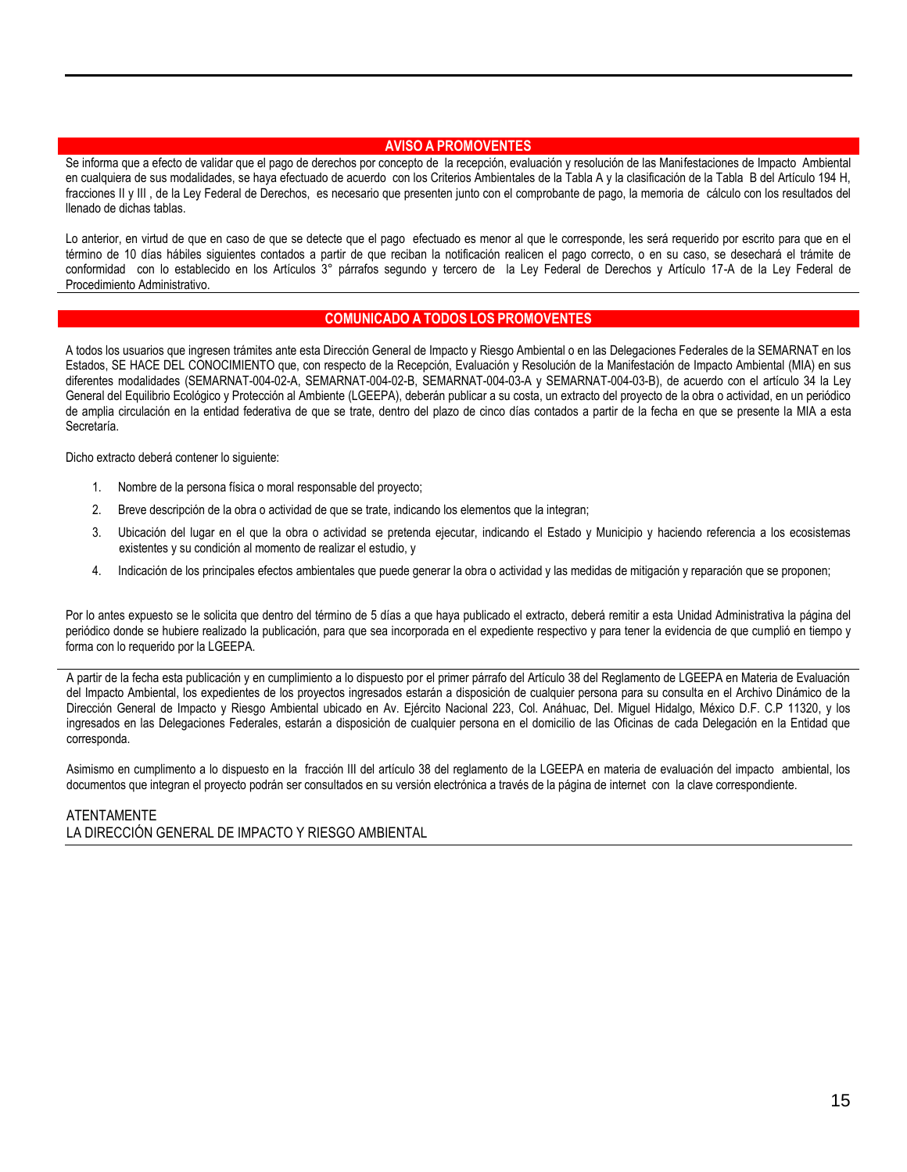#### **AVISO A PROMOVENTES**

Se informa que a efecto de validar que el pago de derechos por concepto de la recepción, evaluación y resolución de las Manifestaciones de Impacto Ambiental en cualquiera de sus modalidades, se haya efectuado de acuerdo con los Criterios Ambientales de la Tabla A y la clasificación de la Tabla B del Artículo 194 H, fracciones II y III , de la Ley Federal de Derechos, es necesario que presenten junto con el comprobante de pago, la memoria de cálculo con los resultados del llenado de dichas tablas.

Lo anterior, en virtud de que en caso de que se detecte que el pago efectuado es menor al que le corresponde, les será requerido por escrito para que en el término de 10 días hábiles siguientes contados a partir de que reciban la notificación realicen el pago correcto, o en su caso, se desechará el trámite de conformidad con lo establecido en los Artículos 3° párrafos segundo y tercero de la Ley Federal de Derechos y Artículo 17-A de la Ley Federal de Procedimiento Administrativo.

#### **COMUNICADO A TODOS LOS PROMOVENTES**

A todos los usuarios que ingresen trámites ante esta Dirección General de Impacto y Riesgo Ambiental o en las Delegaciones Federales de la SEMARNAT en los Estados, SE HACE DEL CONOCIMIENTO que, con respecto de la Recepción, Evaluación y Resolución de la Manifestación de Impacto Ambiental (MIA) en sus diferentes modalidades (SEMARNAT-004-02-A, SEMARNAT-004-02-B, SEMARNAT-004-03-A y SEMARNAT-004-03-B), de acuerdo con el artículo 34 la Ley General del Equilibrio Ecológico y Protección al Ambiente (LGEEPA), deberán publicar a su costa, un extracto del proyecto de la obra o actividad, en un periódico de amplia circulación en la entidad federativa de que se trate, dentro del plazo de cinco días contados a partir de la fecha en que se presente la MIA a esta Secretaría.

Dicho extracto deberá contener lo siguiente:

- 1. Nombre de la persona física o moral responsable del proyecto;
- 2. Breve descripción de la obra o actividad de que se trate, indicando los elementos que la integran;
- 3. Ubicación del lugar en el que la obra o actividad se pretenda ejecutar, indicando el Estado y Municipio y haciendo referencia a los ecosistemas existentes y su condición al momento de realizar el estudio, y
- 4. Indicación de los principales efectos ambientales que puede generar la obra o actividad y las medidas de mitigación y reparación que se proponen;

Por lo antes expuesto se le solicita que dentro del término de 5 días a que haya publicado el extracto, deberá remitir a esta Unidad Administrativa la página del periódico donde se hubiere realizado la publicación, para que sea incorporada en el expediente respectivo y para tener la evidencia de que cumplió en tiempo y forma con lo requerido por la LGEEPA.

A partir de la fecha esta publicación y en cumplimiento a lo dispuesto por el primer párrafo del Artículo 38 del Reglamento de LGEEPA en Materia de Evaluación del Impacto Ambiental, los expedientes de los proyectos ingresados estarán a disposición de cualquier persona para su consulta en el Archivo Dinámico de la Dirección General de Impacto y Riesgo Ambiental ubicado en Av. Ejército Nacional 223, Col. Anáhuac, Del. Miguel Hidalgo, México D.F. C.P 11320, y los ingresados en las Delegaciones Federales, estarán a disposición de cualquier persona en el domicilio de las Oficinas de cada Delegación en la Entidad que corresponda.

Asimismo en cumplimento a lo dispuesto en la fracción III del artículo 38 del reglamento de la LGEEPA en materia de evaluación del impacto ambiental, los documentos que integran el proyecto podrán ser consultados en su versión electrónica a través de la página de internet con la clave correspondiente.

#### ATENTAMENTE

LA DIRECCIÓN GENERAL DE IMPACTO Y RIESGO AMBIENTAL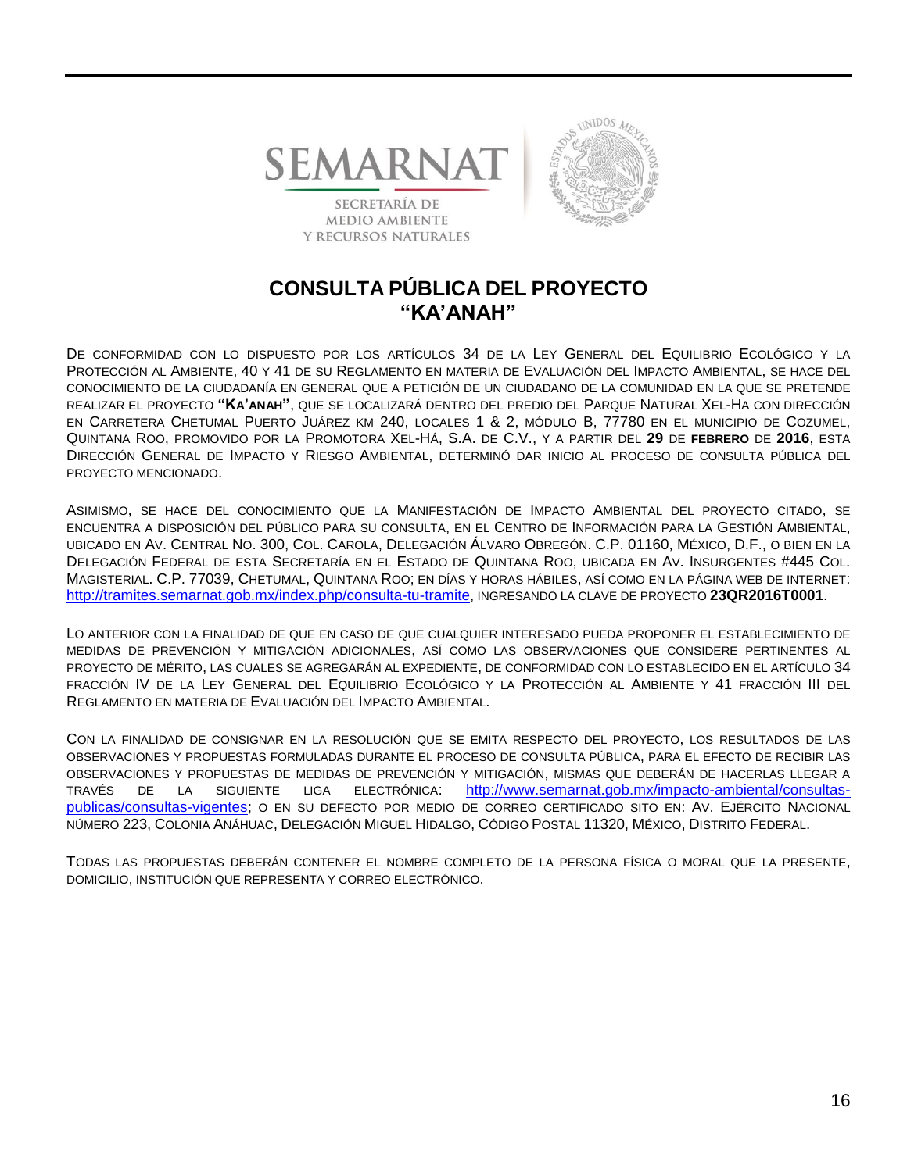

**Y RECURSOS NATURALES** 



## **CONSULTA PÚBLICA DEL PROYECTO "KA'ANAH"**

DE CONFORMIDAD CON LO DISPUESTO POR LOS ARTÍCULOS 34 DE LA LEY GENERAL DEL EQUILIBRIO ECOLÓGICO Y LA PROTECCIÓN AL AMBIENTE, 40 Y 41 DE SU REGLAMENTO EN MATERIA DE EVALUACIÓN DEL IMPACTO AMBIENTAL, SE HACE DEL CONOCIMIENTO DE LA CIUDADANÍA EN GENERAL QUE A PETICIÓN DE UN CIUDADANO DE LA COMUNIDAD EN LA QUE SE PRETENDE REALIZAR EL PROYECTO **"KA'ANAH"**, QUE SE LOCALIZARÁ DENTRO DEL PREDIO DEL PARQUE NATURAL XEL-HA CON DIRECCIÓN EN CARRETERA CHETUMAL PUERTO JUÁREZ KM 240, LOCALES 1 & 2, MÓDULO B, 77780 EN EL MUNICIPIO DE COZUMEL, QUINTANA ROO, PROMOVIDO POR LA PROMOTORA XEL-HÁ, S.A. DE C.V., Y A PARTIR DEL **29** DE **FEBRERO** DE **2016**, ESTA DIRECCIÓN GENERAL DE IMPACTO Y RIESGO AMBIENTAL, DETERMINÓ DAR INICIO AL PROCESO DE CONSULTA PÚBLICA DEL PROYECTO MENCIONADO.

ASIMISMO, SE HACE DEL CONOCIMIENTO QUE LA MANIFESTACIÓN DE IMPACTO AMBIENTAL DEL PROYECTO CITADO, SE ENCUENTRA A DISPOSICIÓN DEL PÚBLICO PARA SU CONSULTA, EN EL CENTRO DE INFORMACIÓN PARA LA GESTIÓN AMBIENTAL, UBICADO EN AV. CENTRAL NO. 300, COL. CAROLA, DELEGACIÓN ÁLVARO OBREGÓN. C.P. 01160, MÉXICO, D.F., O BIEN EN LA DELEGACIÓN FEDERAL DE ESTA SECRETARÍA EN EL ESTADO DE QUINTANA ROO, UBICADA EN AV. INSURGENTES #445 COL. MAGISTERIAL. C.P. 77039, CHETUMAL, QUINTANA ROO; EN DÍAS Y HORAS HÁBILES, ASÍ COMO EN LA PÁGINA WEB DE INTERNET: [http://tramites.semarnat.gob.mx/index.php/consulta-tu-tramite,](http://tramites.semarnat.gob.mx/index.php/consulta-tu-tramite) INGRESANDO LA CLAVE DE PROYECTO **23QR2016T0001**.

LO ANTERIOR CON LA FINALIDAD DE QUE EN CASO DE QUE CUALQUIER INTERESADO PUEDA PROPONER EL ESTABLECIMIENTO DE MEDIDAS DE PREVENCIÓN Y MITIGACIÓN ADICIONALES, ASÍ COMO LAS OBSERVACIONES QUE CONSIDERE PERTINENTES AL PROYECTO DE MÉRITO, LAS CUALES SE AGREGARÁN AL EXPEDIENTE, DE CONFORMIDAD CON LO ESTABLECIDO EN EL ARTÍCULO 34 FRACCIÓN IV DE LA LEY GENERAL DEL EQUILIBRIO ECOLÓGICO Y LA PROTECCIÓN AL AMBIENTE Y 41 FRACCIÓN III DEL REGLAMENTO EN MATERIA DE EVALUACIÓN DEL IMPACTO AMBIENTAL.

CON LA FINALIDAD DE CONSIGNAR EN LA RESOLUCIÓN QUE SE EMITA RESPECTO DEL PROYECTO, LOS RESULTADOS DE LAS OBSERVACIONES Y PROPUESTAS FORMULADAS DURANTE EL PROCESO DE CONSULTA PÚBLICA, PARA EL EFECTO DE RECIBIR LAS OBSERVACIONES Y PROPUESTAS DE MEDIDAS DE PREVENCIÓN Y MITIGACIÓN, MISMAS QUE DEBERÁN DE HACERLAS LLEGAR A TRAVÉS DE LA SIGUIENTE LIGA ELECTRÓNICA: [http://www.semarnat.gob.mx/impacto-ambiental/consultas](http://www.semarnat.gob.mx/impacto-ambiental/consultas-publicas/consultas-vigentes)[publicas/consultas-vigentes;](http://www.semarnat.gob.mx/impacto-ambiental/consultas-publicas/consultas-vigentes) O EN SU DEFECTO POR MEDIO DE CORREO CERTIFICADO SITO EN: AV. EJÉRCITO NACIONAL NÚMERO 223, COLONIA ANÁHUAC, DELEGACIÓN MIGUEL HIDALGO, CÓDIGO POSTAL 11320, MÉXICO, DISTRITO FEDERAL.

TODAS LAS PROPUESTAS DEBERÁN CONTENER EL NOMBRE COMPLETO DE LA PERSONA FÍSICA O MORAL QUE LA PRESENTE, DOMICILIO, INSTITUCIÓN QUE REPRESENTA Y CORREO ELECTRÓNICO.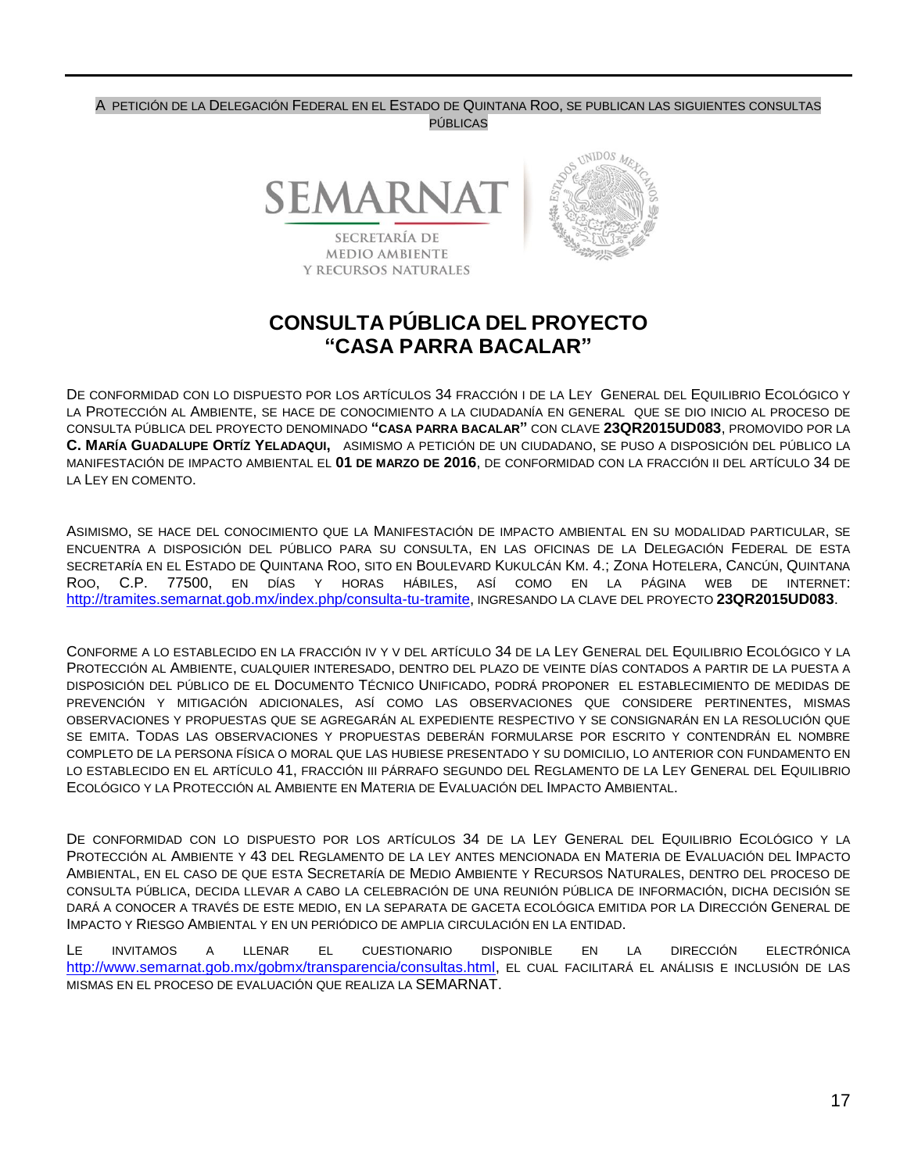#### A PETICIÓN DE LA DELEGACIÓN FEDERAL EN EL ESTADO DE QUINTANA ROO, SE PUBLICAN LAS SIGUIENTES CONSULTAS PÚBLICAS



# **CONSULTA PÚBLICA DEL PROYECTO "CASA PARRA BACALAR"**

DE CONFORMIDAD CON LO DISPUESTO POR LOS ARTÍCULOS 34 FRACCIÓN I DE LA LEY GENERAL DEL EQUILIBRIO ECOLÓGICO Y LA PROTECCIÓN AL AMBIENTE, SE HACE DE CONOCIMIENTO A LA CIUDADANÍA EN GENERAL QUE SE DIO INICIO AL PROCESO DE CONSULTA PÚBLICA DEL PROYECTO DENOMINADO **"CASA PARRA BACALAR"** CON CLAVE **23QR2015UD083**, PROMOVIDO POR LA **C. MARÍA GUADALUPE ORTÍZ YELADAQUI,** ASIMISMO A PETICIÓN DE UN CIUDADANO, SE PUSO A DISPOSICIÓN DEL PÚBLICO LA MANIFESTACIÓN DE IMPACTO AMBIENTAL EL **01 DE MARZO DE 2016**, DE CONFORMIDAD CON LA FRACCIÓN II DEL ARTÍCULO 34 DE LA LEY EN COMENTO.

ASIMISMO, SE HACE DEL CONOCIMIENTO QUE LA MANIFESTACIÓN DE IMPACTO AMBIENTAL EN SU MODALIDAD PARTICULAR, SE ENCUENTRA A DISPOSICIÓN DEL PÚBLICO PARA SU CONSULTA, EN LAS OFICINAS DE LA DELEGACIÓN FEDERAL DE ESTA SECRETARÍA EN EL ESTADO DE QUINTANA ROO, SITO EN BOULEVARD KUKULCÁN KM. 4.; ZONA HOTELERA, CANCÚN, QUINTANA ROO, C.P. 77500, EN DÍAS Y HORAS HÁBILES, ASÍ COMO EN LA PÁGINA WEB DE INTERNET: [http://tramites.semarnat.gob.mx/index.php/consulta-tu-tramite,](http://tramites.semarnat.gob.mx/index.php/consulta-tu-tramite) INGRESANDO LA CLAVE DEL PROYECTO **23QR2015UD083**.

CONFORME A LO ESTABLECIDO EN LA FRACCIÓN IV Y V DEL ARTÍCULO 34 DE LA LEY GENERAL DEL EQUILIBRIO ECOLÓGICO Y LA PROTECCIÓN AL AMBIENTE, CUALQUIER INTERESADO, DENTRO DEL PLAZO DE VEINTE DÍAS CONTADOS A PARTIR DE LA PUESTA A DISPOSICIÓN DEL PÚBLICO DE EL DOCUMENTO TÉCNICO UNIFICADO, PODRÁ PROPONER EL ESTABLECIMIENTO DE MEDIDAS DE PREVENCIÓN Y MITIGACIÓN ADICIONALES, ASÍ COMO LAS OBSERVACIONES QUE CONSIDERE PERTINENTES, MISMAS OBSERVACIONES Y PROPUESTAS QUE SE AGREGARÁN AL EXPEDIENTE RESPECTIVO Y SE CONSIGNARÁN EN LA RESOLUCIÓN QUE SE EMITA. TODAS LAS OBSERVACIONES Y PROPUESTAS DEBERÁN FORMULARSE POR ESCRITO Y CONTENDRÁN EL NOMBRE COMPLETO DE LA PERSONA FÍSICA O MORAL QUE LAS HUBIESE PRESENTADO Y SU DOMICILIO, LO ANTERIOR CON FUNDAMENTO EN LO ESTABLECIDO EN EL ARTÍCULO 41, FRACCIÓN III PÁRRAFO SEGUNDO DEL REGLAMENTO DE LA LEY GENERAL DEL EQUILIBRIO ECOLÓGICO Y LA PROTECCIÓN AL AMBIENTE EN MATERIA DE EVALUACIÓN DEL IMPACTO AMBIENTAL.

DE CONFORMIDAD CON LO DISPUESTO POR LOS ARTÍCULOS 34 DE LA LEY GENERAL DEL EQUILIBRIO ECOLÓGICO Y LA PROTECCIÓN AL AMBIENTE Y 43 DEL REGLAMENTO DE LA LEY ANTES MENCIONADA EN MATERIA DE EVALUACIÓN DEL IMPACTO AMBIENTAL, EN EL CASO DE QUE ESTA SECRETARÍA DE MEDIO AMBIENTE Y RECURSOS NATURALES, DENTRO DEL PROCESO DE CONSULTA PÚBLICA, DECIDA LLEVAR A CABO LA CELEBRACIÓN DE UNA REUNIÓN PÚBLICA DE INFORMACIÓN, DICHA DECISIÓN SE DARÁ A CONOCER A TRAVÉS DE ESTE MEDIO, EN LA SEPARATA DE GACETA ECOLÓGICA EMITIDA POR LA DIRECCIÓN GENERAL DE IMPACTO Y RIESGO AMBIENTAL Y EN UN PERIÓDICO DE AMPLIA CIRCULACIÓN EN LA ENTIDAD.

LE INVITAMOS A LLENAR EL CUESTIONARIO DISPONIBLE EN LA DIRECCIÓN ELECTRÓNICA [http://www.semarnat.gob.mx/gobmx/transparencia/consultas.html,](http://www.semarnat.gob.mx/gobmx/transparencia/consultas.html) EL CUAL FACILITARÁ EL ANÁLISIS E INCLUSIÓN DE LAS MISMAS EN EL PROCESO DE EVALUACIÓN QUE REALIZA LA SEMARNAT.